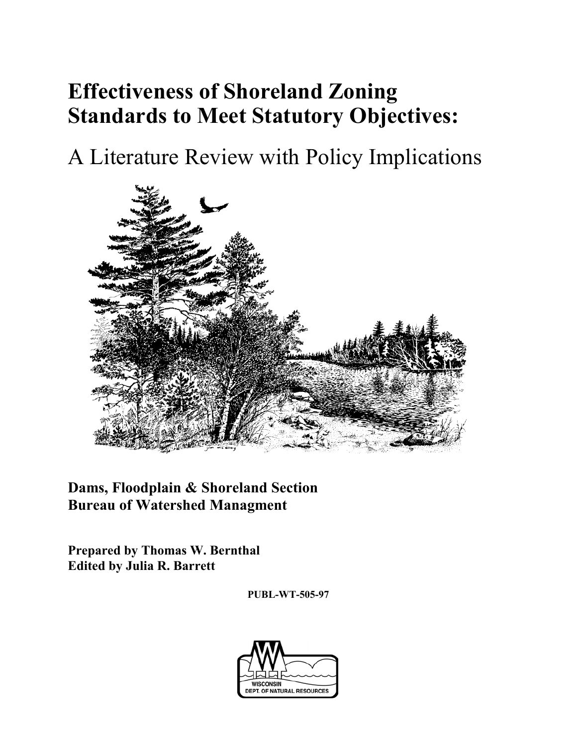# **Effectiveness of Shoreland Zoning Standards to Meet Statutory Objectives:**

# A Literature Review with Policy Implications



# **Dams, Floodplain & Shoreland Section Bureau of Watershed Managment**

**Prepared by Thomas W. Bernthal Edited by Julia R. Barrett**

**PUBL-WT-505-97**

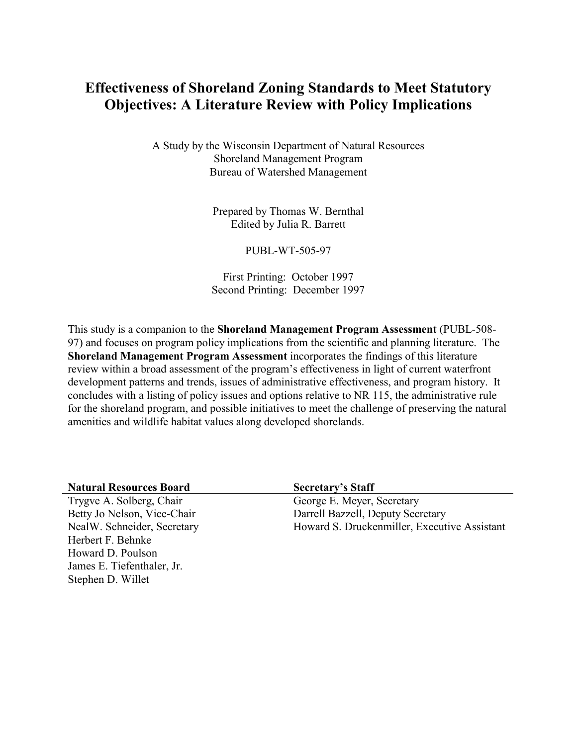# **Effectiveness of Shoreland Zoning Standards to Meet Statutory Objectives: A Literature Review with Policy Implications**

A Study by the Wisconsin Department of Natural Resources Shoreland Management Program Bureau of Watershed Management

> Prepared by Thomas W. Bernthal Edited by Julia R. Barrett

> > PUBL-WT-505-97

First Printing: October 1997 Second Printing: December 1997

This study is a companion to the **Shoreland Management Program Assessment** (PUBL-508- 97) and focuses on program policy implications from the scientific and planning literature. The **Shoreland Management Program Assessment** incorporates the findings of this literature review within a broad assessment of the program's effectiveness in light of current waterfront development patterns and trends, issues of administrative effectiveness, and program history. It concludes with a listing of policy issues and options relative to NR 115, the administrative rule for the shoreland program, and possible initiatives to meet the challenge of preserving the natural amenities and wildlife habitat values along developed shorelands.

| <b>Natural Resources Board</b> | <b>Secretary's Staff</b>                     |
|--------------------------------|----------------------------------------------|
| Trygve A. Solberg, Chair       | George E. Meyer, Secretary                   |
| Betty Jo Nelson, Vice-Chair    | Darrell Bazzell, Deputy Secretary            |
| NealW. Schneider, Secretary    | Howard S. Druckenmiller, Executive Assistant |
| Herbert F. Behnke              |                                              |
| Howard D. Poulson              |                                              |
| James E. Tiefenthaler, Jr.     |                                              |

Stephen D. Willet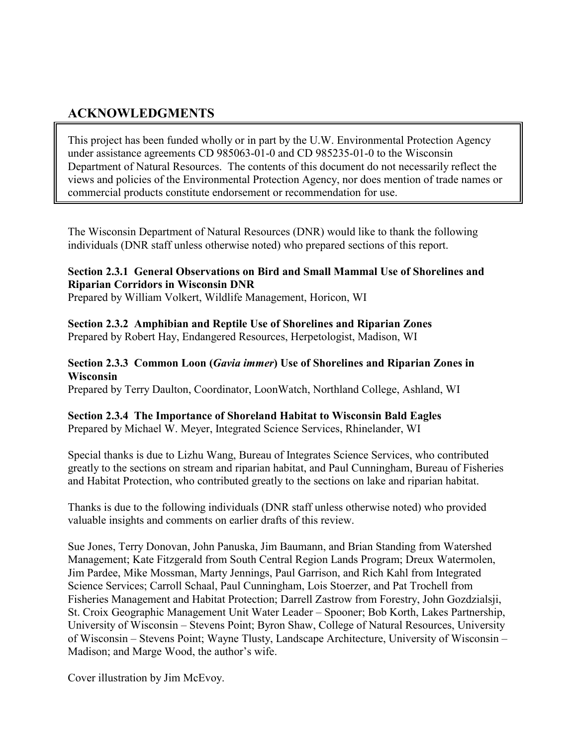# **ACKNOWLEDGMENTS**

This project has been funded wholly or in part by the U.W. Environmental Protection Agency under assistance agreements CD 985063-01-0 and CD 985235-01-0 to the Wisconsin Department of Natural Resources. The contents of this document do not necessarily reflect the views and policies of the Environmental Protection Agency, nor does mention of trade names or commercial products constitute endorsement or recommendation for use.

The Wisconsin Department of Natural Resources (DNR) would like to thank the following individuals (DNR staff unless otherwise noted) who prepared sections of this report.

### **Section 2.3.1 General Observations on Bird and Small Mammal Use of Shorelines and Riparian Corridors in Wisconsin DNR**

Prepared by William Volkert, Wildlife Management, Horicon, WI

# **Section 2.3.2 Amphibian and Reptile Use of Shorelines and Riparian Zones**

Prepared by Robert Hay, Endangered Resources, Herpetologist, Madison, WI

#### **Section 2.3.3 Common Loon (***Gavia immer***) Use of Shorelines and Riparian Zones in Wisconsin**

Prepared by Terry Daulton, Coordinator, LoonWatch, Northland College, Ashland, WI

# **Section 2.3.4 The Importance of Shoreland Habitat to Wisconsin Bald Eagles**

Prepared by Michael W. Meyer, Integrated Science Services, Rhinelander, WI

Special thanks is due to Lizhu Wang, Bureau of Integrates Science Services, who contributed greatly to the sections on stream and riparian habitat, and Paul Cunningham, Bureau of Fisheries and Habitat Protection, who contributed greatly to the sections on lake and riparian habitat.

Thanks is due to the following individuals (DNR staff unless otherwise noted) who provided valuable insights and comments on earlier drafts of this review.

Sue Jones, Terry Donovan, John Panuska, Jim Baumann, and Brian Standing from Watershed Management; Kate Fitzgerald from South Central Region Lands Program; Dreux Watermolen, Jim Pardee, Mike Mossman, Marty Jennings, Paul Garrison, and Rich Kahl from Integrated Science Services; Carroll Schaal, Paul Cunningham, Lois Stoerzer, and Pat Trochell from Fisheries Management and Habitat Protection; Darrell Zastrow from Forestry, John Gozdzialsji, St. Croix Geographic Management Unit Water Leader – Spooner; Bob Korth, Lakes Partnership, University of Wisconsin – Stevens Point; Byron Shaw, College of Natural Resources, University of Wisconsin – Stevens Point; Wayne Tlusty, Landscape Architecture, University of Wisconsin – Madison; and Marge Wood, the author's wife.

Cover illustration by Jim McEvoy.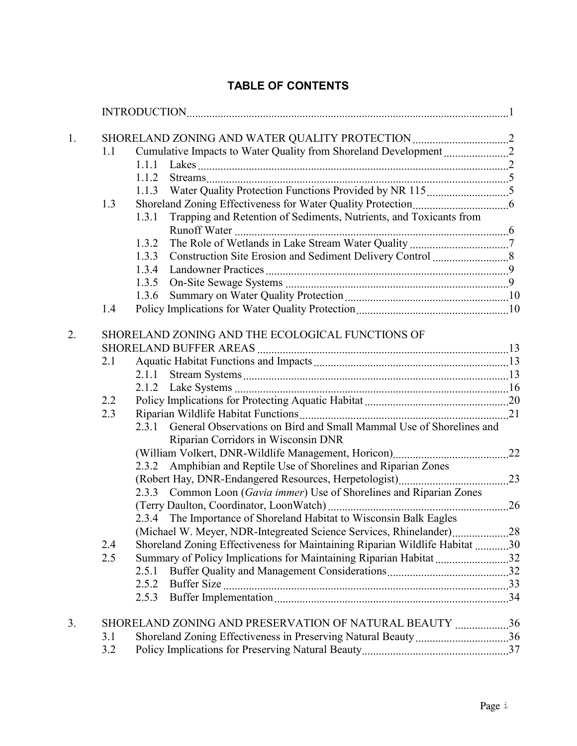# **TABLE OF CONTENTS**

| 1. |     |                                                                                                                  |  |  |
|----|-----|------------------------------------------------------------------------------------------------------------------|--|--|
|    | 1.1 |                                                                                                                  |  |  |
|    |     | 1.1.1                                                                                                            |  |  |
|    |     | 1.1.2                                                                                                            |  |  |
|    |     | 1.1.3                                                                                                            |  |  |
|    | 1.3 |                                                                                                                  |  |  |
|    |     | Trapping and Retention of Sediments, Nutrients, and Toxicants from<br>1.3.1                                      |  |  |
|    |     | 1.3.2                                                                                                            |  |  |
|    |     | 1.3.3                                                                                                            |  |  |
|    |     | 1.3.4                                                                                                            |  |  |
|    |     | 1.3.5                                                                                                            |  |  |
|    |     | 1.3.6                                                                                                            |  |  |
|    | 1.4 |                                                                                                                  |  |  |
| 2. |     | SHORELAND ZONING AND THE ECOLOGICAL FUNCTIONS OF                                                                 |  |  |
|    |     |                                                                                                                  |  |  |
|    | 2.1 |                                                                                                                  |  |  |
|    |     |                                                                                                                  |  |  |
|    |     |                                                                                                                  |  |  |
|    | 2.2 |                                                                                                                  |  |  |
|    | 2.3 |                                                                                                                  |  |  |
|    |     | 2.3.1 General Observations on Bird and Small Mammal Use of Shorelines and<br>Riparian Corridors in Wisconsin DNR |  |  |
|    |     |                                                                                                                  |  |  |
|    |     | Amphibian and Reptile Use of Shorelines and Riparian Zones<br>2.3.2                                              |  |  |
|    |     |                                                                                                                  |  |  |
|    |     | 2.3.3 Common Loon (Gavia immer) Use of Shorelines and Riparian Zones                                             |  |  |
|    |     | 26                                                                                                               |  |  |
|    |     | 2.3.4 The Importance of Shoreland Habitat to Wisconsin Balk Eagles                                               |  |  |
|    |     | (Michael W. Meyer, NDR-Integreated Science Services, Rhinelander)28                                              |  |  |
|    | 2.4 | Shoreland Zoning Effectiveness for Maintaining Riparian Wildlife Habitat 30                                      |  |  |
|    | 2.5 | Summary of Policy Implications for Maintaining Riparian Habitat 32                                               |  |  |
|    |     | 2.5.1                                                                                                            |  |  |
|    |     | 2.5.2                                                                                                            |  |  |
|    |     | 2.5.3                                                                                                            |  |  |
| 3. |     | SHORELAND ZONING AND PRESERVATION OF NATURAL BEAUTY 36                                                           |  |  |
|    | 3.1 | Shoreland Zoning Effectiveness in Preserving Natural Beauty 36                                                   |  |  |
|    | 3.2 |                                                                                                                  |  |  |
|    |     |                                                                                                                  |  |  |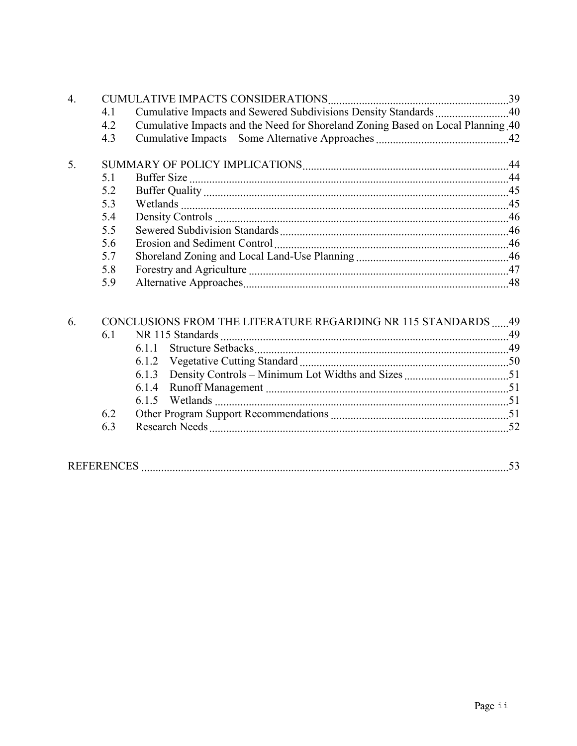| $\overline{4}$ . |     |                                                                                 |  |
|------------------|-----|---------------------------------------------------------------------------------|--|
|                  | 4.1 | Cumulative Impacts and Sewered Subdivisions Density Standards 40                |  |
|                  | 4.2 | Cumulative Impacts and the Need for Shoreland Zoning Based on Local Planning 40 |  |
|                  | 4.3 |                                                                                 |  |
| 5.               |     |                                                                                 |  |
|                  | 5.1 |                                                                                 |  |
|                  | 5.2 |                                                                                 |  |
|                  | 5.3 |                                                                                 |  |
|                  | 5.4 |                                                                                 |  |
|                  | 5.5 |                                                                                 |  |
|                  | 5.6 |                                                                                 |  |
|                  | 5.7 |                                                                                 |  |
|                  | 5.8 |                                                                                 |  |
|                  | 5.9 |                                                                                 |  |
| 6.               |     | CONCLUSIONS FROM THE LITERATURE REGARDING NR 115 STANDARDS  49                  |  |
|                  | 6.1 |                                                                                 |  |
|                  |     | 6.1.1                                                                           |  |
|                  |     |                                                                                 |  |
|                  |     |                                                                                 |  |
|                  |     | 6.1.4                                                                           |  |
|                  |     |                                                                                 |  |
|                  | 6.2 |                                                                                 |  |
|                  | 6.3 |                                                                                 |  |
|                  |     |                                                                                 |  |
|                  |     |                                                                                 |  |

| <b>DEEED</b><br>KEI |  |  |
|---------------------|--|--|
|---------------------|--|--|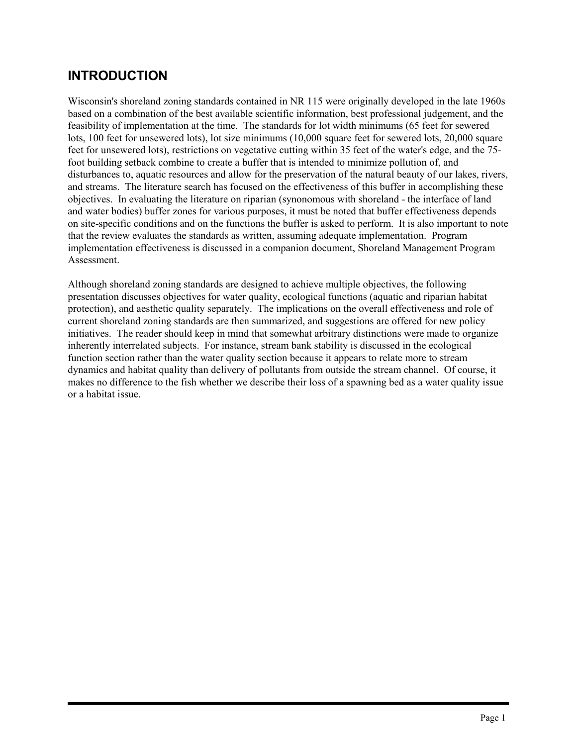# **INTRODUCTION**

Wisconsin's shoreland zoning standards contained in NR 115 were originally developed in the late 1960s based on a combination of the best available scientific information, best professional judgement, and the feasibility of implementation at the time. The standards for lot width minimums (65 feet for sewered lots, 100 feet for unsewered lots), lot size minimums (10,000 square feet for sewered lots, 20,000 square feet for unsewered lots), restrictions on vegetative cutting within 35 feet of the water's edge, and the 75 foot building setback combine to create a buffer that is intended to minimize pollution of, and disturbances to, aquatic resources and allow for the preservation of the natural beauty of our lakes, rivers, and streams. The literature search has focused on the effectiveness of this buffer in accomplishing these objectives. In evaluating the literature on riparian (synonomous with shoreland - the interface of land and water bodies) buffer zones for various purposes, it must be noted that buffer effectiveness depends on site-specific conditions and on the functions the buffer is asked to perform. It is also important to note that the review evaluates the standards as written, assuming adequate implementation. Program implementation effectiveness is discussed in a companion document, Shoreland Management Program Assessment.

Although shoreland zoning standards are designed to achieve multiple objectives, the following presentation discusses objectives for water quality, ecological functions (aquatic and riparian habitat protection), and aesthetic quality separately. The implications on the overall effectiveness and role of current shoreland zoning standards are then summarized, and suggestions are offered for new policy initiatives. The reader should keep in mind that somewhat arbitrary distinctions were made to organize inherently interrelated subjects. For instance, stream bank stability is discussed in the ecological function section rather than the water quality section because it appears to relate more to stream dynamics and habitat quality than delivery of pollutants from outside the stream channel. Of course, it makes no difference to the fish whether we describe their loss of a spawning bed as a water quality issue or a habitat issue.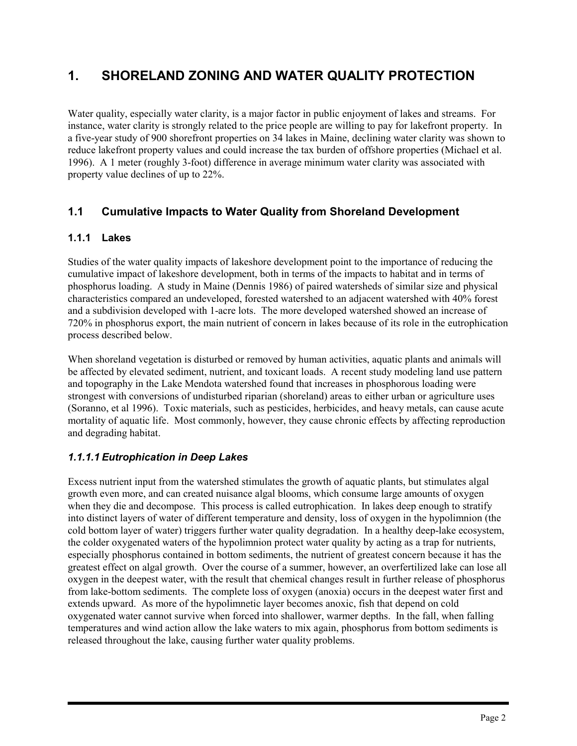# **1. SHORELAND ZONING AND WATER QUALITY PROTECTION**

Water quality, especially water clarity, is a major factor in public enjoyment of lakes and streams. For instance, water clarity is strongly related to the price people are willing to pay for lakefront property. In a five-year study of 900 shorefront properties on 34 lakes in Maine, declining water clarity was shown to reduce lakefront property values and could increase the tax burden of offshore properties (Michael et al. 1996). A 1 meter (roughly 3-foot) difference in average minimum water clarity was associated with property value declines of up to 22%.

# **1.1 Cumulative Impacts to Water Quality from Shoreland Development**

#### **1.1.1 Lakes**

Studies of the water quality impacts of lakeshore development point to the importance of reducing the cumulative impact of lakeshore development, both in terms of the impacts to habitat and in terms of phosphorus loading. A study in Maine (Dennis 1986) of paired watersheds of similar size and physical characteristics compared an undeveloped, forested watershed to an adjacent watershed with 40% forest and a subdivision developed with 1-acre lots. The more developed watershed showed an increase of 720% in phosphorus export, the main nutrient of concern in lakes because of its role in the eutrophication process described below.

When shoreland vegetation is disturbed or removed by human activities, aquatic plants and animals will be affected by elevated sediment, nutrient, and toxicant loads. A recent study modeling land use pattern and topography in the Lake Mendota watershed found that increases in phosphorous loading were strongest with conversions of undisturbed riparian (shoreland) areas to either urban or agriculture uses (Soranno, et al 1996). Toxic materials, such as pesticides, herbicides, and heavy metals, can cause acute mortality of aquatic life. Most commonly, however, they cause chronic effects by affecting reproduction and degrading habitat.

# *1.1.1.1 Eutrophication in Deep Lakes*

Excess nutrient input from the watershed stimulates the growth of aquatic plants, but stimulates algal growth even more, and can created nuisance algal blooms, which consume large amounts of oxygen when they die and decompose. This process is called eutrophication. In lakes deep enough to stratify into distinct layers of water of different temperature and density, loss of oxygen in the hypolimnion (the cold bottom layer of water) triggers further water quality degradation. In a healthy deep-lake ecosystem, the colder oxygenated waters of the hypolimnion protect water quality by acting as a trap for nutrients, especially phosphorus contained in bottom sediments, the nutrient of greatest concern because it has the greatest effect on algal growth. Over the course of a summer, however, an overfertilized lake can lose all oxygen in the deepest water, with the result that chemical changes result in further release of phosphorus from lake-bottom sediments. The complete loss of oxygen (anoxia) occurs in the deepest water first and extends upward. As more of the hypolimnetic layer becomes anoxic, fish that depend on cold oxygenated water cannot survive when forced into shallower, warmer depths. In the fall, when falling temperatures and wind action allow the lake waters to mix again, phosphorus from bottom sediments is released throughout the lake, causing further water quality problems.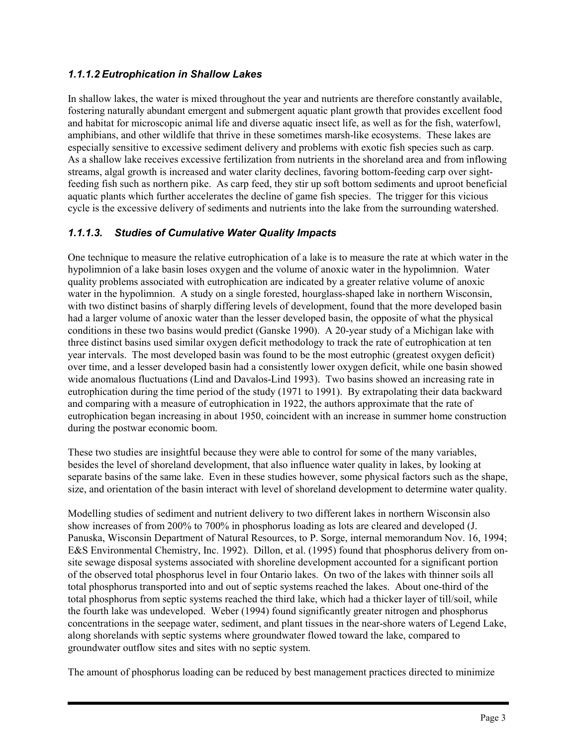# *1.1.1.2 Eutrophication in Shallow Lakes*

In shallow lakes, the water is mixed throughout the year and nutrients are therefore constantly available, fostering naturally abundant emergent and submergent aquatic plant growth that provides excellent food and habitat for microscopic animal life and diverse aquatic insect life, as well as for the fish, waterfowl, amphibians, and other wildlife that thrive in these sometimes marsh-like ecosystems. These lakes are especially sensitive to excessive sediment delivery and problems with exotic fish species such as carp. As a shallow lake receives excessive fertilization from nutrients in the shoreland area and from inflowing streams, algal growth is increased and water clarity declines, favoring bottom-feeding carp over sightfeeding fish such as northern pike. As carp feed, they stir up soft bottom sediments and uproot beneficial aquatic plants which further accelerates the decline of game fish species. The trigger for this vicious cycle is the excessive delivery of sediments and nutrients into the lake from the surrounding watershed.

# *1.1.1.3. Studies of Cumulative Water Quality Impacts*

One technique to measure the relative eutrophication of a lake is to measure the rate at which water in the hypolimnion of a lake basin loses oxygen and the volume of anoxic water in the hypolimnion. Water quality problems associated with eutrophication are indicated by a greater relative volume of anoxic water in the hypolimnion. A study on a single forested, hourglass-shaped lake in northern Wisconsin, with two distinct basins of sharply differing levels of development, found that the more developed basin had a larger volume of anoxic water than the lesser developed basin, the opposite of what the physical conditions in these two basins would predict (Ganske 1990). A 20-year study of a Michigan lake with three distinct basins used similar oxygen deficit methodology to track the rate of eutrophication at ten year intervals. The most developed basin was found to be the most eutrophic (greatest oxygen deficit) over time, and a lesser developed basin had a consistently lower oxygen deficit, while one basin showed wide anomalous fluctuations (Lind and Davalos-Lind 1993). Two basins showed an increasing rate in eutrophication during the time period of the study (1971 to 1991). By extrapolating their data backward and comparing with a measure of eutrophication in 1922, the authors approximate that the rate of eutrophication began increasing in about 1950, coincident with an increase in summer home construction during the postwar economic boom.

These two studies are insightful because they were able to control for some of the many variables, besides the level of shoreland development, that also influence water quality in lakes, by looking at separate basins of the same lake. Even in these studies however, some physical factors such as the shape, size, and orientation of the basin interact with level of shoreland development to determine water quality.

Modelling studies of sediment and nutrient delivery to two different lakes in northern Wisconsin also show increases of from 200% to 700% in phosphorus loading as lots are cleared and developed (J. Panuska, Wisconsin Department of Natural Resources, to P. Sorge, internal memorandum Nov. 16, 1994; E&S Environmental Chemistry, Inc. 1992). Dillon, et al. (1995) found that phosphorus delivery from onsite sewage disposal systems associated with shoreline development accounted for a significant portion of the observed total phosphorus level in four Ontario lakes. On two of the lakes with thinner soils all total phosphorus transported into and out of septic systems reached the lakes. About one-third of the total phosphorus from septic systems reached the third lake, which had a thicker layer of till/soil, while the fourth lake was undeveloped. Weber (1994) found significantly greater nitrogen and phosphorus concentrations in the seepage water, sediment, and plant tissues in the near-shore waters of Legend Lake, along shorelands with septic systems where groundwater flowed toward the lake, compared to groundwater outflow sites and sites with no septic system.

The amount of phosphorus loading can be reduced by best management practices directed to minimize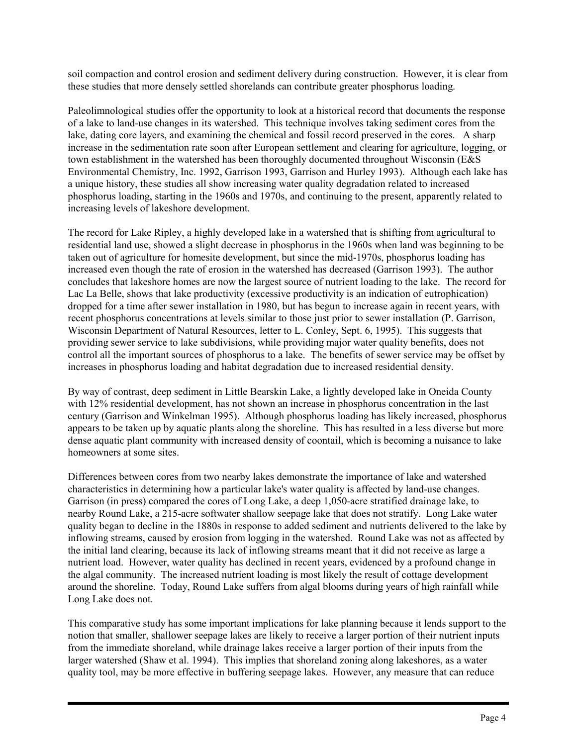soil compaction and control erosion and sediment delivery during construction. However, it is clear from these studies that more densely settled shorelands can contribute greater phosphorus loading.

Paleolimnological studies offer the opportunity to look at a historical record that documents the response of a lake to land-use changes in its watershed. This technique involves taking sediment cores from the lake, dating core layers, and examining the chemical and fossil record preserved in the cores. A sharp increase in the sedimentation rate soon after European settlement and clearing for agriculture, logging, or town establishment in the watershed has been thoroughly documented throughout Wisconsin (E&S Environmental Chemistry, Inc. 1992, Garrison 1993, Garrison and Hurley 1993). Although each lake has a unique history, these studies all show increasing water quality degradation related to increased phosphorus loading, starting in the 1960s and 1970s, and continuing to the present, apparently related to increasing levels of lakeshore development.

The record for Lake Ripley, a highly developed lake in a watershed that is shifting from agricultural to residential land use, showed a slight decrease in phosphorus in the 1960s when land was beginning to be taken out of agriculture for homesite development, but since the mid-1970s, phosphorus loading has increased even though the rate of erosion in the watershed has decreased (Garrison 1993). The author concludes that lakeshore homes are now the largest source of nutrient loading to the lake. The record for Lac La Belle, shows that lake productivity (excessive productivity is an indication of eutrophication) dropped for a time after sewer installation in 1980, but has begun to increase again in recent years, with recent phosphorus concentrations at levels similar to those just prior to sewer installation (P. Garrison, Wisconsin Department of Natural Resources, letter to L. Conley, Sept. 6, 1995). This suggests that providing sewer service to lake subdivisions, while providing major water quality benefits, does not control all the important sources of phosphorus to a lake. The benefits of sewer service may be offset by increases in phosphorus loading and habitat degradation due to increased residential density.

By way of contrast, deep sediment in Little Bearskin Lake, a lightly developed lake in Oneida County with 12% residential development, has not shown an increase in phosphorus concentration in the last century (Garrison and Winkelman 1995). Although phosphorus loading has likely increased, phosphorus appears to be taken up by aquatic plants along the shoreline. This has resulted in a less diverse but more dense aquatic plant community with increased density of coontail, which is becoming a nuisance to lake homeowners at some sites.

Differences between cores from two nearby lakes demonstrate the importance of lake and watershed characteristics in determining how a particular lake's water quality is affected by land-use changes. Garrison (in press) compared the cores of Long Lake, a deep 1,050-acre stratified drainage lake, to nearby Round Lake, a 215-acre softwater shallow seepage lake that does not stratify. Long Lake water quality began to decline in the 1880s in response to added sediment and nutrients delivered to the lake by inflowing streams, caused by erosion from logging in the watershed. Round Lake was not as affected by the initial land clearing, because its lack of inflowing streams meant that it did not receive as large a nutrient load. However, water quality has declined in recent years, evidenced by a profound change in the algal community. The increased nutrient loading is most likely the result of cottage development around the shoreline. Today, Round Lake suffers from algal blooms during years of high rainfall while Long Lake does not.

This comparative study has some important implications for lake planning because it lends support to the notion that smaller, shallower seepage lakes are likely to receive a larger portion of their nutrient inputs from the immediate shoreland, while drainage lakes receive a larger portion of their inputs from the larger watershed (Shaw et al. 1994). This implies that shoreland zoning along lakeshores, as a water quality tool, may be more effective in buffering seepage lakes. However, any measure that can reduce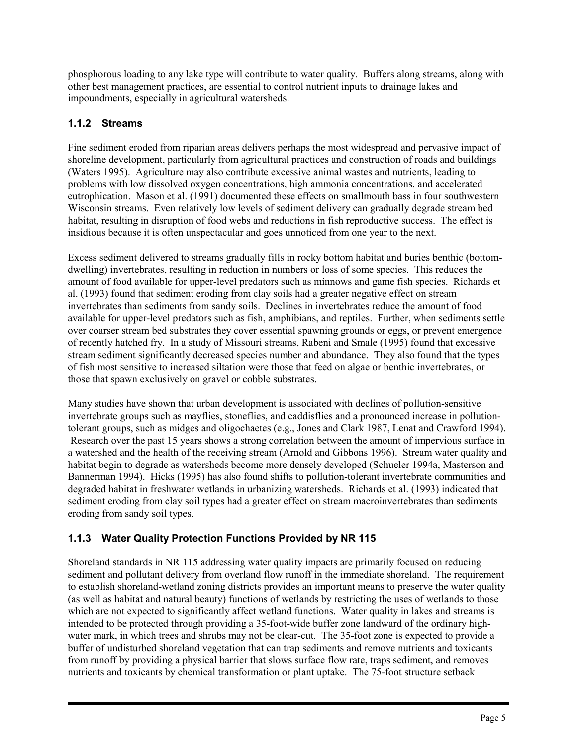phosphorous loading to any lake type will contribute to water quality. Buffers along streams, along with other best management practices, are essential to control nutrient inputs to drainage lakes and impoundments, especially in agricultural watersheds.

# **1.1.2 Streams**

Fine sediment eroded from riparian areas delivers perhaps the most widespread and pervasive impact of shoreline development, particularly from agricultural practices and construction of roads and buildings (Waters 1995). Agriculture may also contribute excessive animal wastes and nutrients, leading to problems with low dissolved oxygen concentrations, high ammonia concentrations, and accelerated eutrophication. Mason et al. (1991) documented these effects on smallmouth bass in four southwestern Wisconsin streams. Even relatively low levels of sediment delivery can gradually degrade stream bed habitat, resulting in disruption of food webs and reductions in fish reproductive success. The effect is insidious because it is often unspectacular and goes unnoticed from one year to the next.

Excess sediment delivered to streams gradually fills in rocky bottom habitat and buries benthic (bottomdwelling) invertebrates, resulting in reduction in numbers or loss of some species. This reduces the amount of food available for upper-level predators such as minnows and game fish species. Richards et al. (1993) found that sediment eroding from clay soils had a greater negative effect on stream invertebrates than sediments from sandy soils. Declines in invertebrates reduce the amount of food available for upper-level predators such as fish, amphibians, and reptiles. Further, when sediments settle over coarser stream bed substrates they cover essential spawning grounds or eggs, or prevent emergence of recently hatched fry. In a study of Missouri streams, Rabeni and Smale (1995) found that excessive stream sediment significantly decreased species number and abundance. They also found that the types of fish most sensitive to increased siltation were those that feed on algae or benthic invertebrates, or those that spawn exclusively on gravel or cobble substrates.

Many studies have shown that urban development is associated with declines of pollution-sensitive invertebrate groups such as mayflies, stoneflies, and caddisflies and a pronounced increase in pollutiontolerant groups, such as midges and oligochaetes (e.g., Jones and Clark 1987, Lenat and Crawford 1994). Research over the past 15 years shows a strong correlation between the amount of impervious surface in a watershed and the health of the receiving stream (Arnold and Gibbons 1996). Stream water quality and habitat begin to degrade as watersheds become more densely developed (Schueler 1994a, Masterson and Bannerman 1994). Hicks (1995) has also found shifts to pollution-tolerant invertebrate communities and degraded habitat in freshwater wetlands in urbanizing watersheds. Richards et al. (1993) indicated that sediment eroding from clay soil types had a greater effect on stream macroinvertebrates than sediments eroding from sandy soil types.

# **1.1.3 Water Quality Protection Functions Provided by NR 115**

Shoreland standards in NR 115 addressing water quality impacts are primarily focused on reducing sediment and pollutant delivery from overland flow runoff in the immediate shoreland. The requirement to establish shoreland-wetland zoning districts provides an important means to preserve the water quality (as well as habitat and natural beauty) functions of wetlands by restricting the uses of wetlands to those which are not expected to significantly affect wetland functions. Water quality in lakes and streams is intended to be protected through providing a 35-foot-wide buffer zone landward of the ordinary highwater mark, in which trees and shrubs may not be clear-cut. The 35-foot zone is expected to provide a buffer of undisturbed shoreland vegetation that can trap sediments and remove nutrients and toxicants from runoff by providing a physical barrier that slows surface flow rate, traps sediment, and removes nutrients and toxicants by chemical transformation or plant uptake. The 75-foot structure setback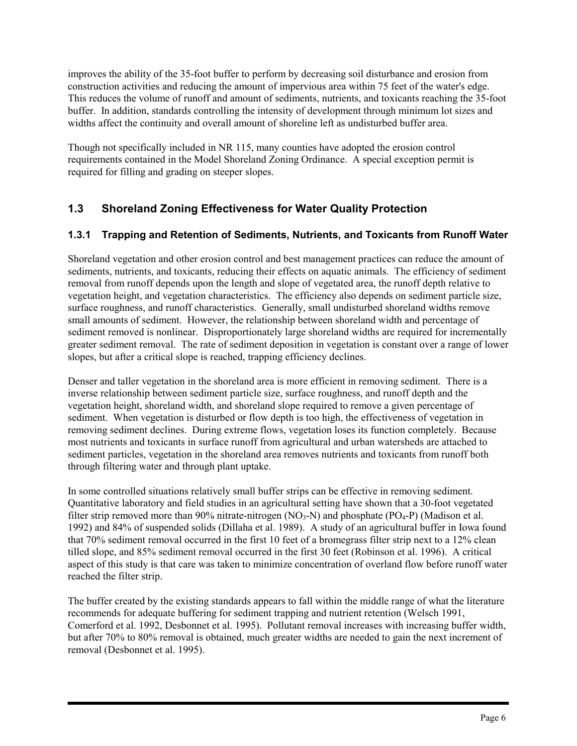improves the ability of the 35-foot buffer to perform by decreasing soil disturbance and erosion from construction activities and reducing the amount of impervious area within 75 feet of the water's edge. This reduces the volume of runoff and amount of sediments, nutrients, and toxicants reaching the 35-foot buffer. In addition, standards controlling the intensity of development through minimum lot sizes and widths affect the continuity and overall amount of shoreline left as undisturbed buffer area.

Though not specifically included in NR 115, many counties have adopted the erosion control requirements contained in the Model Shoreland Zoning Ordinance. A special exception permit is required for filling and grading on steeper slopes.

# **1.3 Shoreland Zoning Effectiveness for Water Quality Protection**

# **1.3.1 Trapping and Retention of Sediments, Nutrients, and Toxicants from Runoff Water**

Shoreland vegetation and other erosion control and best management practices can reduce the amount of sediments, nutrients, and toxicants, reducing their effects on aquatic animals. The efficiency of sediment removal from runoff depends upon the length and slope of vegetated area, the runoff depth relative to vegetation height, and vegetation characteristics. The efficiency also depends on sediment particle size, surface roughness, and runoff characteristics. Generally, small undisturbed shoreland widths remove small amounts of sediment. However, the relationship between shoreland width and percentage of sediment removed is nonlinear. Disproportionately large shoreland widths are required for incrementally greater sediment removal. The rate of sediment deposition in vegetation is constant over a range of lower slopes, but after a critical slope is reached, trapping efficiency declines.

Denser and taller vegetation in the shoreland area is more efficient in removing sediment. There is a inverse relationship between sediment particle size, surface roughness, and runoff depth and the vegetation height, shoreland width, and shoreland slope required to remove a given percentage of sediment. When vegetation is disturbed or flow depth is too high, the effectiveness of vegetation in removing sediment declines. During extreme flows, vegetation loses its function completely. Because most nutrients and toxicants in surface runoff from agricultural and urban watersheds are attached to sediment particles, vegetation in the shoreland area removes nutrients and toxicants from runoff both through filtering water and through plant uptake.

In some controlled situations relatively small buffer strips can be effective in removing sediment. Quantitative laboratory and field studies in an agricultural setting have shown that a 30-foot vegetated filter strip removed more than 90% nitrate-nitrogen  $(NO<sub>3</sub>-N)$  and phosphate  $(PO<sub>4</sub>-P)$  (Madison et al. 1992) and 84% of suspended solids (Dillaha et al. 1989). A study of an agricultural buffer in Iowa found that 70% sediment removal occurred in the first 10 feet of a bromegrass filter strip next to a 12% clean tilled slope, and 85% sediment removal occurred in the first 30 feet (Robinson et al. 1996). A critical aspect of this study is that care was taken to minimize concentration of overland flow before runoff water reached the filter strip.

The buffer created by the existing standards appears to fall within the middle range of what the literature recommends for adequate buffering for sediment trapping and nutrient retention (Welsch 1991, Comerford et al. 1992, Desbonnet et al. 1995). Pollutant removal increases with increasing buffer width, but after 70% to 80% removal is obtained, much greater widths are needed to gain the next increment of removal (Desbonnet et al. 1995).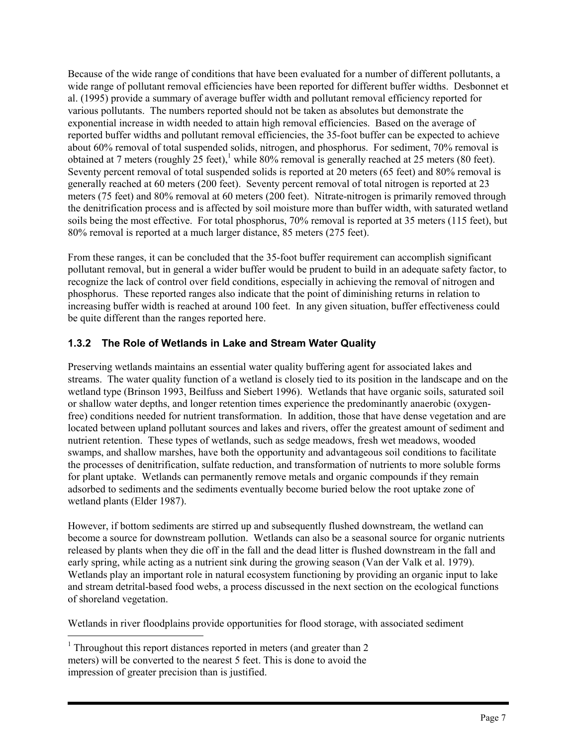Because of the wide range of conditions that have been evaluated for a number of different pollutants, a wide range of pollutant removal efficiencies have been reported for different buffer widths. Desbonnet et al. (1995) provide a summary of average buffer width and pollutant removal efficiency reported for various pollutants. The numbers reported should not be taken as absolutes but demonstrate the exponential increase in width needed to attain high removal efficiencies. Based on the average of reported buffer widths and pollutant removal efficiencies, the 35-foot buffer can be expected to achieve about 60% removal of total suspended solids, nitrogen, and phosphorus. For sediment, 70% removal is obtained at 7 meters (roughly  $25$  feet),<sup>[1](#page-11-0)</sup> while 80% removal is generally reached at 25 meters (80 feet). Seventy percent removal of total suspended solids is reported at 20 meters (65 feet) and 80% removal is generally reached at 60 meters (200 feet). Seventy percent removal of total nitrogen is reported at 23 meters (75 feet) and 80% removal at 60 meters (200 feet). Nitrate-nitrogen is primarily removed through the denitrification process and is affected by soil moisture more than buffer width, with saturated wetland soils being the most effective. For total phosphorus, 70% removal is reported at 35 meters (115 feet), but 80% removal is reported at a much larger distance, 85 meters (275 feet).

From these ranges, it can be concluded that the 35-foot buffer requirement can accomplish significant pollutant removal, but in general a wider buffer would be prudent to build in an adequate safety factor, to recognize the lack of control over field conditions, especially in achieving the removal of nitrogen and phosphorus. These reported ranges also indicate that the point of diminishing returns in relation to increasing buffer width is reached at around 100 feet. In any given situation, buffer effectiveness could be quite different than the ranges reported here.

# **1.3.2 The Role of Wetlands in Lake and Stream Water Quality**

Preserving wetlands maintains an essential water quality buffering agent for associated lakes and streams. The water quality function of a wetland is closely tied to its position in the landscape and on the wetland type (Brinson 1993, Beilfuss and Siebert 1996). Wetlands that have organic soils, saturated soil or shallow water depths, and longer retention times experience the predominantly anaerobic (oxygenfree) conditions needed for nutrient transformation. In addition, those that have dense vegetation and are located between upland pollutant sources and lakes and rivers, offer the greatest amount of sediment and nutrient retention. These types of wetlands, such as sedge meadows, fresh wet meadows, wooded swamps, and shallow marshes, have both the opportunity and advantageous soil conditions to facilitate the processes of denitrification, sulfate reduction, and transformation of nutrients to more soluble forms for plant uptake. Wetlands can permanently remove metals and organic compounds if they remain adsorbed to sediments and the sediments eventually become buried below the root uptake zone of wetland plants (Elder 1987).

However, if bottom sediments are stirred up and subsequently flushed downstream, the wetland can become a source for downstream pollution. Wetlands can also be a seasonal source for organic nutrients released by plants when they die off in the fall and the dead litter is flushed downstream in the fall and early spring, while acting as a nutrient sink during the growing season (Van der Valk et al. 1979). Wetlands play an important role in natural ecosystem functioning by providing an organic input to lake and stream detrital-based food webs, a process discussed in the next section on the ecological functions of shoreland vegetation.

Wetlands in river floodplains provide opportunities for flood storage, with associated sediment

<span id="page-11-0"></span>i<br>Li  $1$  Throughout this report distances reported in meters (and greater than 2) meters) will be converted to the nearest 5 feet. This is done to avoid the impression of greater precision than is justified.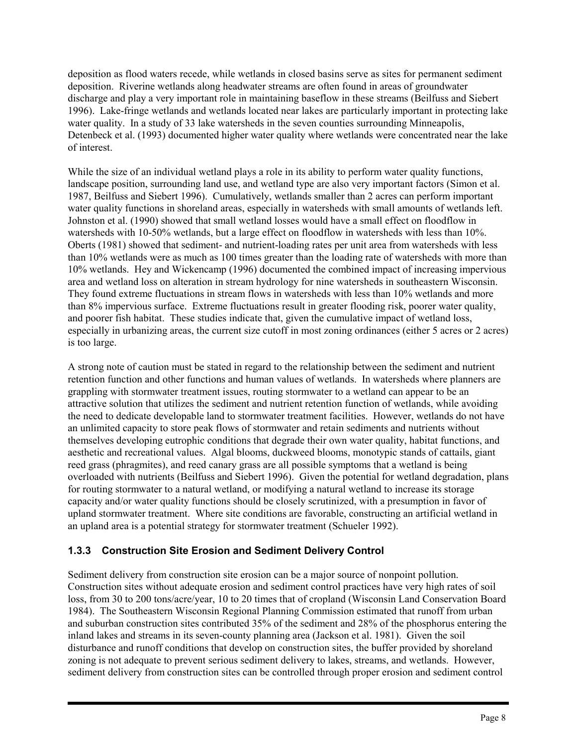deposition as flood waters recede, while wetlands in closed basins serve as sites for permanent sediment deposition. Riverine wetlands along headwater streams are often found in areas of groundwater discharge and play a very important role in maintaining baseflow in these streams (Beilfuss and Siebert 1996). Lake-fringe wetlands and wetlands located near lakes are particularly important in protecting lake water quality. In a study of 33 lake watersheds in the seven counties surrounding Minneapolis, Detenbeck et al. (1993) documented higher water quality where wetlands were concentrated near the lake of interest.

While the size of an individual wetland plays a role in its ability to perform water quality functions, landscape position, surrounding land use, and wetland type are also very important factors (Simon et al. 1987, Beilfuss and Siebert 1996). Cumulatively, wetlands smaller than 2 acres can perform important water quality functions in shoreland areas, especially in watersheds with small amounts of wetlands left. Johnston et al. (1990) showed that small wetland losses would have a small effect on floodflow in watersheds with 10-50% wetlands, but a large effect on floodflow in watersheds with less than 10%. Oberts (1981) showed that sediment- and nutrient-loading rates per unit area from watersheds with less than 10% wetlands were as much as 100 times greater than the loading rate of watersheds with more than 10% wetlands. Hey and Wickencamp (1996) documented the combined impact of increasing impervious area and wetland loss on alteration in stream hydrology for nine watersheds in southeastern Wisconsin. They found extreme fluctuations in stream flows in watersheds with less than 10% wetlands and more than 8% impervious surface. Extreme fluctuations result in greater flooding risk, poorer water quality, and poorer fish habitat. These studies indicate that, given the cumulative impact of wetland loss, especially in urbanizing areas, the current size cutoff in most zoning ordinances (either 5 acres or 2 acres) is too large.

A strong note of caution must be stated in regard to the relationship between the sediment and nutrient retention function and other functions and human values of wetlands. In watersheds where planners are grappling with stormwater treatment issues, routing stormwater to a wetland can appear to be an attractive solution that utilizes the sediment and nutrient retention function of wetlands, while avoiding the need to dedicate developable land to stormwater treatment facilities. However, wetlands do not have an unlimited capacity to store peak flows of stormwater and retain sediments and nutrients without themselves developing eutrophic conditions that degrade their own water quality, habitat functions, and aesthetic and recreational values. Algal blooms, duckweed blooms, monotypic stands of cattails, giant reed grass (phragmites), and reed canary grass are all possible symptoms that a wetland is being overloaded with nutrients (Beilfuss and Siebert 1996). Given the potential for wetland degradation, plans for routing stormwater to a natural wetland, or modifying a natural wetland to increase its storage capacity and/or water quality functions should be closely scrutinized, with a presumption in favor of upland stormwater treatment. Where site conditions are favorable, constructing an artificial wetland in an upland area is a potential strategy for stormwater treatment (Schueler 1992).

# **1.3.3 Construction Site Erosion and Sediment Delivery Control**

Sediment delivery from construction site erosion can be a major source of nonpoint pollution. Construction sites without adequate erosion and sediment control practices have very high rates of soil loss, from 30 to 200 tons/acre/year, 10 to 20 times that of cropland (Wisconsin Land Conservation Board 1984). The Southeastern Wisconsin Regional Planning Commission estimated that runoff from urban and suburban construction sites contributed 35% of the sediment and 28% of the phosphorus entering the inland lakes and streams in its seven-county planning area (Jackson et al. 1981). Given the soil disturbance and runoff conditions that develop on construction sites, the buffer provided by shoreland zoning is not adequate to prevent serious sediment delivery to lakes, streams, and wetlands. However, sediment delivery from construction sites can be controlled through proper erosion and sediment control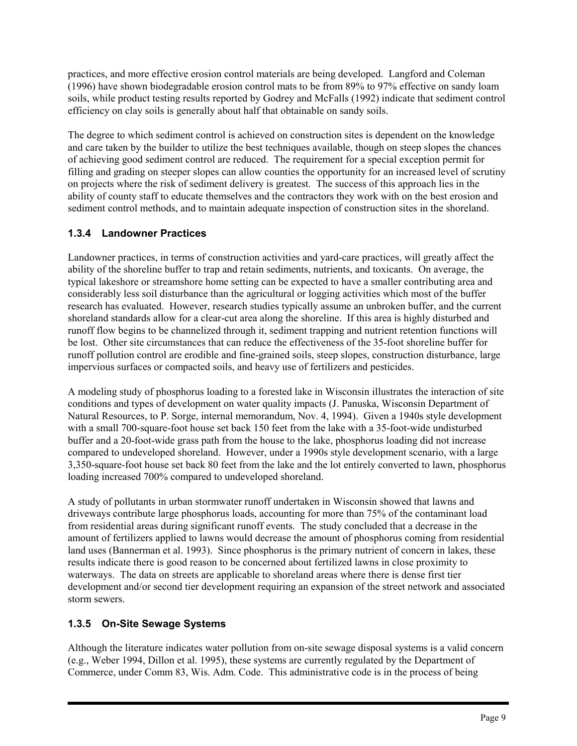practices, and more effective erosion control materials are being developed. Langford and Coleman (1996) have shown biodegradable erosion control mats to be from 89% to 97% effective on sandy loam soils, while product testing results reported by Godrey and McFalls (1992) indicate that sediment control efficiency on clay soils is generally about half that obtainable on sandy soils.

The degree to which sediment control is achieved on construction sites is dependent on the knowledge and care taken by the builder to utilize the best techniques available, though on steep slopes the chances of achieving good sediment control are reduced. The requirement for a special exception permit for filling and grading on steeper slopes can allow counties the opportunity for an increased level of scrutiny on projects where the risk of sediment delivery is greatest. The success of this approach lies in the ability of county staff to educate themselves and the contractors they work with on the best erosion and sediment control methods, and to maintain adequate inspection of construction sites in the shoreland.

# **1.3.4 Landowner Practices**

Landowner practices, in terms of construction activities and yard-care practices, will greatly affect the ability of the shoreline buffer to trap and retain sediments, nutrients, and toxicants. On average, the typical lakeshore or streamshore home setting can be expected to have a smaller contributing area and considerably less soil disturbance than the agricultural or logging activities which most of the buffer research has evaluated. However, research studies typically assume an unbroken buffer, and the current shoreland standards allow for a clear-cut area along the shoreline. If this area is highly disturbed and runoff flow begins to be channelized through it, sediment trapping and nutrient retention functions will be lost. Other site circumstances that can reduce the effectiveness of the 35-foot shoreline buffer for runoff pollution control are erodible and fine-grained soils, steep slopes, construction disturbance, large impervious surfaces or compacted soils, and heavy use of fertilizers and pesticides.

A modeling study of phosphorus loading to a forested lake in Wisconsin illustrates the interaction of site conditions and types of development on water quality impacts (J. Panuska, Wisconsin Department of Natural Resources, to P. Sorge, internal memorandum, Nov. 4, 1994). Given a 1940s style development with a small 700-square-foot house set back 150 feet from the lake with a 35-foot-wide undisturbed buffer and a 20-foot-wide grass path from the house to the lake, phosphorus loading did not increase compared to undeveloped shoreland. However, under a 1990s style development scenario, with a large 3,350-square-foot house set back 80 feet from the lake and the lot entirely converted to lawn, phosphorus loading increased 700% compared to undeveloped shoreland.

A study of pollutants in urban stormwater runoff undertaken in Wisconsin showed that lawns and driveways contribute large phosphorus loads, accounting for more than 75% of the contaminant load from residential areas during significant runoff events. The study concluded that a decrease in the amount of fertilizers applied to lawns would decrease the amount of phosphorus coming from residential land uses (Bannerman et al. 1993). Since phosphorus is the primary nutrient of concern in lakes, these results indicate there is good reason to be concerned about fertilized lawns in close proximity to waterways. The data on streets are applicable to shoreland areas where there is dense first tier development and/or second tier development requiring an expansion of the street network and associated storm sewers.

# **1.3.5 On-Site Sewage Systems**

Although the literature indicates water pollution from on-site sewage disposal systems is a valid concern (e.g., Weber 1994, Dillon et al. 1995), these systems are currently regulated by the Department of Commerce, under Comm 83, Wis. Adm. Code. This administrative code is in the process of being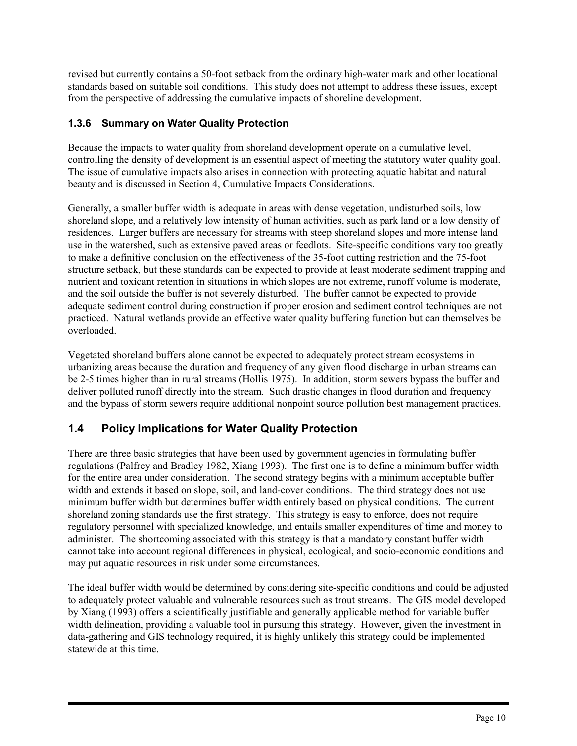revised but currently contains a 50-foot setback from the ordinary high-water mark and other locational standards based on suitable soil conditions. This study does not attempt to address these issues, except from the perspective of addressing the cumulative impacts of shoreline development.

# **1.3.6 Summary on Water Quality Protection**

Because the impacts to water quality from shoreland development operate on a cumulative level, controlling the density of development is an essential aspect of meeting the statutory water quality goal. The issue of cumulative impacts also arises in connection with protecting aquatic habitat and natural beauty and is discussed in Section 4, Cumulative Impacts Considerations.

Generally, a smaller buffer width is adequate in areas with dense vegetation, undisturbed soils, low shoreland slope, and a relatively low intensity of human activities, such as park land or a low density of residences. Larger buffers are necessary for streams with steep shoreland slopes and more intense land use in the watershed, such as extensive paved areas or feedlots. Site-specific conditions vary too greatly to make a definitive conclusion on the effectiveness of the 35-foot cutting restriction and the 75-foot structure setback, but these standards can be expected to provide at least moderate sediment trapping and nutrient and toxicant retention in situations in which slopes are not extreme, runoff volume is moderate, and the soil outside the buffer is not severely disturbed. The buffer cannot be expected to provide adequate sediment control during construction if proper erosion and sediment control techniques are not practiced. Natural wetlands provide an effective water quality buffering function but can themselves be overloaded.

Vegetated shoreland buffers alone cannot be expected to adequately protect stream ecosystems in urbanizing areas because the duration and frequency of any given flood discharge in urban streams can be 2-5 times higher than in rural streams (Hollis 1975). In addition, storm sewers bypass the buffer and deliver polluted runoff directly into the stream. Such drastic changes in flood duration and frequency and the bypass of storm sewers require additional nonpoint source pollution best management practices.

# **1.4 Policy Implications for Water Quality Protection**

There are three basic strategies that have been used by government agencies in formulating buffer regulations (Palfrey and Bradley 1982, Xiang 1993). The first one is to define a minimum buffer width for the entire area under consideration. The second strategy begins with a minimum acceptable buffer width and extends it based on slope, soil, and land-cover conditions. The third strategy does not use minimum buffer width but determines buffer width entirely based on physical conditions. The current shoreland zoning standards use the first strategy. This strategy is easy to enforce, does not require regulatory personnel with specialized knowledge, and entails smaller expenditures of time and money to administer. The shortcoming associated with this strategy is that a mandatory constant buffer width cannot take into account regional differences in physical, ecological, and socio-economic conditions and may put aquatic resources in risk under some circumstances.

The ideal buffer width would be determined by considering site-specific conditions and could be adjusted to adequately protect valuable and vulnerable resources such as trout streams. The GIS model developed by Xiang (1993) offers a scientifically justifiable and generally applicable method for variable buffer width delineation, providing a valuable tool in pursuing this strategy. However, given the investment in data-gathering and GIS technology required, it is highly unlikely this strategy could be implemented statewide at this time.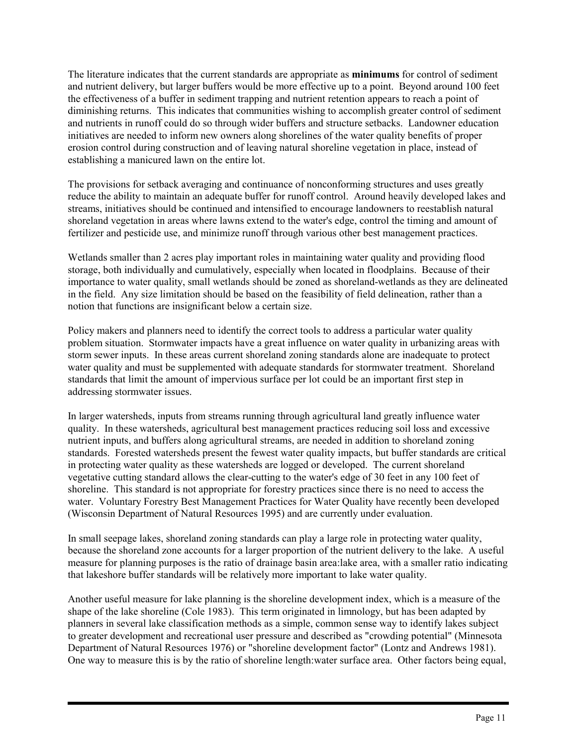The literature indicates that the current standards are appropriate as **minimums** for control of sediment and nutrient delivery, but larger buffers would be more effective up to a point. Beyond around 100 feet the effectiveness of a buffer in sediment trapping and nutrient retention appears to reach a point of diminishing returns. This indicates that communities wishing to accomplish greater control of sediment and nutrients in runoff could do so through wider buffers and structure setbacks. Landowner education initiatives are needed to inform new owners along shorelines of the water quality benefits of proper erosion control during construction and of leaving natural shoreline vegetation in place, instead of establishing a manicured lawn on the entire lot.

The provisions for setback averaging and continuance of nonconforming structures and uses greatly reduce the ability to maintain an adequate buffer for runoff control. Around heavily developed lakes and streams, initiatives should be continued and intensified to encourage landowners to reestablish natural shoreland vegetation in areas where lawns extend to the water's edge, control the timing and amount of fertilizer and pesticide use, and minimize runoff through various other best management practices.

Wetlands smaller than 2 acres play important roles in maintaining water quality and providing flood storage, both individually and cumulatively, especially when located in floodplains. Because of their importance to water quality, small wetlands should be zoned as shoreland-wetlands as they are delineated in the field. Any size limitation should be based on the feasibility of field delineation, rather than a notion that functions are insignificant below a certain size.

Policy makers and planners need to identify the correct tools to address a particular water quality problem situation. Stormwater impacts have a great influence on water quality in urbanizing areas with storm sewer inputs. In these areas current shoreland zoning standards alone are inadequate to protect water quality and must be supplemented with adequate standards for stormwater treatment. Shoreland standards that limit the amount of impervious surface per lot could be an important first step in addressing stormwater issues.

In larger watersheds, inputs from streams running through agricultural land greatly influence water quality. In these watersheds, agricultural best management practices reducing soil loss and excessive nutrient inputs, and buffers along agricultural streams, are needed in addition to shoreland zoning standards. Forested watersheds present the fewest water quality impacts, but buffer standards are critical in protecting water quality as these watersheds are logged or developed. The current shoreland vegetative cutting standard allows the clear-cutting to the water's edge of 30 feet in any 100 feet of shoreline. This standard is not appropriate for forestry practices since there is no need to access the water. Voluntary Forestry Best Management Practices for Water Quality have recently been developed (Wisconsin Department of Natural Resources 1995) and are currently under evaluation.

In small seepage lakes, shoreland zoning standards can play a large role in protecting water quality, because the shoreland zone accounts for a larger proportion of the nutrient delivery to the lake. A useful measure for planning purposes is the ratio of drainage basin area:lake area, with a smaller ratio indicating that lakeshore buffer standards will be relatively more important to lake water quality.

Another useful measure for lake planning is the shoreline development index, which is a measure of the shape of the lake shoreline (Cole 1983). This term originated in limnology, but has been adapted by planners in several lake classification methods as a simple, common sense way to identify lakes subject to greater development and recreational user pressure and described as "crowding potential" (Minnesota Department of Natural Resources 1976) or "shoreline development factor" (Lontz and Andrews 1981). One way to measure this is by the ratio of shoreline length:water surface area. Other factors being equal,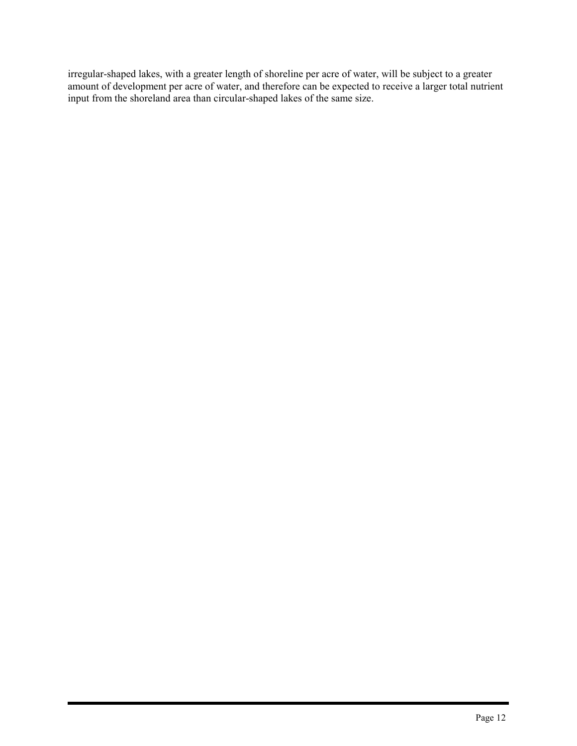irregular-shaped lakes, with a greater length of shoreline per acre of water, will be subject to a greater amount of development per acre of water, and therefore can be expected to receive a larger total nutrient input from the shoreland area than circular-shaped lakes of the same size.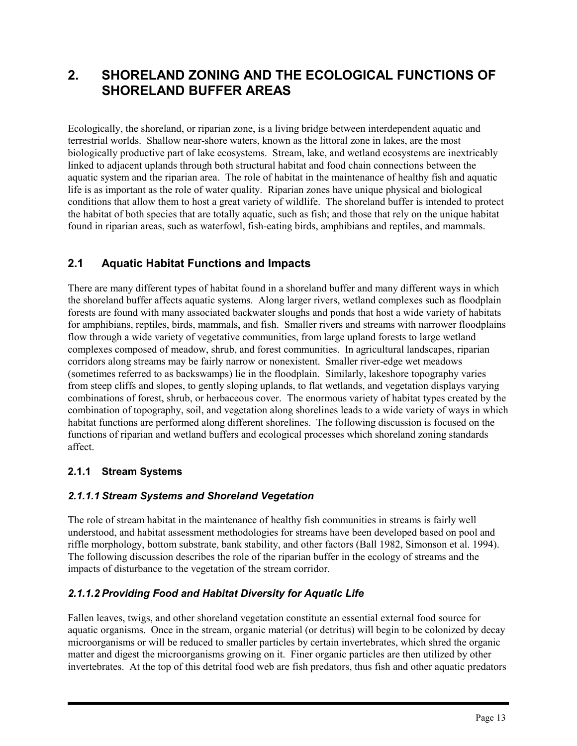# **2. SHORELAND ZONING AND THE ECOLOGICAL FUNCTIONS OF SHORELAND BUFFER AREAS**

Ecologically, the shoreland, or riparian zone, is a living bridge between interdependent aquatic and terrestrial worlds. Shallow near-shore waters, known as the littoral zone in lakes, are the most biologically productive part of lake ecosystems. Stream, lake, and wetland ecosystems are inextricably linked to adjacent uplands through both structural habitat and food chain connections between the aquatic system and the riparian area. The role of habitat in the maintenance of healthy fish and aquatic life is as important as the role of water quality. Riparian zones have unique physical and biological conditions that allow them to host a great variety of wildlife. The shoreland buffer is intended to protect the habitat of both species that are totally aquatic, such as fish; and those that rely on the unique habitat found in riparian areas, such as waterfowl, fish-eating birds, amphibians and reptiles, and mammals.

# **2.1 Aquatic Habitat Functions and Impacts**

There are many different types of habitat found in a shoreland buffer and many different ways in which the shoreland buffer affects aquatic systems. Along larger rivers, wetland complexes such as floodplain forests are found with many associated backwater sloughs and ponds that host a wide variety of habitats for amphibians, reptiles, birds, mammals, and fish. Smaller rivers and streams with narrower floodplains flow through a wide variety of vegetative communities, from large upland forests to large wetland complexes composed of meadow, shrub, and forest communities. In agricultural landscapes, riparian corridors along streams may be fairly narrow or nonexistent. Smaller river-edge wet meadows (sometimes referred to as backswamps) lie in the floodplain. Similarly, lakeshore topography varies from steep cliffs and slopes, to gently sloping uplands, to flat wetlands, and vegetation displays varying combinations of forest, shrub, or herbaceous cover. The enormous variety of habitat types created by the combination of topography, soil, and vegetation along shorelines leads to a wide variety of ways in which habitat functions are performed along different shorelines. The following discussion is focused on the functions of riparian and wetland buffers and ecological processes which shoreland zoning standards affect.

# **2.1.1 Stream Systems**

# *2.1.1.1 Stream Systems and Shoreland Vegetation*

The role of stream habitat in the maintenance of healthy fish communities in streams is fairly well understood, and habitat assessment methodologies for streams have been developed based on pool and riffle morphology, bottom substrate, bank stability, and other factors (Ball 1982, Simonson et al. 1994). The following discussion describes the role of the riparian buffer in the ecology of streams and the impacts of disturbance to the vegetation of the stream corridor.

# *2.1.1.2 Providing Food and Habitat Diversity for Aquatic Life*

Fallen leaves, twigs, and other shoreland vegetation constitute an essential external food source for aquatic organisms. Once in the stream, organic material (or detritus) will begin to be colonized by decay microorganisms or will be reduced to smaller particles by certain invertebrates, which shred the organic matter and digest the microorganisms growing on it. Finer organic particles are then utilized by other invertebrates. At the top of this detrital food web are fish predators, thus fish and other aquatic predators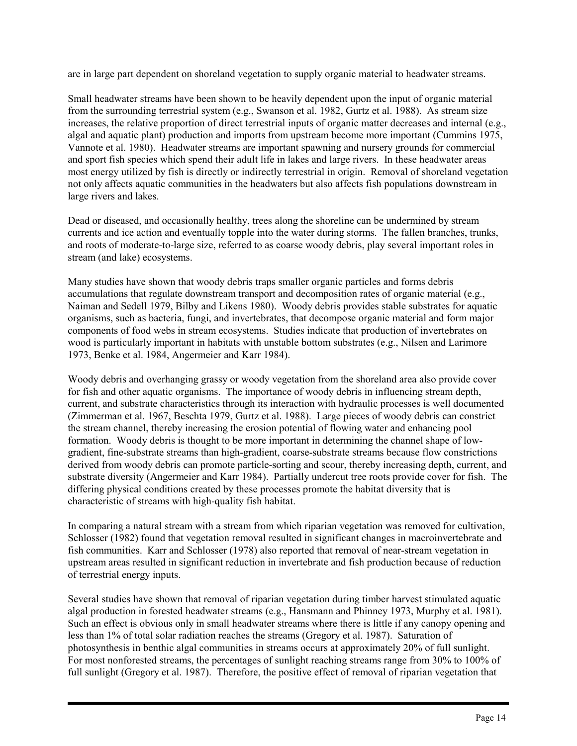are in large part dependent on shoreland vegetation to supply organic material to headwater streams.

Small headwater streams have been shown to be heavily dependent upon the input of organic material from the surrounding terrestrial system (e.g., Swanson et al. 1982, Gurtz et al. 1988). As stream size increases, the relative proportion of direct terrestrial inputs of organic matter decreases and internal (e.g., algal and aquatic plant) production and imports from upstream become more important (Cummins 1975, Vannote et al. 1980). Headwater streams are important spawning and nursery grounds for commercial and sport fish species which spend their adult life in lakes and large rivers. In these headwater areas most energy utilized by fish is directly or indirectly terrestrial in origin. Removal of shoreland vegetation not only affects aquatic communities in the headwaters but also affects fish populations downstream in large rivers and lakes.

Dead or diseased, and occasionally healthy, trees along the shoreline can be undermined by stream currents and ice action and eventually topple into the water during storms. The fallen branches, trunks, and roots of moderate-to-large size, referred to as coarse woody debris, play several important roles in stream (and lake) ecosystems.

Many studies have shown that woody debris traps smaller organic particles and forms debris accumulations that regulate downstream transport and decomposition rates of organic material (e.g., Naiman and Sedell 1979, Bilby and Likens 1980). Woody debris provides stable substrates for aquatic organisms, such as bacteria, fungi, and invertebrates, that decompose organic material and form major components of food webs in stream ecosystems. Studies indicate that production of invertebrates on wood is particularly important in habitats with unstable bottom substrates (e.g., Nilsen and Larimore 1973, Benke et al. 1984, Angermeier and Karr 1984).

Woody debris and overhanging grassy or woody vegetation from the shoreland area also provide cover for fish and other aquatic organisms. The importance of woody debris in influencing stream depth, current, and substrate characteristics through its interaction with hydraulic processes is well documented (Zimmerman et al. 1967, Beschta 1979, Gurtz et al. 1988). Large pieces of woody debris can constrict the stream channel, thereby increasing the erosion potential of flowing water and enhancing pool formation. Woody debris is thought to be more important in determining the channel shape of lowgradient, fine-substrate streams than high-gradient, coarse-substrate streams because flow constrictions derived from woody debris can promote particle-sorting and scour, thereby increasing depth, current, and substrate diversity (Angermeier and Karr 1984). Partially undercut tree roots provide cover for fish. The differing physical conditions created by these processes promote the habitat diversity that is characteristic of streams with high-quality fish habitat.

In comparing a natural stream with a stream from which riparian vegetation was removed for cultivation, Schlosser (1982) found that vegetation removal resulted in significant changes in macroinvertebrate and fish communities. Karr and Schlosser (1978) also reported that removal of near-stream vegetation in upstream areas resulted in significant reduction in invertebrate and fish production because of reduction of terrestrial energy inputs.

Several studies have shown that removal of riparian vegetation during timber harvest stimulated aquatic algal production in forested headwater streams (e.g., Hansmann and Phinney 1973, Murphy et al. 1981). Such an effect is obvious only in small headwater streams where there is little if any canopy opening and less than 1% of total solar radiation reaches the streams (Gregory et al. 1987). Saturation of photosynthesis in benthic algal communities in streams occurs at approximately 20% of full sunlight. For most nonforested streams, the percentages of sunlight reaching streams range from 30% to 100% of full sunlight (Gregory et al. 1987). Therefore, the positive effect of removal of riparian vegetation that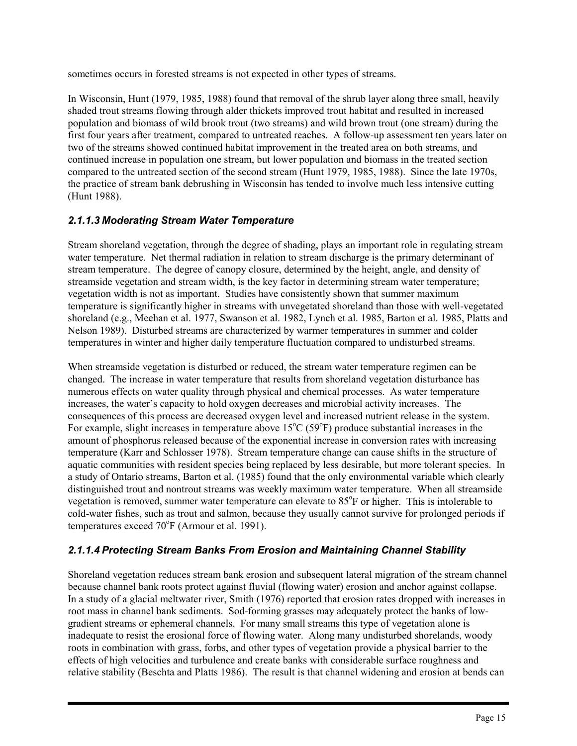sometimes occurs in forested streams is not expected in other types of streams.

In Wisconsin, Hunt (1979, 1985, 1988) found that removal of the shrub layer along three small, heavily shaded trout streams flowing through alder thickets improved trout habitat and resulted in increased population and biomass of wild brook trout (two streams) and wild brown trout (one stream) during the first four years after treatment, compared to untreated reaches. A follow-up assessment ten years later on two of the streams showed continued habitat improvement in the treated area on both streams, and continued increase in population one stream, but lower population and biomass in the treated section compared to the untreated section of the second stream (Hunt 1979, 1985, 1988). Since the late 1970s, the practice of stream bank debrushing in Wisconsin has tended to involve much less intensive cutting (Hunt 1988).

# *2.1.1.3 Moderating Stream Water Temperature*

Stream shoreland vegetation, through the degree of shading, plays an important role in regulating stream water temperature. Net thermal radiation in relation to stream discharge is the primary determinant of stream temperature. The degree of canopy closure, determined by the height, angle, and density of streamside vegetation and stream width, is the key factor in determining stream water temperature; vegetation width is not as important. Studies have consistently shown that summer maximum temperature is significantly higher in streams with unvegetated shoreland than those with well-vegetated shoreland (e.g., Meehan et al. 1977, Swanson et al. 1982, Lynch et al. 1985, Barton et al. 1985, Platts and Nelson 1989). Disturbed streams are characterized by warmer temperatures in summer and colder temperatures in winter and higher daily temperature fluctuation compared to undisturbed streams.

When streamside vegetation is disturbed or reduced, the stream water temperature regimen can be changed. The increase in water temperature that results from shoreland vegetation disturbance has numerous effects on water quality through physical and chemical processes. As water temperature increases, the water's capacity to hold oxygen decreases and microbial activity increases. The consequences of this process are decreased oxygen level and increased nutrient release in the system. For example, slight increases in temperature above  $15^{\circ}$ C (59 $^{\circ}$ F) produce substantial increases in the amount of phosphorus released because of the exponential increase in conversion rates with increasing temperature (Karr and Schlosser 1978). Stream temperature change can cause shifts in the structure of aquatic communities with resident species being replaced by less desirable, but more tolerant species. In a study of Ontario streams, Barton et al. (1985) found that the only environmental variable which clearly distinguished trout and nontrout streams was weekly maximum water temperature. When all streamside vegetation is removed, summer water temperature can elevate to 85°F or higher. This is intolerable to cold-water fishes, such as trout and salmon, because they usually cannot survive for prolonged periods if temperatures exceed  $70^{\circ}$ F (Armour et al. 1991).

# *2.1.1.4 Protecting Stream Banks From Erosion and Maintaining Channel Stability*

Shoreland vegetation reduces stream bank erosion and subsequent lateral migration of the stream channel because channel bank roots protect against fluvial (flowing water) erosion and anchor against collapse. In a study of a glacial meltwater river, Smith (1976) reported that erosion rates dropped with increases in root mass in channel bank sediments. Sod-forming grasses may adequately protect the banks of lowgradient streams or ephemeral channels. For many small streams this type of vegetation alone is inadequate to resist the erosional force of flowing water. Along many undisturbed shorelands, woody roots in combination with grass, forbs, and other types of vegetation provide a physical barrier to the effects of high velocities and turbulence and create banks with considerable surface roughness and relative stability (Beschta and Platts 1986). The result is that channel widening and erosion at bends can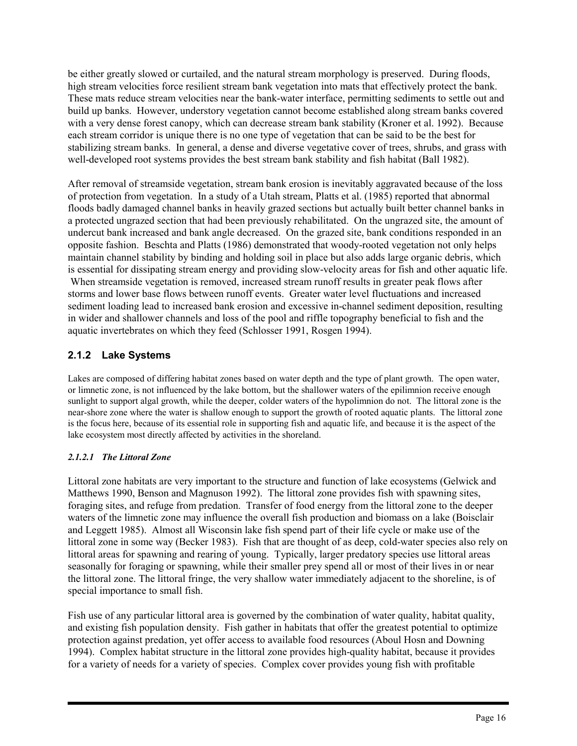be either greatly slowed or curtailed, and the natural stream morphology is preserved. During floods, high stream velocities force resilient stream bank vegetation into mats that effectively protect the bank. These mats reduce stream velocities near the bank-water interface, permitting sediments to settle out and build up banks. However, understory vegetation cannot become established along stream banks covered with a very dense forest canopy, which can decrease stream bank stability (Kroner et al. 1992). Because each stream corridor is unique there is no one type of vegetation that can be said to be the best for stabilizing stream banks. In general, a dense and diverse vegetative cover of trees, shrubs, and grass with well-developed root systems provides the best stream bank stability and fish habitat (Ball 1982).

After removal of streamside vegetation, stream bank erosion is inevitably aggravated because of the loss of protection from vegetation. In a study of a Utah stream, Platts et al. (1985) reported that abnormal floods badly damaged channel banks in heavily grazed sections but actually built better channel banks in a protected ungrazed section that had been previously rehabilitated. On the ungrazed site, the amount of undercut bank increased and bank angle decreased. On the grazed site, bank conditions responded in an opposite fashion. Beschta and Platts (1986) demonstrated that woody-rooted vegetation not only helps maintain channel stability by binding and holding soil in place but also adds large organic debris, which is essential for dissipating stream energy and providing slow-velocity areas for fish and other aquatic life. When streamside vegetation is removed, increased stream runoff results in greater peak flows after storms and lower base flows between runoff events. Greater water level fluctuations and increased sediment loading lead to increased bank erosion and excessive in-channel sediment deposition, resulting in wider and shallower channels and loss of the pool and riffle topography beneficial to fish and the aquatic invertebrates on which they feed (Schlosser 1991, Rosgen 1994).

# **2.1.2 Lake Systems**

Lakes are composed of differing habitat zones based on water depth and the type of plant growth. The open water, or limnetic zone, is not influenced by the lake bottom, but the shallower waters of the epilimnion receive enough sunlight to support algal growth, while the deeper, colder waters of the hypolimnion do not. The littoral zone is the near-shore zone where the water is shallow enough to support the growth of rooted aquatic plants. The littoral zone is the focus here, because of its essential role in supporting fish and aquatic life, and because it is the aspect of the lake ecosystem most directly affected by activities in the shoreland.

#### *2.1.2.1 The Littoral Zone*

Littoral zone habitats are very important to the structure and function of lake ecosystems (Gelwick and Matthews 1990, Benson and Magnuson 1992). The littoral zone provides fish with spawning sites, foraging sites, and refuge from predation. Transfer of food energy from the littoral zone to the deeper waters of the limnetic zone may influence the overall fish production and biomass on a lake (Boisclair and Leggett 1985). Almost all Wisconsin lake fish spend part of their life cycle or make use of the littoral zone in some way (Becker 1983). Fish that are thought of as deep, cold-water species also rely on littoral areas for spawning and rearing of young. Typically, larger predatory species use littoral areas seasonally for foraging or spawning, while their smaller prey spend all or most of their lives in or near the littoral zone. The littoral fringe, the very shallow water immediately adjacent to the shoreline, is of special importance to small fish.

Fish use of any particular littoral area is governed by the combination of water quality, habitat quality, and existing fish population density. Fish gather in habitats that offer the greatest potential to optimize protection against predation, yet offer access to available food resources (Aboul Hosn and Downing 1994). Complex habitat structure in the littoral zone provides high-quality habitat, because it provides for a variety of needs for a variety of species. Complex cover provides young fish with profitable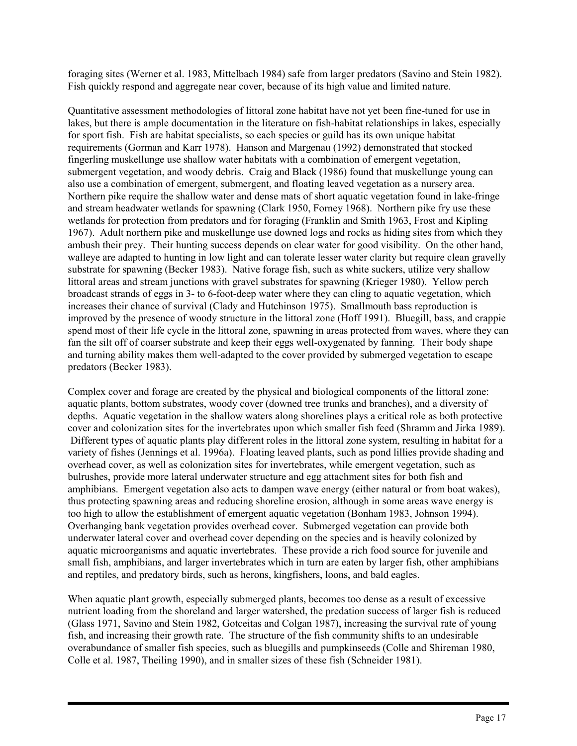foraging sites (Werner et al. 1983, Mittelbach 1984) safe from larger predators (Savino and Stein 1982). Fish quickly respond and aggregate near cover, because of its high value and limited nature.

Quantitative assessment methodologies of littoral zone habitat have not yet been fine-tuned for use in lakes, but there is ample documentation in the literature on fish-habitat relationships in lakes, especially for sport fish. Fish are habitat specialists, so each species or guild has its own unique habitat requirements (Gorman and Karr 1978). Hanson and Margenau (1992) demonstrated that stocked fingerling muskellunge use shallow water habitats with a combination of emergent vegetation, submergent vegetation, and woody debris. Craig and Black (1986) found that muskellunge young can also use a combination of emergent, submergent, and floating leaved vegetation as a nursery area. Northern pike require the shallow water and dense mats of short aquatic vegetation found in lake-fringe and stream headwater wetlands for spawning (Clark 1950, Forney 1968). Northern pike fry use these wetlands for protection from predators and for foraging (Franklin and Smith 1963, Frost and Kipling 1967). Adult northern pike and muskellunge use downed logs and rocks as hiding sites from which they ambush their prey. Their hunting success depends on clear water for good visibility. On the other hand, walleye are adapted to hunting in low light and can tolerate lesser water clarity but require clean gravelly substrate for spawning (Becker 1983). Native forage fish, such as white suckers, utilize very shallow littoral areas and stream junctions with gravel substrates for spawning (Krieger 1980). Yellow perch broadcast strands of eggs in 3- to 6-foot-deep water where they can cling to aquatic vegetation, which increases their chance of survival (Clady and Hutchinson 1975). Smallmouth bass reproduction is improved by the presence of woody structure in the littoral zone (Hoff 1991). Bluegill, bass, and crappie spend most of their life cycle in the littoral zone, spawning in areas protected from waves, where they can fan the silt off of coarser substrate and keep their eggs well-oxygenated by fanning. Their body shape and turning ability makes them well-adapted to the cover provided by submerged vegetation to escape predators (Becker 1983).

Complex cover and forage are created by the physical and biological components of the littoral zone: aquatic plants, bottom substrates, woody cover (downed tree trunks and branches), and a diversity of depths. Aquatic vegetation in the shallow waters along shorelines plays a critical role as both protective cover and colonization sites for the invertebrates upon which smaller fish feed (Shramm and Jirka 1989). Different types of aquatic plants play different roles in the littoral zone system, resulting in habitat for a variety of fishes (Jennings et al. 1996a). Floating leaved plants, such as pond lillies provide shading and overhead cover, as well as colonization sites for invertebrates, while emergent vegetation, such as bulrushes, provide more lateral underwater structure and egg attachment sites for both fish and amphibians. Emergent vegetation also acts to dampen wave energy (either natural or from boat wakes), thus protecting spawning areas and reducing shoreline erosion, although in some areas wave energy is too high to allow the establishment of emergent aquatic vegetation (Bonham 1983, Johnson 1994). Overhanging bank vegetation provides overhead cover. Submerged vegetation can provide both underwater lateral cover and overhead cover depending on the species and is heavily colonized by aquatic microorganisms and aquatic invertebrates. These provide a rich food source for juvenile and small fish, amphibians, and larger invertebrates which in turn are eaten by larger fish, other amphibians and reptiles, and predatory birds, such as herons, kingfishers, loons, and bald eagles.

When aquatic plant growth, especially submerged plants, becomes too dense as a result of excessive nutrient loading from the shoreland and larger watershed, the predation success of larger fish is reduced (Glass 1971, Savino and Stein 1982, Gotceitas and Colgan 1987), increasing the survival rate of young fish, and increasing their growth rate. The structure of the fish community shifts to an undesirable overabundance of smaller fish species, such as bluegills and pumpkinseeds (Colle and Shireman 1980, Colle et al. 1987, Theiling 1990), and in smaller sizes of these fish (Schneider 1981).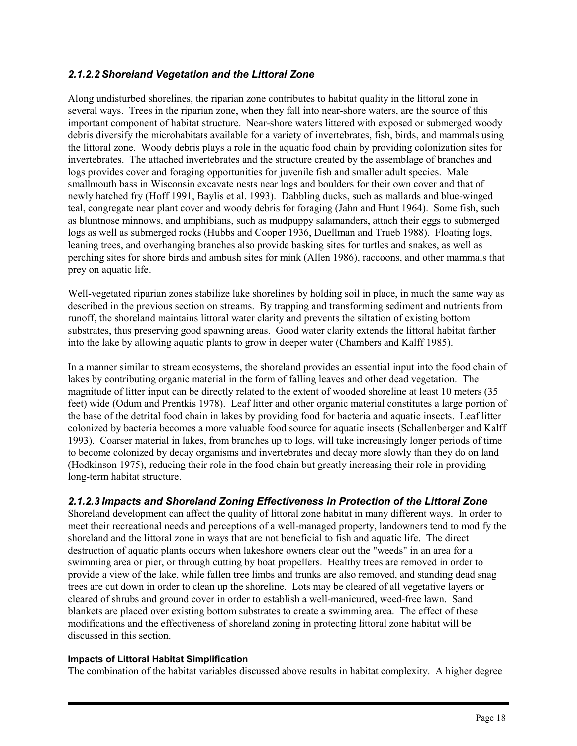#### *2.1.2.2 Shoreland Vegetation and the Littoral Zone*

Along undisturbed shorelines, the riparian zone contributes to habitat quality in the littoral zone in several ways. Trees in the riparian zone, when they fall into near-shore waters, are the source of this important component of habitat structure. Near-shore waters littered with exposed or submerged woody debris diversify the microhabitats available for a variety of invertebrates, fish, birds, and mammals using the littoral zone. Woody debris plays a role in the aquatic food chain by providing colonization sites for invertebrates. The attached invertebrates and the structure created by the assemblage of branches and logs provides cover and foraging opportunities for juvenile fish and smaller adult species. Male smallmouth bass in Wisconsin excavate nests near logs and boulders for their own cover and that of newly hatched fry (Hoff 1991, Baylis et al. 1993). Dabbling ducks, such as mallards and blue-winged teal, congregate near plant cover and woody debris for foraging (Jahn and Hunt 1964). Some fish, such as bluntnose minnows, and amphibians, such as mudpuppy salamanders, attach their eggs to submerged logs as well as submerged rocks (Hubbs and Cooper 1936, Duellman and Trueb 1988). Floating logs, leaning trees, and overhanging branches also provide basking sites for turtles and snakes, as well as perching sites for shore birds and ambush sites for mink (Allen 1986), raccoons, and other mammals that prey on aquatic life.

Well-vegetated riparian zones stabilize lake shorelines by holding soil in place, in much the same way as described in the previous section on streams. By trapping and transforming sediment and nutrients from runoff, the shoreland maintains littoral water clarity and prevents the siltation of existing bottom substrates, thus preserving good spawning areas. Good water clarity extends the littoral habitat farther into the lake by allowing aquatic plants to grow in deeper water (Chambers and Kalff 1985).

In a manner similar to stream ecosystems, the shoreland provides an essential input into the food chain of lakes by contributing organic material in the form of falling leaves and other dead vegetation. The magnitude of litter input can be directly related to the extent of wooded shoreline at least 10 meters (35 feet) wide (Odum and Prentkis 1978). Leaf litter and other organic material constitutes a large portion of the base of the detrital food chain in lakes by providing food for bacteria and aquatic insects. Leaf litter colonized by bacteria becomes a more valuable food source for aquatic insects (Schallenberger and Kalff 1993). Coarser material in lakes, from branches up to logs, will take increasingly longer periods of time to become colonized by decay organisms and invertebrates and decay more slowly than they do on land (Hodkinson 1975), reducing their role in the food chain but greatly increasing their role in providing long-term habitat structure.

#### *2.1.2.3 Impacts and Shoreland Zoning Effectiveness in Protection of the Littoral Zone*

Shoreland development can affect the quality of littoral zone habitat in many different ways. In order to meet their recreational needs and perceptions of a well-managed property, landowners tend to modify the shoreland and the littoral zone in ways that are not beneficial to fish and aquatic life. The direct destruction of aquatic plants occurs when lakeshore owners clear out the "weeds" in an area for a swimming area or pier, or through cutting by boat propellers. Healthy trees are removed in order to provide a view of the lake, while fallen tree limbs and trunks are also removed, and standing dead snag trees are cut down in order to clean up the shoreline. Lots may be cleared of all vegetative layers or cleared of shrubs and ground cover in order to establish a well-manicured, weed-free lawn. Sand blankets are placed over existing bottom substrates to create a swimming area. The effect of these modifications and the effectiveness of shoreland zoning in protecting littoral zone habitat will be discussed in this section.

#### **Impacts of Littoral Habitat Simplification**

The combination of the habitat variables discussed above results in habitat complexity. A higher degree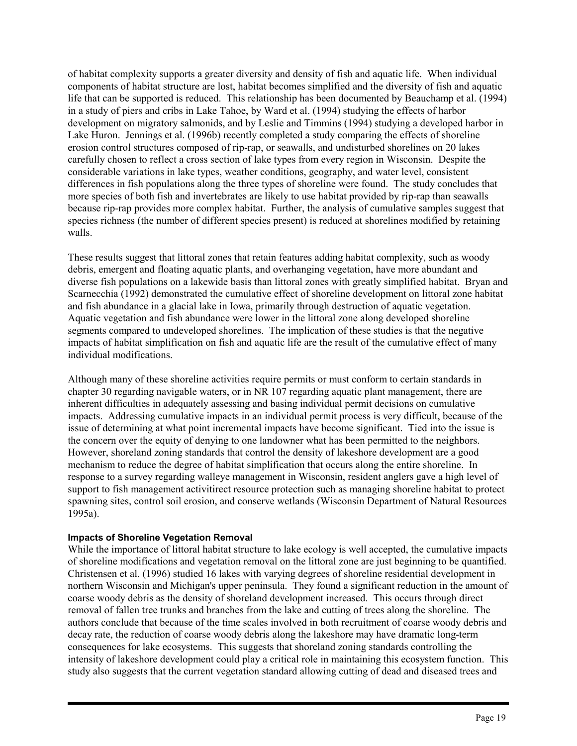of habitat complexity supports a greater diversity and density of fish and aquatic life. When individual components of habitat structure are lost, habitat becomes simplified and the diversity of fish and aquatic life that can be supported is reduced. This relationship has been documented by Beauchamp et al. (1994) in a study of piers and cribs in Lake Tahoe, by Ward et al. (1994) studying the effects of harbor development on migratory salmonids, and by Leslie and Timmins (1994) studying a developed harbor in Lake Huron. Jennings et al. (1996b) recently completed a study comparing the effects of shoreline erosion control structures composed of rip-rap, or seawalls, and undisturbed shorelines on 20 lakes carefully chosen to reflect a cross section of lake types from every region in Wisconsin. Despite the considerable variations in lake types, weather conditions, geography, and water level, consistent differences in fish populations along the three types of shoreline were found. The study concludes that more species of both fish and invertebrates are likely to use habitat provided by rip-rap than seawalls because rip-rap provides more complex habitat. Further, the analysis of cumulative samples suggest that species richness (the number of different species present) is reduced at shorelines modified by retaining walls.

These results suggest that littoral zones that retain features adding habitat complexity, such as woody debris, emergent and floating aquatic plants, and overhanging vegetation, have more abundant and diverse fish populations on a lakewide basis than littoral zones with greatly simplified habitat. Bryan and Scarnecchia (1992) demonstrated the cumulative effect of shoreline development on littoral zone habitat and fish abundance in a glacial lake in Iowa, primarily through destruction of aquatic vegetation. Aquatic vegetation and fish abundance were lower in the littoral zone along developed shoreline segments compared to undeveloped shorelines. The implication of these studies is that the negative impacts of habitat simplification on fish and aquatic life are the result of the cumulative effect of many individual modifications.

Although many of these shoreline activities require permits or must conform to certain standards in chapter 30 regarding navigable waters, or in NR 107 regarding aquatic plant management, there are inherent difficulties in adequately assessing and basing individual permit decisions on cumulative impacts. Addressing cumulative impacts in an individual permit process is very difficult, because of the issue of determining at what point incremental impacts have become significant. Tied into the issue is the concern over the equity of denying to one landowner what has been permitted to the neighbors. However, shoreland zoning standards that control the density of lakeshore development are a good mechanism to reduce the degree of habitat simplification that occurs along the entire shoreline. In response to a survey regarding walleye management in Wisconsin, resident anglers gave a high level of support to fish management activitirect resource protection such as managing shoreline habitat to protect spawning sites, control soil erosion, and conserve wetlands (Wisconsin Department of Natural Resources 1995a).

#### **Impacts of Shoreline Vegetation Removal**

While the importance of littoral habitat structure to lake ecology is well accepted, the cumulative impacts of shoreline modifications and vegetation removal on the littoral zone are just beginning to be quantified. Christensen et al. (1996) studied 16 lakes with varying degrees of shoreline residential development in northern Wisconsin and Michigan's upper peninsula. They found a significant reduction in the amount of coarse woody debris as the density of shoreland development increased. This occurs through direct removal of fallen tree trunks and branches from the lake and cutting of trees along the shoreline. The authors conclude that because of the time scales involved in both recruitment of coarse woody debris and decay rate, the reduction of coarse woody debris along the lakeshore may have dramatic long-term consequences for lake ecosystems. This suggests that shoreland zoning standards controlling the intensity of lakeshore development could play a critical role in maintaining this ecosystem function. This study also suggests that the current vegetation standard allowing cutting of dead and diseased trees and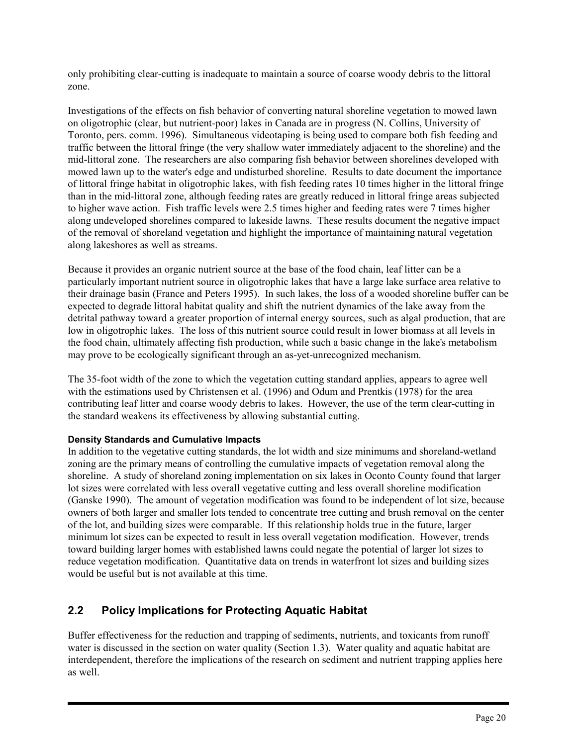only prohibiting clear-cutting is inadequate to maintain a source of coarse woody debris to the littoral zone.

Investigations of the effects on fish behavior of converting natural shoreline vegetation to mowed lawn on oligotrophic (clear, but nutrient-poor) lakes in Canada are in progress (N. Collins, University of Toronto, pers. comm. 1996). Simultaneous videotaping is being used to compare both fish feeding and traffic between the littoral fringe (the very shallow water immediately adjacent to the shoreline) and the mid-littoral zone. The researchers are also comparing fish behavior between shorelines developed with mowed lawn up to the water's edge and undisturbed shoreline. Results to date document the importance of littoral fringe habitat in oligotrophic lakes, with fish feeding rates 10 times higher in the littoral fringe than in the mid-littoral zone, although feeding rates are greatly reduced in littoral fringe areas subjected to higher wave action. Fish traffic levels were 2.5 times higher and feeding rates were 7 times higher along undeveloped shorelines compared to lakeside lawns. These results document the negative impact of the removal of shoreland vegetation and highlight the importance of maintaining natural vegetation along lakeshores as well as streams.

Because it provides an organic nutrient source at the base of the food chain, leaf litter can be a particularly important nutrient source in oligotrophic lakes that have a large lake surface area relative to their drainage basin (France and Peters 1995). In such lakes, the loss of a wooded shoreline buffer can be expected to degrade littoral habitat quality and shift the nutrient dynamics of the lake away from the detrital pathway toward a greater proportion of internal energy sources, such as algal production, that are low in oligotrophic lakes. The loss of this nutrient source could result in lower biomass at all levels in the food chain, ultimately affecting fish production, while such a basic change in the lake's metabolism may prove to be ecologically significant through an as-yet-unrecognized mechanism.

The 35-foot width of the zone to which the vegetation cutting standard applies, appears to agree well with the estimations used by Christensen et al. (1996) and Odum and Prentkis (1978) for the area contributing leaf litter and coarse woody debris to lakes. However, the use of the term clear-cutting in the standard weakens its effectiveness by allowing substantial cutting.

#### **Density Standards and Cumulative Impacts**

In addition to the vegetative cutting standards, the lot width and size minimums and shoreland-wetland zoning are the primary means of controlling the cumulative impacts of vegetation removal along the shoreline. A study of shoreland zoning implementation on six lakes in Oconto County found that larger lot sizes were correlated with less overall vegetative cutting and less overall shoreline modification (Ganske 1990). The amount of vegetation modification was found to be independent of lot size, because owners of both larger and smaller lots tended to concentrate tree cutting and brush removal on the center of the lot, and building sizes were comparable. If this relationship holds true in the future, larger minimum lot sizes can be expected to result in less overall vegetation modification. However, trends toward building larger homes with established lawns could negate the potential of larger lot sizes to reduce vegetation modification. Quantitative data on trends in waterfront lot sizes and building sizes would be useful but is not available at this time.

# **2.2 Policy Implications for Protecting Aquatic Habitat**

Buffer effectiveness for the reduction and trapping of sediments, nutrients, and toxicants from runoff water is discussed in the section on water quality (Section 1.3). Water quality and aquatic habitat are interdependent, therefore the implications of the research on sediment and nutrient trapping applies here as well.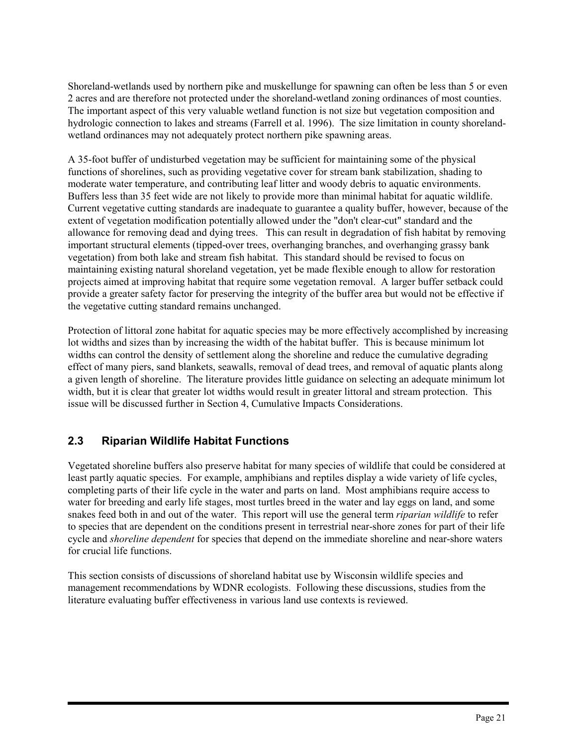Shoreland-wetlands used by northern pike and muskellunge for spawning can often be less than 5 or even 2 acres and are therefore not protected under the shoreland-wetland zoning ordinances of most counties. The important aspect of this very valuable wetland function is not size but vegetation composition and hydrologic connection to lakes and streams (Farrell et al. 1996). The size limitation in county shorelandwetland ordinances may not adequately protect northern pike spawning areas.

A 35-foot buffer of undisturbed vegetation may be sufficient for maintaining some of the physical functions of shorelines, such as providing vegetative cover for stream bank stabilization, shading to moderate water temperature, and contributing leaf litter and woody debris to aquatic environments. Buffers less than 35 feet wide are not likely to provide more than minimal habitat for aquatic wildlife. Current vegetative cutting standards are inadequate to guarantee a quality buffer, however, because of the extent of vegetation modification potentially allowed under the "don't clear-cut" standard and the allowance for removing dead and dying trees. This can result in degradation of fish habitat by removing important structural elements (tipped-over trees, overhanging branches, and overhanging grassy bank vegetation) from both lake and stream fish habitat. This standard should be revised to focus on maintaining existing natural shoreland vegetation, yet be made flexible enough to allow for restoration projects aimed at improving habitat that require some vegetation removal. A larger buffer setback could provide a greater safety factor for preserving the integrity of the buffer area but would not be effective if the vegetative cutting standard remains unchanged.

Protection of littoral zone habitat for aquatic species may be more effectively accomplished by increasing lot widths and sizes than by increasing the width of the habitat buffer. This is because minimum lot widths can control the density of settlement along the shoreline and reduce the cumulative degrading effect of many piers, sand blankets, seawalls, removal of dead trees, and removal of aquatic plants along a given length of shoreline. The literature provides little guidance on selecting an adequate minimum lot width, but it is clear that greater lot widths would result in greater littoral and stream protection. This issue will be discussed further in Section 4, Cumulative Impacts Considerations.

# **2.3 Riparian Wildlife Habitat Functions**

Vegetated shoreline buffers also preserve habitat for many species of wildlife that could be considered at least partly aquatic species. For example, amphibians and reptiles display a wide variety of life cycles, completing parts of their life cycle in the water and parts on land. Most amphibians require access to water for breeding and early life stages, most turtles breed in the water and lay eggs on land, and some snakes feed both in and out of the water. This report will use the general term *riparian wildlife* to refer to species that are dependent on the conditions present in terrestrial near-shore zones for part of their life cycle and *shoreline dependent* for species that depend on the immediate shoreline and near-shore waters for crucial life functions.

This section consists of discussions of shoreland habitat use by Wisconsin wildlife species and management recommendations by WDNR ecologists. Following these discussions, studies from the literature evaluating buffer effectiveness in various land use contexts is reviewed.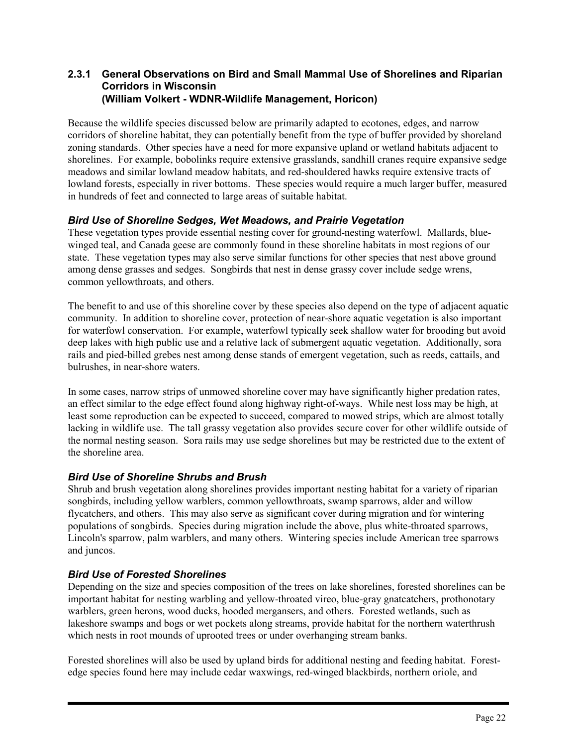#### **2.3.1 General Observations on Bird and Small Mammal Use of Shorelines and Riparian Corridors in Wisconsin (William Volkert - WDNR-Wildlife Management, Horicon)**

Because the wildlife species discussed below are primarily adapted to ecotones, edges, and narrow corridors of shoreline habitat, they can potentially benefit from the type of buffer provided by shoreland zoning standards. Other species have a need for more expansive upland or wetland habitats adjacent to shorelines. For example, bobolinks require extensive grasslands, sandhill cranes require expansive sedge meadows and similar lowland meadow habitats, and red-shouldered hawks require extensive tracts of lowland forests, especially in river bottoms. These species would require a much larger buffer, measured in hundreds of feet and connected to large areas of suitable habitat.

#### *Bird Use of Shoreline Sedges, Wet Meadows, and Prairie Vegetation*

These vegetation types provide essential nesting cover for ground-nesting waterfowl. Mallards, bluewinged teal, and Canada geese are commonly found in these shoreline habitats in most regions of our state. These vegetation types may also serve similar functions for other species that nest above ground among dense grasses and sedges. Songbirds that nest in dense grassy cover include sedge wrens, common yellowthroats, and others.

The benefit to and use of this shoreline cover by these species also depend on the type of adjacent aquatic community. In addition to shoreline cover, protection of near-shore aquatic vegetation is also important for waterfowl conservation. For example, waterfowl typically seek shallow water for brooding but avoid deep lakes with high public use and a relative lack of submergent aquatic vegetation. Additionally, sora rails and pied-billed grebes nest among dense stands of emergent vegetation, such as reeds, cattails, and bulrushes, in near-shore waters.

In some cases, narrow strips of unmowed shoreline cover may have significantly higher predation rates, an effect similar to the edge effect found along highway right-of-ways. While nest loss may be high, at least some reproduction can be expected to succeed, compared to mowed strips, which are almost totally lacking in wildlife use. The tall grassy vegetation also provides secure cover for other wildlife outside of the normal nesting season. Sora rails may use sedge shorelines but may be restricted due to the extent of the shoreline area.

#### *Bird Use of Shoreline Shrubs and Brush*

Shrub and brush vegetation along shorelines provides important nesting habitat for a variety of riparian songbirds, including yellow warblers, common yellowthroats, swamp sparrows, alder and willow flycatchers, and others. This may also serve as significant cover during migration and for wintering populations of songbirds. Species during migration include the above, plus white-throated sparrows, Lincoln's sparrow, palm warblers, and many others. Wintering species include American tree sparrows and juncos.

#### *Bird Use of Forested Shorelines*

Depending on the size and species composition of the trees on lake shorelines, forested shorelines can be important habitat for nesting warbling and yellow-throated vireo, blue-gray gnatcatchers, prothonotary warblers, green herons, wood ducks, hooded mergansers, and others. Forested wetlands, such as lakeshore swamps and bogs or wet pockets along streams, provide habitat for the northern waterthrush which nests in root mounds of uprooted trees or under overhanging stream banks.

Forested shorelines will also be used by upland birds for additional nesting and feeding habitat. Forestedge species found here may include cedar waxwings, red-winged blackbirds, northern oriole, and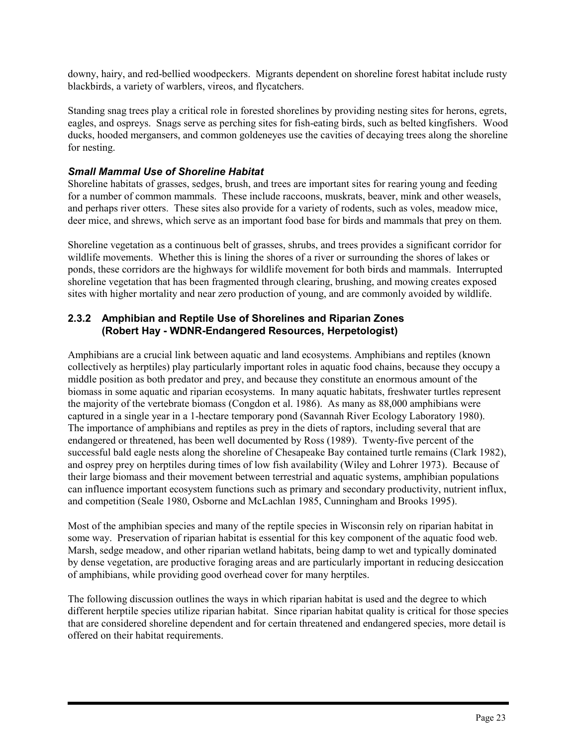downy, hairy, and red-bellied woodpeckers. Migrants dependent on shoreline forest habitat include rusty blackbirds, a variety of warblers, vireos, and flycatchers.

Standing snag trees play a critical role in forested shorelines by providing nesting sites for herons, egrets, eagles, and ospreys. Snags serve as perching sites for fish-eating birds, such as belted kingfishers. Wood ducks, hooded mergansers, and common goldeneyes use the cavities of decaying trees along the shoreline for nesting.

#### *Small Mammal Use of Shoreline Habitat*

Shoreline habitats of grasses, sedges, brush, and trees are important sites for rearing young and feeding for a number of common mammals. These include raccoons, muskrats, beaver, mink and other weasels, and perhaps river otters. These sites also provide for a variety of rodents, such as voles, meadow mice, deer mice, and shrews, which serve as an important food base for birds and mammals that prey on them.

Shoreline vegetation as a continuous belt of grasses, shrubs, and trees provides a significant corridor for wildlife movements. Whether this is lining the shores of a river or surrounding the shores of lakes or ponds, these corridors are the highways for wildlife movement for both birds and mammals. Interrupted shoreline vegetation that has been fragmented through clearing, brushing, and mowing creates exposed sites with higher mortality and near zero production of young, and are commonly avoided by wildlife.

### **2.3.2 Amphibian and Reptile Use of Shorelines and Riparian Zones (Robert Hay - WDNR-Endangered Resources, Herpetologist)**

Amphibians are a crucial link between aquatic and land ecosystems. Amphibians and reptiles (known collectively as herptiles) play particularly important roles in aquatic food chains, because they occupy a middle position as both predator and prey, and because they constitute an enormous amount of the biomass in some aquatic and riparian ecosystems. In many aquatic habitats, freshwater turtles represent the majority of the vertebrate biomass (Congdon et al. 1986). As many as 88,000 amphibians were captured in a single year in a 1-hectare temporary pond (Savannah River Ecology Laboratory 1980). The importance of amphibians and reptiles as prey in the diets of raptors, including several that are endangered or threatened, has been well documented by Ross (1989). Twenty-five percent of the successful bald eagle nests along the shoreline of Chesapeake Bay contained turtle remains (Clark 1982), and osprey prey on herptiles during times of low fish availability (Wiley and Lohrer 1973). Because of their large biomass and their movement between terrestrial and aquatic systems, amphibian populations can influence important ecosystem functions such as primary and secondary productivity, nutrient influx, and competition (Seale 1980, Osborne and McLachlan 1985, Cunningham and Brooks 1995).

Most of the amphibian species and many of the reptile species in Wisconsin rely on riparian habitat in some way. Preservation of riparian habitat is essential for this key component of the aquatic food web. Marsh, sedge meadow, and other riparian wetland habitats, being damp to wet and typically dominated by dense vegetation, are productive foraging areas and are particularly important in reducing desiccation of amphibians, while providing good overhead cover for many herptiles.

The following discussion outlines the ways in which riparian habitat is used and the degree to which different herptile species utilize riparian habitat. Since riparian habitat quality is critical for those species that are considered shoreline dependent and for certain threatened and endangered species, more detail is offered on their habitat requirements.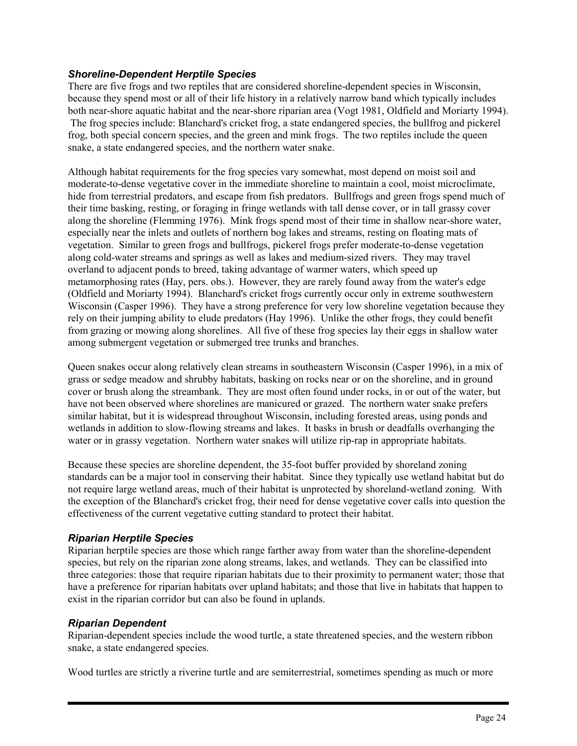#### *Shoreline-Dependent Herptile Species*

There are five frogs and two reptiles that are considered shoreline-dependent species in Wisconsin, because they spend most or all of their life history in a relatively narrow band which typically includes both near-shore aquatic habitat and the near-shore riparian area (Vogt 1981, Oldfield and Moriarty 1994). The frog species include: Blanchard's cricket frog, a state endangered species, the bullfrog and pickerel frog, both special concern species, and the green and mink frogs. The two reptiles include the queen snake, a state endangered species, and the northern water snake.

Although habitat requirements for the frog species vary somewhat, most depend on moist soil and moderate-to-dense vegetative cover in the immediate shoreline to maintain a cool, moist microclimate, hide from terrestrial predators, and escape from fish predators. Bullfrogs and green frogs spend much of their time basking, resting, or foraging in fringe wetlands with tall dense cover, or in tall grassy cover along the shoreline (Flemming 1976). Mink frogs spend most of their time in shallow near-shore water, especially near the inlets and outlets of northern bog lakes and streams, resting on floating mats of vegetation. Similar to green frogs and bullfrogs, pickerel frogs prefer moderate-to-dense vegetation along cold-water streams and springs as well as lakes and medium-sized rivers. They may travel overland to adjacent ponds to breed, taking advantage of warmer waters, which speed up metamorphosing rates (Hay, pers. obs.). However, they are rarely found away from the water's edge (Oldfield and Moriarty 1994). Blanchard's cricket frogs currently occur only in extreme southwestern Wisconsin (Casper 1996). They have a strong preference for very low shoreline vegetation because they rely on their jumping ability to elude predators (Hay 1996). Unlike the other frogs, they could benefit from grazing or mowing along shorelines. All five of these frog species lay their eggs in shallow water among submergent vegetation or submerged tree trunks and branches.

Queen snakes occur along relatively clean streams in southeastern Wisconsin (Casper 1996), in a mix of grass or sedge meadow and shrubby habitats, basking on rocks near or on the shoreline, and in ground cover or brush along the streambank. They are most often found under rocks, in or out of the water, but have not been observed where shorelines are manicured or grazed. The northern water snake prefers similar habitat, but it is widespread throughout Wisconsin, including forested areas, using ponds and wetlands in addition to slow-flowing streams and lakes. It basks in brush or deadfalls overhanging the water or in grassy vegetation. Northern water snakes will utilize rip-rap in appropriate habitats.

Because these species are shoreline dependent, the 35-foot buffer provided by shoreland zoning standards can be a major tool in conserving their habitat. Since they typically use wetland habitat but do not require large wetland areas, much of their habitat is unprotected by shoreland-wetland zoning. With the exception of the Blanchard's cricket frog, their need for dense vegetative cover calls into question the effectiveness of the current vegetative cutting standard to protect their habitat.

# *Riparian Herptile Species*

Riparian herptile species are those which range farther away from water than the shoreline-dependent species, but rely on the riparian zone along streams, lakes, and wetlands. They can be classified into three categories: those that require riparian habitats due to their proximity to permanent water; those that have a preference for riparian habitats over upland habitats; and those that live in habitats that happen to exist in the riparian corridor but can also be found in uplands.

#### *Riparian Dependent*

Riparian-dependent species include the wood turtle, a state threatened species, and the western ribbon snake, a state endangered species.

Wood turtles are strictly a riverine turtle and are semiterrestrial, sometimes spending as much or more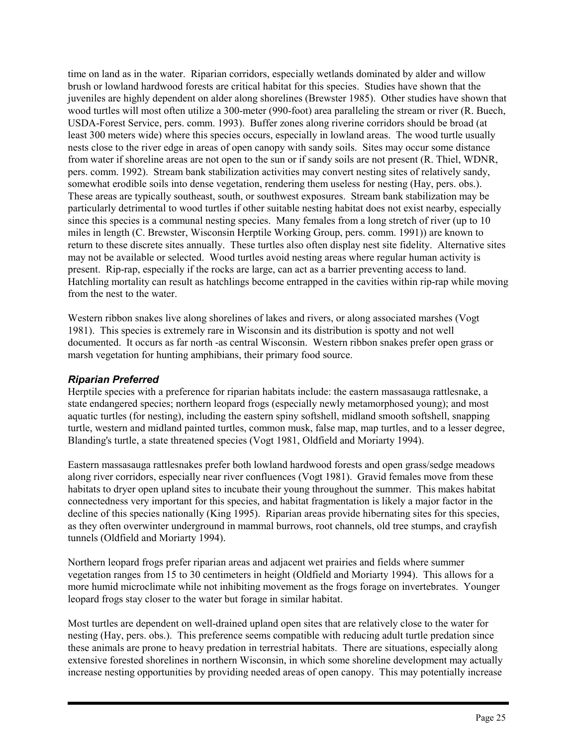time on land as in the water. Riparian corridors, especially wetlands dominated by alder and willow brush or lowland hardwood forests are critical habitat for this species. Studies have shown that the juveniles are highly dependent on alder along shorelines (Brewster 1985). Other studies have shown that wood turtles will most often utilize a 300-meter (990-foot) area paralleling the stream or river (R. Buech, USDA-Forest Service, pers. comm. 1993). Buffer zones along riverine corridors should be broad (at least 300 meters wide) where this species occurs, especially in lowland areas. The wood turtle usually nests close to the river edge in areas of open canopy with sandy soils. Sites may occur some distance from water if shoreline areas are not open to the sun or if sandy soils are not present (R. Thiel, WDNR, pers. comm. 1992). Stream bank stabilization activities may convert nesting sites of relatively sandy, somewhat erodible soils into dense vegetation, rendering them useless for nesting (Hay, pers. obs.). These areas are typically southeast, south, or southwest exposures. Stream bank stabilization may be particularly detrimental to wood turtles if other suitable nesting habitat does not exist nearby, especially since this species is a communal nesting species. Many females from a long stretch of river (up to 10 miles in length (C. Brewster, Wisconsin Herptile Working Group, pers. comm. 1991)) are known to return to these discrete sites annually. These turtles also often display nest site fidelity. Alternative sites may not be available or selected. Wood turtles avoid nesting areas where regular human activity is present. Rip-rap, especially if the rocks are large, can act as a barrier preventing access to land. Hatchling mortality can result as hatchlings become entrapped in the cavities within rip-rap while moving from the nest to the water.

Western ribbon snakes live along shorelines of lakes and rivers, or along associated marshes (Vogt 1981). This species is extremely rare in Wisconsin and its distribution is spotty and not well documented. It occurs as far north -as central Wisconsin. Western ribbon snakes prefer open grass or marsh vegetation for hunting amphibians, their primary food source.

# *Riparian Preferred*

Herptile species with a preference for riparian habitats include: the eastern massasauga rattlesnake, a state endangered species; northern leopard frogs (especially newly metamorphosed young); and most aquatic turtles (for nesting), including the eastern spiny softshell, midland smooth softshell, snapping turtle, western and midland painted turtles, common musk, false map, map turtles, and to a lesser degree, Blanding's turtle, a state threatened species (Vogt 1981, Oldfield and Moriarty 1994).

Eastern massasauga rattlesnakes prefer both lowland hardwood forests and open grass/sedge meadows along river corridors, especially near river confluences (Vogt 1981). Gravid females move from these habitats to dryer open upland sites to incubate their young throughout the summer. This makes habitat connectedness very important for this species, and habitat fragmentation is likely a major factor in the decline of this species nationally (King 1995). Riparian areas provide hibernating sites for this species, as they often overwinter underground in mammal burrows, root channels, old tree stumps, and crayfish tunnels (Oldfield and Moriarty 1994).

Northern leopard frogs prefer riparian areas and adjacent wet prairies and fields where summer vegetation ranges from 15 to 30 centimeters in height (Oldfield and Moriarty 1994). This allows for a more humid microclimate while not inhibiting movement as the frogs forage on invertebrates. Younger leopard frogs stay closer to the water but forage in similar habitat.

Most turtles are dependent on well-drained upland open sites that are relatively close to the water for nesting (Hay, pers. obs.). This preference seems compatible with reducing adult turtle predation since these animals are prone to heavy predation in terrestrial habitats. There are situations, especially along extensive forested shorelines in northern Wisconsin, in which some shoreline development may actually increase nesting opportunities by providing needed areas of open canopy. This may potentially increase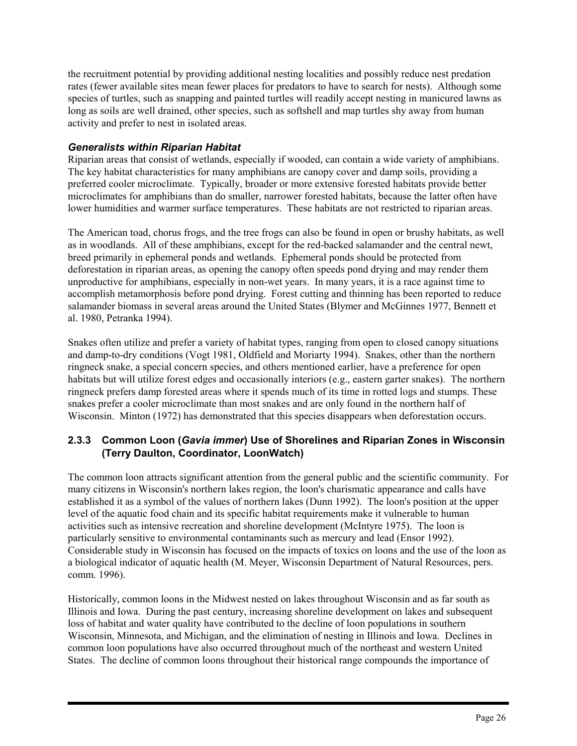the recruitment potential by providing additional nesting localities and possibly reduce nest predation rates (fewer available sites mean fewer places for predators to have to search for nests). Although some species of turtles, such as snapping and painted turtles will readily accept nesting in manicured lawns as long as soils are well drained, other species, such as softshell and map turtles shy away from human activity and prefer to nest in isolated areas.

### *Generalists within Riparian Habitat*

Riparian areas that consist of wetlands, especially if wooded, can contain a wide variety of amphibians. The key habitat characteristics for many amphibians are canopy cover and damp soils, providing a preferred cooler microclimate. Typically, broader or more extensive forested habitats provide better microclimates for amphibians than do smaller, narrower forested habitats, because the latter often have lower humidities and warmer surface temperatures. These habitats are not restricted to riparian areas.

The American toad, chorus frogs, and the tree frogs can also be found in open or brushy habitats, as well as in woodlands. All of these amphibians, except for the red-backed salamander and the central newt, breed primarily in ephemeral ponds and wetlands. Ephemeral ponds should be protected from deforestation in riparian areas, as opening the canopy often speeds pond drying and may render them unproductive for amphibians, especially in non-wet years. In many years, it is a race against time to accomplish metamorphosis before pond drying. Forest cutting and thinning has been reported to reduce salamander biomass in several areas around the United States (Blymer and McGinnes 1977, Bennett et al. 1980, Petranka 1994).

Snakes often utilize and prefer a variety of habitat types, ranging from open to closed canopy situations and damp-to-dry conditions (Vogt 1981, Oldfield and Moriarty 1994). Snakes, other than the northern ringneck snake, a special concern species, and others mentioned earlier, have a preference for open habitats but will utilize forest edges and occasionally interiors (e.g., eastern garter snakes). The northern ringneck prefers damp forested areas where it spends much of its time in rotted logs and stumps. These snakes prefer a cooler microclimate than most snakes and are only found in the northern half of Wisconsin. Minton (1972) has demonstrated that this species disappears when deforestation occurs.

# **2.3.3 Common Loon (***Gavia immer***) Use of Shorelines and Riparian Zones in Wisconsin (Terry Daulton, Coordinator, LoonWatch)**

The common loon attracts significant attention from the general public and the scientific community. For many citizens in Wisconsin's northern lakes region, the loon's charismatic appearance and calls have established it as a symbol of the values of northern lakes (Dunn 1992). The loon's position at the upper level of the aquatic food chain and its specific habitat requirements make it vulnerable to human activities such as intensive recreation and shoreline development (McIntyre 1975). The loon is particularly sensitive to environmental contaminants such as mercury and lead (Ensor 1992). Considerable study in Wisconsin has focused on the impacts of toxics on loons and the use of the loon as a biological indicator of aquatic health (M. Meyer, Wisconsin Department of Natural Resources, pers. comm. 1996).

Historically, common loons in the Midwest nested on lakes throughout Wisconsin and as far south as Illinois and Iowa. During the past century, increasing shoreline development on lakes and subsequent loss of habitat and water quality have contributed to the decline of loon populations in southern Wisconsin, Minnesota, and Michigan, and the elimination of nesting in Illinois and Iowa. Declines in common loon populations have also occurred throughout much of the northeast and western United States. The decline of common loons throughout their historical range compounds the importance of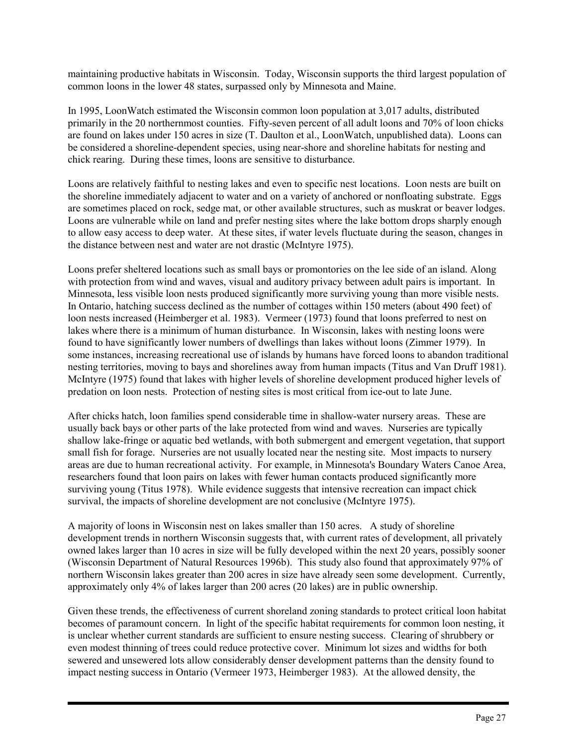maintaining productive habitats in Wisconsin. Today, Wisconsin supports the third largest population of common loons in the lower 48 states, surpassed only by Minnesota and Maine.

In 1995, LoonWatch estimated the Wisconsin common loon population at 3,017 adults, distributed primarily in the 20 northernmost counties. Fifty-seven percent of all adult loons and 70% of loon chicks are found on lakes under 150 acres in size (T. Daulton et al., LoonWatch, unpublished data). Loons can be considered a shoreline-dependent species, using near-shore and shoreline habitats for nesting and chick rearing. During these times, loons are sensitive to disturbance.

Loons are relatively faithful to nesting lakes and even to specific nest locations. Loon nests are built on the shoreline immediately adjacent to water and on a variety of anchored or nonfloating substrate. Eggs are sometimes placed on rock, sedge mat, or other available structures, such as muskrat or beaver lodges. Loons are vulnerable while on land and prefer nesting sites where the lake bottom drops sharply enough to allow easy access to deep water. At these sites, if water levels fluctuate during the season, changes in the distance between nest and water are not drastic (McIntyre 1975).

Loons prefer sheltered locations such as small bays or promontories on the lee side of an island. Along with protection from wind and waves, visual and auditory privacy between adult pairs is important. In Minnesota, less visible loon nests produced significantly more surviving young than more visible nests. In Ontario, hatching success declined as the number of cottages within 150 meters (about 490 feet) of loon nests increased (Heimberger et al. 1983). Vermeer (1973) found that loons preferred to nest on lakes where there is a minimum of human disturbance. In Wisconsin, lakes with nesting loons were found to have significantly lower numbers of dwellings than lakes without loons (Zimmer 1979). In some instances, increasing recreational use of islands by humans have forced loons to abandon traditional nesting territories, moving to bays and shorelines away from human impacts (Titus and Van Druff 1981). McIntyre (1975) found that lakes with higher levels of shoreline development produced higher levels of predation on loon nests. Protection of nesting sites is most critical from ice-out to late June.

After chicks hatch, loon families spend considerable time in shallow-water nursery areas. These are usually back bays or other parts of the lake protected from wind and waves. Nurseries are typically shallow lake-fringe or aquatic bed wetlands, with both submergent and emergent vegetation, that support small fish for forage. Nurseries are not usually located near the nesting site. Most impacts to nursery areas are due to human recreational activity. For example, in Minnesota's Boundary Waters Canoe Area, researchers found that loon pairs on lakes with fewer human contacts produced significantly more surviving young (Titus 1978). While evidence suggests that intensive recreation can impact chick survival, the impacts of shoreline development are not conclusive (McIntyre 1975).

A majority of loons in Wisconsin nest on lakes smaller than 150 acres. A study of shoreline development trends in northern Wisconsin suggests that, with current rates of development, all privately owned lakes larger than 10 acres in size will be fully developed within the next 20 years, possibly sooner (Wisconsin Department of Natural Resources 1996b). This study also found that approximately 97% of northern Wisconsin lakes greater than 200 acres in size have already seen some development. Currently, approximately only 4% of lakes larger than 200 acres (20 lakes) are in public ownership.

Given these trends, the effectiveness of current shoreland zoning standards to protect critical loon habitat becomes of paramount concern. In light of the specific habitat requirements for common loon nesting, it is unclear whether current standards are sufficient to ensure nesting success. Clearing of shrubbery or even modest thinning of trees could reduce protective cover. Minimum lot sizes and widths for both sewered and unsewered lots allow considerably denser development patterns than the density found to impact nesting success in Ontario (Vermeer 1973, Heimberger 1983). At the allowed density, the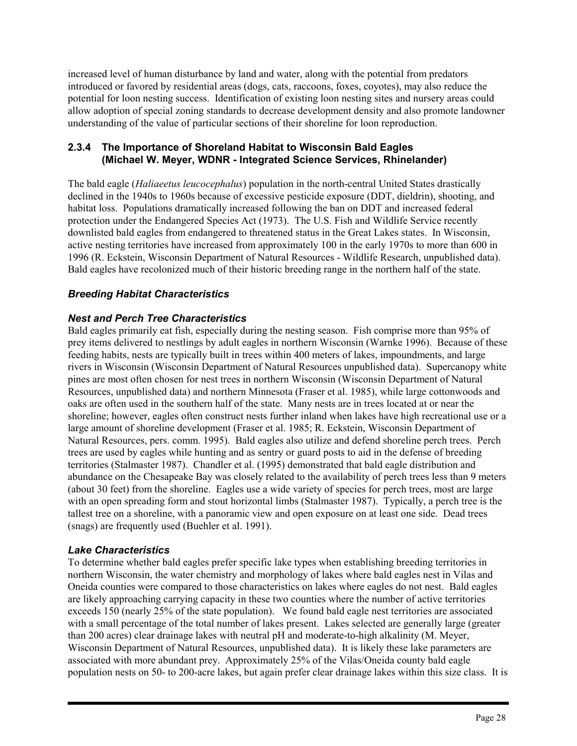increased level of human disturbance by land and water, along with the potential from predators introduced or favored by residential areas (dogs, cats, raccoons, foxes, coyotes), may also reduce the potential for loon nesting success. Identification of existing loon nesting sites and nursery areas could allow adoption of special zoning standards to decrease development density and also promote landowner understanding of the value of particular sections of their shoreline for loon reproduction.

# **2.3.4 The Importance of Shoreland Habitat to Wisconsin Bald Eagles (Michael W. Meyer, WDNR - Integrated Science Services, Rhinelander)**

The bald eagle (*Haliaeetus leucocephalus*) population in the north-central United States drastically declined in the 1940s to 1960s because of excessive pesticide exposure (DDT, dieldrin), shooting, and habitat loss. Populations dramatically increased following the ban on DDT and increased federal protection under the Endangered Species Act (1973). The U.S. Fish and Wildlife Service recently downlisted bald eagles from endangered to threatened status in the Great Lakes states. In Wisconsin, active nesting territories have increased from approximately 100 in the early 1970s to more than 600 in 1996 (R. Eckstein, Wisconsin Department of Natural Resources - Wildlife Research, unpublished data). Bald eagles have recolonized much of their historic breeding range in the northern half of the state.

# *Breeding Habitat Characteristics*

# *Nest and Perch Tree Characteristics*

Bald eagles primarily eat fish, especially during the nesting season. Fish comprise more than 95% of prey items delivered to nestlings by adult eagles in northern Wisconsin (Warnke 1996). Because of these feeding habits, nests are typically built in trees within 400 meters of lakes, impoundments, and large rivers in Wisconsin (Wisconsin Department of Natural Resources unpublished data). Supercanopy white pines are most often chosen for nest trees in northern Wisconsin (Wisconsin Department of Natural Resources, unpublished data) and northern Minnesota (Fraser et al. 1985), while large cottonwoods and oaks are often used in the southern half of the state. Many nests are in trees located at or near the shoreline; however, eagles often construct nests further inland when lakes have high recreational use or a large amount of shoreline development (Fraser et al. 1985; R. Eckstein, Wisconsin Department of Natural Resources, pers. comm. 1995). Bald eagles also utilize and defend shoreline perch trees. Perch trees are used by eagles while hunting and as sentry or guard posts to aid in the defense of breeding territories (Stalmaster 1987). Chandler et al. (1995) demonstrated that bald eagle distribution and abundance on the Chesapeake Bay was closely related to the availability of perch trees less than 9 meters (about 30 feet) from the shoreline. Eagles use a wide variety of species for perch trees, most are large with an open spreading form and stout horizontal limbs (Stalmaster 1987). Typically, a perch tree is the tallest tree on a shoreline, with a panoramic view and open exposure on at least one side. Dead trees (snags) are frequently used (Buehler et al. 1991).

# *Lake Characteristics*

To determine whether bald eagles prefer specific lake types when establishing breeding territories in northern Wisconsin, the water chemistry and morphology of lakes where bald eagles nest in Vilas and Oneida counties were compared to those characteristics on lakes where eagles do not nest. Bald eagles are likely approaching carrying capacity in these two counties where the number of active territories exceeds 150 (nearly 25% of the state population). We found bald eagle nest territories are associated with a small percentage of the total number of lakes present. Lakes selected are generally large (greater than 200 acres) clear drainage lakes with neutral pH and moderate-to-high alkalinity (M. Meyer, Wisconsin Department of Natural Resources, unpublished data). It is likely these lake parameters are associated with more abundant prey. Approximately 25% of the Vilas/Oneida county bald eagle population nests on 50- to 200-acre lakes, but again prefer clear drainage lakes within this size class. It is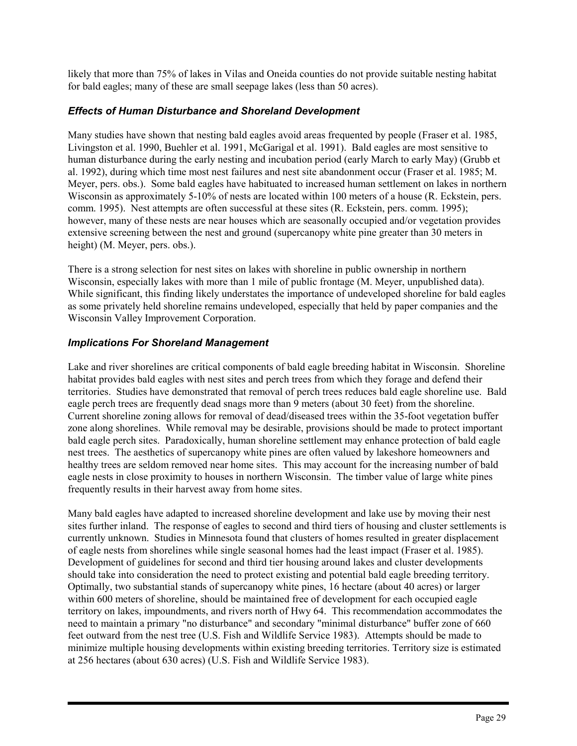likely that more than 75% of lakes in Vilas and Oneida counties do not provide suitable nesting habitat for bald eagles; many of these are small seepage lakes (less than 50 acres).

### *Effects of Human Disturbance and Shoreland Development*

Many studies have shown that nesting bald eagles avoid areas frequented by people (Fraser et al. 1985, Livingston et al. 1990, Buehler et al. 1991, McGarigal et al. 1991). Bald eagles are most sensitive to human disturbance during the early nesting and incubation period (early March to early May) (Grubb et al. 1992), during which time most nest failures and nest site abandonment occur (Fraser et al. 1985; M. Meyer, pers. obs.). Some bald eagles have habituated to increased human settlement on lakes in northern Wisconsin as approximately 5-10% of nests are located within 100 meters of a house (R. Eckstein, pers. comm. 1995). Nest attempts are often successful at these sites (R. Eckstein, pers. comm. 1995); however, many of these nests are near houses which are seasonally occupied and/or vegetation provides extensive screening between the nest and ground (supercanopy white pine greater than 30 meters in height) (M. Meyer, pers. obs.).

There is a strong selection for nest sites on lakes with shoreline in public ownership in northern Wisconsin, especially lakes with more than 1 mile of public frontage (M. Meyer, unpublished data). While significant, this finding likely understates the importance of undeveloped shoreline for bald eagles as some privately held shoreline remains undeveloped, especially that held by paper companies and the Wisconsin Valley Improvement Corporation.

#### *Implications For Shoreland Management*

Lake and river shorelines are critical components of bald eagle breeding habitat in Wisconsin. Shoreline habitat provides bald eagles with nest sites and perch trees from which they forage and defend their territories. Studies have demonstrated that removal of perch trees reduces bald eagle shoreline use. Bald eagle perch trees are frequently dead snags more than 9 meters (about 30 feet) from the shoreline. Current shoreline zoning allows for removal of dead/diseased trees within the 35-foot vegetation buffer zone along shorelines. While removal may be desirable, provisions should be made to protect important bald eagle perch sites. Paradoxically, human shoreline settlement may enhance protection of bald eagle nest trees. The aesthetics of supercanopy white pines are often valued by lakeshore homeowners and healthy trees are seldom removed near home sites. This may account for the increasing number of bald eagle nests in close proximity to houses in northern Wisconsin. The timber value of large white pines frequently results in their harvest away from home sites.

Many bald eagles have adapted to increased shoreline development and lake use by moving their nest sites further inland. The response of eagles to second and third tiers of housing and cluster settlements is currently unknown. Studies in Minnesota found that clusters of homes resulted in greater displacement of eagle nests from shorelines while single seasonal homes had the least impact (Fraser et al. 1985). Development of guidelines for second and third tier housing around lakes and cluster developments should take into consideration the need to protect existing and potential bald eagle breeding territory. Optimally, two substantial stands of supercanopy white pines, 16 hectare (about 40 acres) or larger within 600 meters of shoreline, should be maintained free of development for each occupied eagle territory on lakes, impoundments, and rivers north of Hwy 64. This recommendation accommodates the need to maintain a primary "no disturbance" and secondary "minimal disturbance" buffer zone of 660 feet outward from the nest tree (U.S. Fish and Wildlife Service 1983). Attempts should be made to minimize multiple housing developments within existing breeding territories. Territory size is estimated at 256 hectares (about 630 acres) (U.S. Fish and Wildlife Service 1983).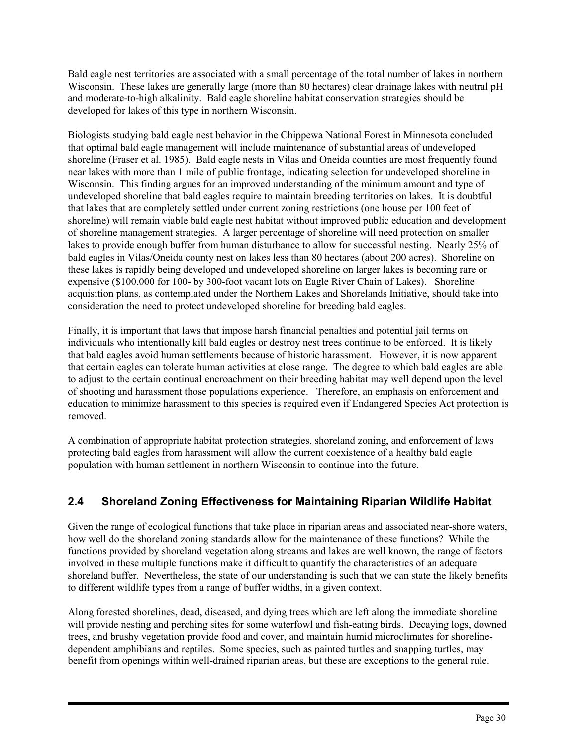Bald eagle nest territories are associated with a small percentage of the total number of lakes in northern Wisconsin. These lakes are generally large (more than 80 hectares) clear drainage lakes with neutral pH and moderate-to-high alkalinity. Bald eagle shoreline habitat conservation strategies should be developed for lakes of this type in northern Wisconsin.

Biologists studying bald eagle nest behavior in the Chippewa National Forest in Minnesota concluded that optimal bald eagle management will include maintenance of substantial areas of undeveloped shoreline (Fraser et al. 1985). Bald eagle nests in Vilas and Oneida counties are most frequently found near lakes with more than 1 mile of public frontage, indicating selection for undeveloped shoreline in Wisconsin. This finding argues for an improved understanding of the minimum amount and type of undeveloped shoreline that bald eagles require to maintain breeding territories on lakes. It is doubtful that lakes that are completely settled under current zoning restrictions (one house per 100 feet of shoreline) will remain viable bald eagle nest habitat without improved public education and development of shoreline management strategies. A larger percentage of shoreline will need protection on smaller lakes to provide enough buffer from human disturbance to allow for successful nesting. Nearly 25% of bald eagles in Vilas/Oneida county nest on lakes less than 80 hectares (about 200 acres). Shoreline on these lakes is rapidly being developed and undeveloped shoreline on larger lakes is becoming rare or expensive (\$100,000 for 100- by 300-foot vacant lots on Eagle River Chain of Lakes). Shoreline acquisition plans, as contemplated under the Northern Lakes and Shorelands Initiative, should take into consideration the need to protect undeveloped shoreline for breeding bald eagles.

Finally, it is important that laws that impose harsh financial penalties and potential jail terms on individuals who intentionally kill bald eagles or destroy nest trees continue to be enforced. It is likely that bald eagles avoid human settlements because of historic harassment. However, it is now apparent that certain eagles can tolerate human activities at close range. The degree to which bald eagles are able to adjust to the certain continual encroachment on their breeding habitat may well depend upon the level of shooting and harassment those populations experience. Therefore, an emphasis on enforcement and education to minimize harassment to this species is required even if Endangered Species Act protection is removed.

A combination of appropriate habitat protection strategies, shoreland zoning, and enforcement of laws protecting bald eagles from harassment will allow the current coexistence of a healthy bald eagle population with human settlement in northern Wisconsin to continue into the future.

# **2.4 Shoreland Zoning Effectiveness for Maintaining Riparian Wildlife Habitat**

Given the range of ecological functions that take place in riparian areas and associated near-shore waters, how well do the shoreland zoning standards allow for the maintenance of these functions? While the functions provided by shoreland vegetation along streams and lakes are well known, the range of factors involved in these multiple functions make it difficult to quantify the characteristics of an adequate shoreland buffer. Nevertheless, the state of our understanding is such that we can state the likely benefits to different wildlife types from a range of buffer widths, in a given context.

Along forested shorelines, dead, diseased, and dying trees which are left along the immediate shoreline will provide nesting and perching sites for some waterfowl and fish-eating birds. Decaying logs, downed trees, and brushy vegetation provide food and cover, and maintain humid microclimates for shorelinedependent amphibians and reptiles. Some species, such as painted turtles and snapping turtles, may benefit from openings within well-drained riparian areas, but these are exceptions to the general rule.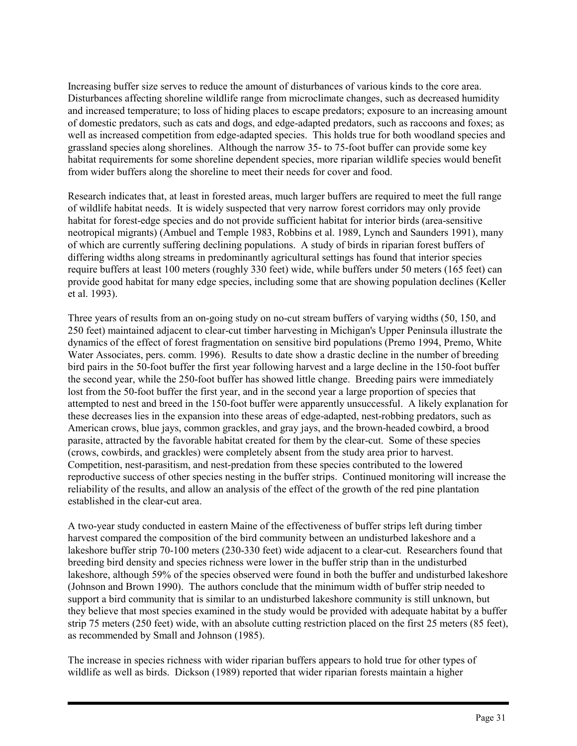Increasing buffer size serves to reduce the amount of disturbances of various kinds to the core area. Disturbances affecting shoreline wildlife range from microclimate changes, such as decreased humidity and increased temperature; to loss of hiding places to escape predators; exposure to an increasing amount of domestic predators, such as cats and dogs, and edge-adapted predators, such as raccoons and foxes; as well as increased competition from edge-adapted species. This holds true for both woodland species and grassland species along shorelines. Although the narrow 35- to 75-foot buffer can provide some key habitat requirements for some shoreline dependent species, more riparian wildlife species would benefit from wider buffers along the shoreline to meet their needs for cover and food.

Research indicates that, at least in forested areas, much larger buffers are required to meet the full range of wildlife habitat needs. It is widely suspected that very narrow forest corridors may only provide habitat for forest-edge species and do not provide sufficient habitat for interior birds (area-sensitive neotropical migrants) (Ambuel and Temple 1983, Robbins et al. 1989, Lynch and Saunders 1991), many of which are currently suffering declining populations. A study of birds in riparian forest buffers of differing widths along streams in predominantly agricultural settings has found that interior species require buffers at least 100 meters (roughly 330 feet) wide, while buffers under 50 meters (165 feet) can provide good habitat for many edge species, including some that are showing population declines (Keller et al. 1993).

Three years of results from an on-going study on no-cut stream buffers of varying widths (50, 150, and 250 feet) maintained adjacent to clear-cut timber harvesting in Michigan's Upper Peninsula illustrate the dynamics of the effect of forest fragmentation on sensitive bird populations (Premo 1994, Premo, White Water Associates, pers. comm. 1996). Results to date show a drastic decline in the number of breeding bird pairs in the 50-foot buffer the first year following harvest and a large decline in the 150-foot buffer the second year, while the 250-foot buffer has showed little change. Breeding pairs were immediately lost from the 50-foot buffer the first year, and in the second year a large proportion of species that attempted to nest and breed in the 150-foot buffer were apparently unsuccessful. A likely explanation for these decreases lies in the expansion into these areas of edge-adapted, nest-robbing predators, such as American crows, blue jays, common grackles, and gray jays, and the brown-headed cowbird, a brood parasite, attracted by the favorable habitat created for them by the clear-cut. Some of these species (crows, cowbirds, and grackles) were completely absent from the study area prior to harvest. Competition, nest-parasitism, and nest-predation from these species contributed to the lowered reproductive success of other species nesting in the buffer strips. Continued monitoring will increase the reliability of the results, and allow an analysis of the effect of the growth of the red pine plantation established in the clear-cut area.

A two-year study conducted in eastern Maine of the effectiveness of buffer strips left during timber harvest compared the composition of the bird community between an undisturbed lakeshore and a lakeshore buffer strip 70-100 meters (230-330 feet) wide adjacent to a clear-cut. Researchers found that breeding bird density and species richness were lower in the buffer strip than in the undisturbed lakeshore, although 59% of the species observed were found in both the buffer and undisturbed lakeshore (Johnson and Brown 1990). The authors conclude that the minimum width of buffer strip needed to support a bird community that is similar to an undisturbed lakeshore community is still unknown, but they believe that most species examined in the study would be provided with adequate habitat by a buffer strip 75 meters (250 feet) wide, with an absolute cutting restriction placed on the first 25 meters (85 feet), as recommended by Small and Johnson (1985).

The increase in species richness with wider riparian buffers appears to hold true for other types of wildlife as well as birds. Dickson (1989) reported that wider riparian forests maintain a higher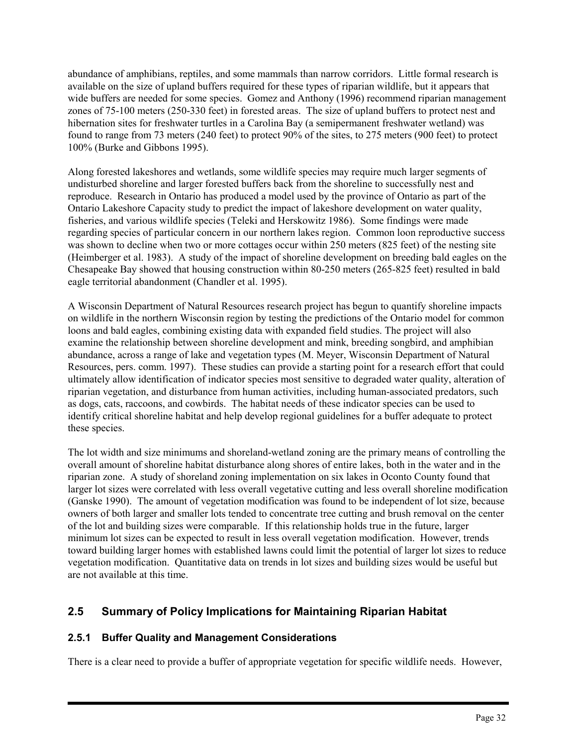abundance of amphibians, reptiles, and some mammals than narrow corridors. Little formal research is available on the size of upland buffers required for these types of riparian wildlife, but it appears that wide buffers are needed for some species. Gomez and Anthony (1996) recommend riparian management zones of 75-100 meters (250-330 feet) in forested areas. The size of upland buffers to protect nest and hibernation sites for freshwater turtles in a Carolina Bay (a semipermanent freshwater wetland) was found to range from 73 meters (240 feet) to protect 90% of the sites, to 275 meters (900 feet) to protect 100% (Burke and Gibbons 1995).

Along forested lakeshores and wetlands, some wildlife species may require much larger segments of undisturbed shoreline and larger forested buffers back from the shoreline to successfully nest and reproduce. Research in Ontario has produced a model used by the province of Ontario as part of the Ontario Lakeshore Capacity study to predict the impact of lakeshore development on water quality, fisheries, and various wildlife species (Teleki and Herskowitz 1986). Some findings were made regarding species of particular concern in our northern lakes region. Common loon reproductive success was shown to decline when two or more cottages occur within 250 meters (825 feet) of the nesting site (Heimberger et al. 1983). A study of the impact of shoreline development on breeding bald eagles on the Chesapeake Bay showed that housing construction within 80-250 meters (265-825 feet) resulted in bald eagle territorial abandonment (Chandler et al. 1995).

A Wisconsin Department of Natural Resources research project has begun to quantify shoreline impacts on wildlife in the northern Wisconsin region by testing the predictions of the Ontario model for common loons and bald eagles, combining existing data with expanded field studies. The project will also examine the relationship between shoreline development and mink, breeding songbird, and amphibian abundance, across a range of lake and vegetation types (M. Meyer, Wisconsin Department of Natural Resources, pers. comm. 1997). These studies can provide a starting point for a research effort that could ultimately allow identification of indicator species most sensitive to degraded water quality, alteration of riparian vegetation, and disturbance from human activities, including human-associated predators, such as dogs, cats, raccoons, and cowbirds. The habitat needs of these indicator species can be used to identify critical shoreline habitat and help develop regional guidelines for a buffer adequate to protect these species.

The lot width and size minimums and shoreland-wetland zoning are the primary means of controlling the overall amount of shoreline habitat disturbance along shores of entire lakes, both in the water and in the riparian zone. A study of shoreland zoning implementation on six lakes in Oconto County found that larger lot sizes were correlated with less overall vegetative cutting and less overall shoreline modification (Ganske 1990). The amount of vegetation modification was found to be independent of lot size, because owners of both larger and smaller lots tended to concentrate tree cutting and brush removal on the center of the lot and building sizes were comparable. If this relationship holds true in the future, larger minimum lot sizes can be expected to result in less overall vegetation modification. However, trends toward building larger homes with established lawns could limit the potential of larger lot sizes to reduce vegetation modification. Quantitative data on trends in lot sizes and building sizes would be useful but are not available at this time.

# **2.5 Summary of Policy Implications for Maintaining Riparian Habitat**

#### **2.5.1 Buffer Quality and Management Considerations**

There is a clear need to provide a buffer of appropriate vegetation for specific wildlife needs. However,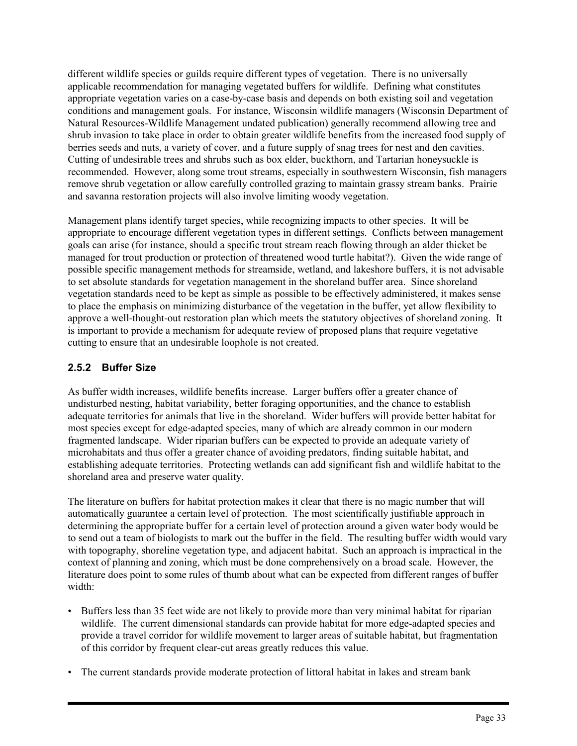different wildlife species or guilds require different types of vegetation. There is no universally applicable recommendation for managing vegetated buffers for wildlife. Defining what constitutes appropriate vegetation varies on a case-by-case basis and depends on both existing soil and vegetation conditions and management goals. For instance, Wisconsin wildlife managers (Wisconsin Department of Natural Resources-Wildlife Management undated publication) generally recommend allowing tree and shrub invasion to take place in order to obtain greater wildlife benefits from the increased food supply of berries seeds and nuts, a variety of cover, and a future supply of snag trees for nest and den cavities. Cutting of undesirable trees and shrubs such as box elder, buckthorn, and Tartarian honeysuckle is recommended. However, along some trout streams, especially in southwestern Wisconsin, fish managers remove shrub vegetation or allow carefully controlled grazing to maintain grassy stream banks. Prairie and savanna restoration projects will also involve limiting woody vegetation.

Management plans identify target species, while recognizing impacts to other species. It will be appropriate to encourage different vegetation types in different settings. Conflicts between management goals can arise (for instance, should a specific trout stream reach flowing through an alder thicket be managed for trout production or protection of threatened wood turtle habitat?). Given the wide range of possible specific management methods for streamside, wetland, and lakeshore buffers, it is not advisable to set absolute standards for vegetation management in the shoreland buffer area. Since shoreland vegetation standards need to be kept as simple as possible to be effectively administered, it makes sense to place the emphasis on minimizing disturbance of the vegetation in the buffer, yet allow flexibility to approve a well-thought-out restoration plan which meets the statutory objectives of shoreland zoning. It is important to provide a mechanism for adequate review of proposed plans that require vegetative cutting to ensure that an undesirable loophole is not created.

# **2.5.2 Buffer Size**

As buffer width increases, wildlife benefits increase. Larger buffers offer a greater chance of undisturbed nesting, habitat variability, better foraging opportunities, and the chance to establish adequate territories for animals that live in the shoreland. Wider buffers will provide better habitat for most species except for edge-adapted species, many of which are already common in our modern fragmented landscape. Wider riparian buffers can be expected to provide an adequate variety of microhabitats and thus offer a greater chance of avoiding predators, finding suitable habitat, and establishing adequate territories. Protecting wetlands can add significant fish and wildlife habitat to the shoreland area and preserve water quality.

The literature on buffers for habitat protection makes it clear that there is no magic number that will automatically guarantee a certain level of protection. The most scientifically justifiable approach in determining the appropriate buffer for a certain level of protection around a given water body would be to send out a team of biologists to mark out the buffer in the field. The resulting buffer width would vary with topography, shoreline vegetation type, and adjacent habitat. Such an approach is impractical in the context of planning and zoning, which must be done comprehensively on a broad scale. However, the literature does point to some rules of thumb about what can be expected from different ranges of buffer width:

- Buffers less than 35 feet wide are not likely to provide more than very minimal habitat for riparian wildlife. The current dimensional standards can provide habitat for more edge-adapted species and provide a travel corridor for wildlife movement to larger areas of suitable habitat, but fragmentation of this corridor by frequent clear-cut areas greatly reduces this value.
- The current standards provide moderate protection of littoral habitat in lakes and stream bank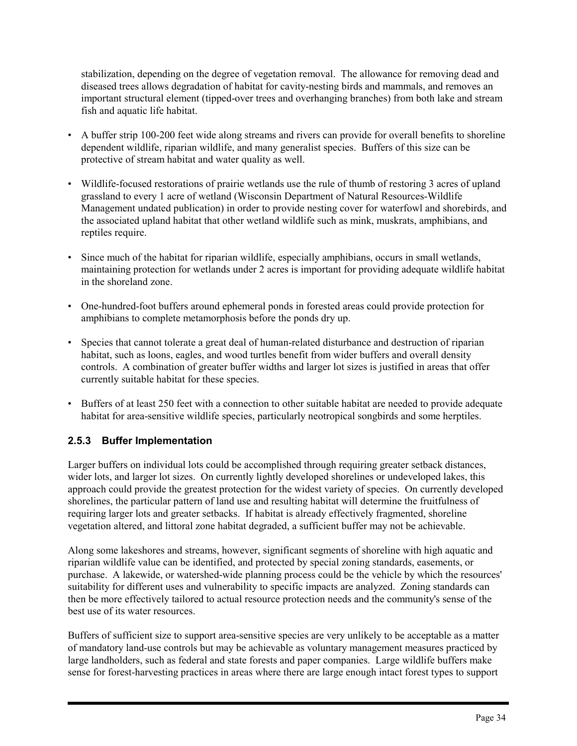stabilization, depending on the degree of vegetation removal. The allowance for removing dead and diseased trees allows degradation of habitat for cavity-nesting birds and mammals, and removes an important structural element (tipped-over trees and overhanging branches) from both lake and stream fish and aquatic life habitat.

- A buffer strip 100-200 feet wide along streams and rivers can provide for overall benefits to shoreline dependent wildlife, riparian wildlife, and many generalist species. Buffers of this size can be protective of stream habitat and water quality as well.
- Wildlife-focused restorations of prairie wetlands use the rule of thumb of restoring 3 acres of upland grassland to every 1 acre of wetland (Wisconsin Department of Natural Resources-Wildlife Management undated publication) in order to provide nesting cover for waterfowl and shorebirds, and the associated upland habitat that other wetland wildlife such as mink, muskrats, amphibians, and reptiles require.
- Since much of the habitat for riparian wildlife, especially amphibians, occurs in small wetlands, maintaining protection for wetlands under 2 acres is important for providing adequate wildlife habitat in the shoreland zone.
- One-hundred-foot buffers around ephemeral ponds in forested areas could provide protection for amphibians to complete metamorphosis before the ponds dry up.
- Species that cannot tolerate a great deal of human-related disturbance and destruction of riparian habitat, such as loons, eagles, and wood turtles benefit from wider buffers and overall density controls. A combination of greater buffer widths and larger lot sizes is justified in areas that offer currently suitable habitat for these species.
- Buffers of at least 250 feet with a connection to other suitable habitat are needed to provide adequate habitat for area-sensitive wildlife species, particularly neotropical songbirds and some herptiles.

# **2.5.3 Buffer Implementation**

Larger buffers on individual lots could be accomplished through requiring greater setback distances, wider lots, and larger lot sizes. On currently lightly developed shorelines or undeveloped lakes, this approach could provide the greatest protection for the widest variety of species. On currently developed shorelines, the particular pattern of land use and resulting habitat will determine the fruitfulness of requiring larger lots and greater setbacks. If habitat is already effectively fragmented, shoreline vegetation altered, and littoral zone habitat degraded, a sufficient buffer may not be achievable.

Along some lakeshores and streams, however, significant segments of shoreline with high aquatic and riparian wildlife value can be identified, and protected by special zoning standards, easements, or purchase. A lakewide, or watershed-wide planning process could be the vehicle by which the resources' suitability for different uses and vulnerability to specific impacts are analyzed. Zoning standards can then be more effectively tailored to actual resource protection needs and the community's sense of the best use of its water resources.

Buffers of sufficient size to support area-sensitive species are very unlikely to be acceptable as a matter of mandatory land-use controls but may be achievable as voluntary management measures practiced by large landholders, such as federal and state forests and paper companies. Large wildlife buffers make sense for forest-harvesting practices in areas where there are large enough intact forest types to support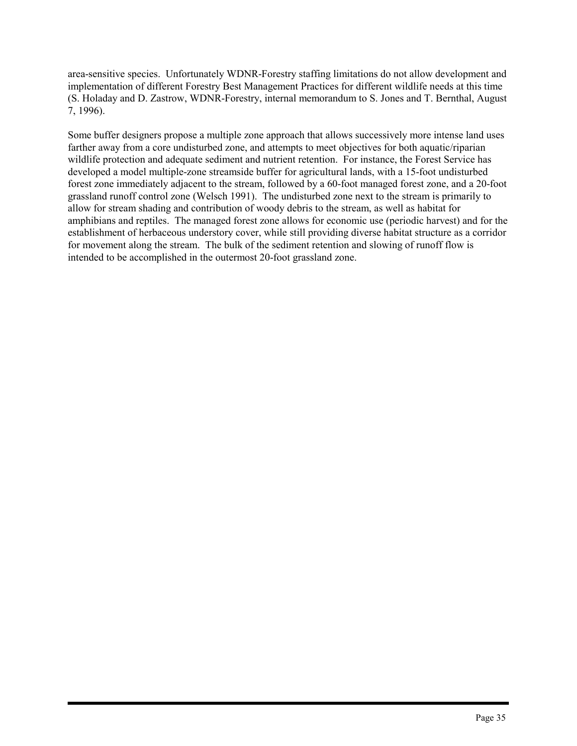area-sensitive species. Unfortunately WDNR-Forestry staffing limitations do not allow development and implementation of different Forestry Best Management Practices for different wildlife needs at this time (S. Holaday and D. Zastrow, WDNR-Forestry, internal memorandum to S. Jones and T. Bernthal, August 7, 1996).

Some buffer designers propose a multiple zone approach that allows successively more intense land uses farther away from a core undisturbed zone, and attempts to meet objectives for both aquatic/riparian wildlife protection and adequate sediment and nutrient retention. For instance, the Forest Service has developed a model multiple-zone streamside buffer for agricultural lands, with a 15-foot undisturbed forest zone immediately adjacent to the stream, followed by a 60-foot managed forest zone, and a 20-foot grassland runoff control zone (Welsch 1991). The undisturbed zone next to the stream is primarily to allow for stream shading and contribution of woody debris to the stream, as well as habitat for amphibians and reptiles. The managed forest zone allows for economic use (periodic harvest) and for the establishment of herbaceous understory cover, while still providing diverse habitat structure as a corridor for movement along the stream. The bulk of the sediment retention and slowing of runoff flow is intended to be accomplished in the outermost 20-foot grassland zone.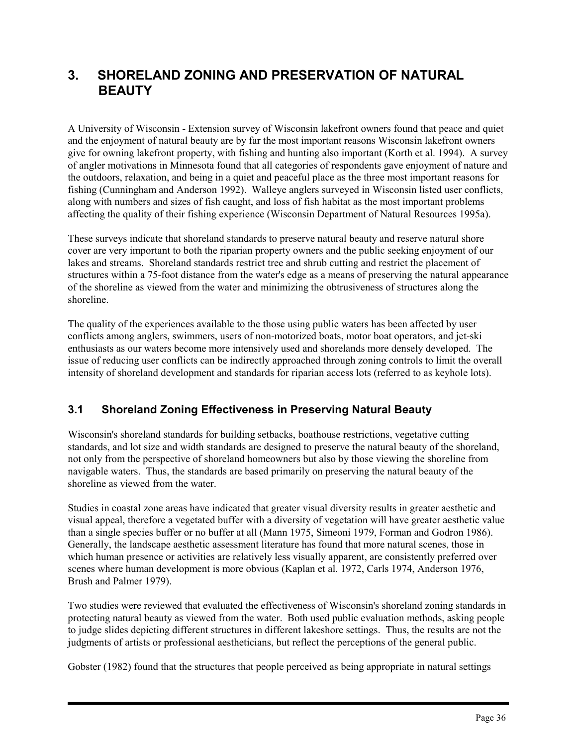# **3. SHORELAND ZONING AND PRESERVATION OF NATURAL BEAUTY**

A University of Wisconsin - Extension survey of Wisconsin lakefront owners found that peace and quiet and the enjoyment of natural beauty are by far the most important reasons Wisconsin lakefront owners give for owning lakefront property, with fishing and hunting also important (Korth et al. 1994). A survey of angler motivations in Minnesota found that all categories of respondents gave enjoyment of nature and the outdoors, relaxation, and being in a quiet and peaceful place as the three most important reasons for fishing (Cunningham and Anderson 1992). Walleye anglers surveyed in Wisconsin listed user conflicts, along with numbers and sizes of fish caught, and loss of fish habitat as the most important problems affecting the quality of their fishing experience (Wisconsin Department of Natural Resources 1995a).

These surveys indicate that shoreland standards to preserve natural beauty and reserve natural shore cover are very important to both the riparian property owners and the public seeking enjoyment of our lakes and streams. Shoreland standards restrict tree and shrub cutting and restrict the placement of structures within a 75-foot distance from the water's edge as a means of preserving the natural appearance of the shoreline as viewed from the water and minimizing the obtrusiveness of structures along the shoreline.

The quality of the experiences available to the those using public waters has been affected by user conflicts among anglers, swimmers, users of non-motorized boats, motor boat operators, and jet-ski enthusiasts as our waters become more intensively used and shorelands more densely developed. The issue of reducing user conflicts can be indirectly approached through zoning controls to limit the overall intensity of shoreland development and standards for riparian access lots (referred to as keyhole lots).

# **3.1 Shoreland Zoning Effectiveness in Preserving Natural Beauty**

Wisconsin's shoreland standards for building setbacks, boathouse restrictions, vegetative cutting standards, and lot size and width standards are designed to preserve the natural beauty of the shoreland, not only from the perspective of shoreland homeowners but also by those viewing the shoreline from navigable waters. Thus, the standards are based primarily on preserving the natural beauty of the shoreline as viewed from the water.

Studies in coastal zone areas have indicated that greater visual diversity results in greater aesthetic and visual appeal, therefore a vegetated buffer with a diversity of vegetation will have greater aesthetic value than a single species buffer or no buffer at all (Mann 1975, Simeoni 1979, Forman and Godron 1986). Generally, the landscape aesthetic assessment literature has found that more natural scenes, those in which human presence or activities are relatively less visually apparent, are consistently preferred over scenes where human development is more obvious (Kaplan et al. 1972, Carls 1974, Anderson 1976, Brush and Palmer 1979).

Two studies were reviewed that evaluated the effectiveness of Wisconsin's shoreland zoning standards in protecting natural beauty as viewed from the water. Both used public evaluation methods, asking people to judge slides depicting different structures in different lakeshore settings. Thus, the results are not the judgments of artists or professional aestheticians, but reflect the perceptions of the general public.

Gobster (1982) found that the structures that people perceived as being appropriate in natural settings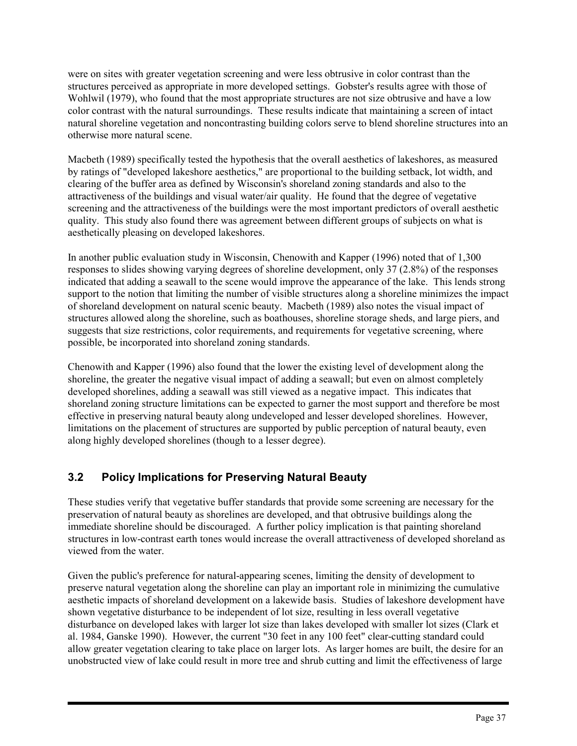were on sites with greater vegetation screening and were less obtrusive in color contrast than the structures perceived as appropriate in more developed settings. Gobster's results agree with those of Wohlwil (1979), who found that the most appropriate structures are not size obtrusive and have a low color contrast with the natural surroundings. These results indicate that maintaining a screen of intact natural shoreline vegetation and noncontrasting building colors serve to blend shoreline structures into an otherwise more natural scene.

Macbeth (1989) specifically tested the hypothesis that the overall aesthetics of lakeshores, as measured by ratings of "developed lakeshore aesthetics," are proportional to the building setback, lot width, and clearing of the buffer area as defined by Wisconsin's shoreland zoning standards and also to the attractiveness of the buildings and visual water/air quality. He found that the degree of vegetative screening and the attractiveness of the buildings were the most important predictors of overall aesthetic quality. This study also found there was agreement between different groups of subjects on what is aesthetically pleasing on developed lakeshores.

In another public evaluation study in Wisconsin, Chenowith and Kapper (1996) noted that of 1,300 responses to slides showing varying degrees of shoreline development, only 37 (2.8%) of the responses indicated that adding a seawall to the scene would improve the appearance of the lake. This lends strong support to the notion that limiting the number of visible structures along a shoreline minimizes the impact of shoreland development on natural scenic beauty. Macbeth (1989) also notes the visual impact of structures allowed along the shoreline, such as boathouses, shoreline storage sheds, and large piers, and suggests that size restrictions, color requirements, and requirements for vegetative screening, where possible, be incorporated into shoreland zoning standards.

Chenowith and Kapper (1996) also found that the lower the existing level of development along the shoreline, the greater the negative visual impact of adding a seawall; but even on almost completely developed shorelines, adding a seawall was still viewed as a negative impact. This indicates that shoreland zoning structure limitations can be expected to garner the most support and therefore be most effective in preserving natural beauty along undeveloped and lesser developed shorelines. However, limitations on the placement of structures are supported by public perception of natural beauty, even along highly developed shorelines (though to a lesser degree).

# **3.2 Policy Implications for Preserving Natural Beauty**

These studies verify that vegetative buffer standards that provide some screening are necessary for the preservation of natural beauty as shorelines are developed, and that obtrusive buildings along the immediate shoreline should be discouraged. A further policy implication is that painting shoreland structures in low-contrast earth tones would increase the overall attractiveness of developed shoreland as viewed from the water.

Given the public's preference for natural-appearing scenes, limiting the density of development to preserve natural vegetation along the shoreline can play an important role in minimizing the cumulative aesthetic impacts of shoreland development on a lakewide basis. Studies of lakeshore development have shown vegetative disturbance to be independent of lot size, resulting in less overall vegetative disturbance on developed lakes with larger lot size than lakes developed with smaller lot sizes (Clark et al. 1984, Ganske 1990). However, the current "30 feet in any 100 feet" clear-cutting standard could allow greater vegetation clearing to take place on larger lots. As larger homes are built, the desire for an unobstructed view of lake could result in more tree and shrub cutting and limit the effectiveness of large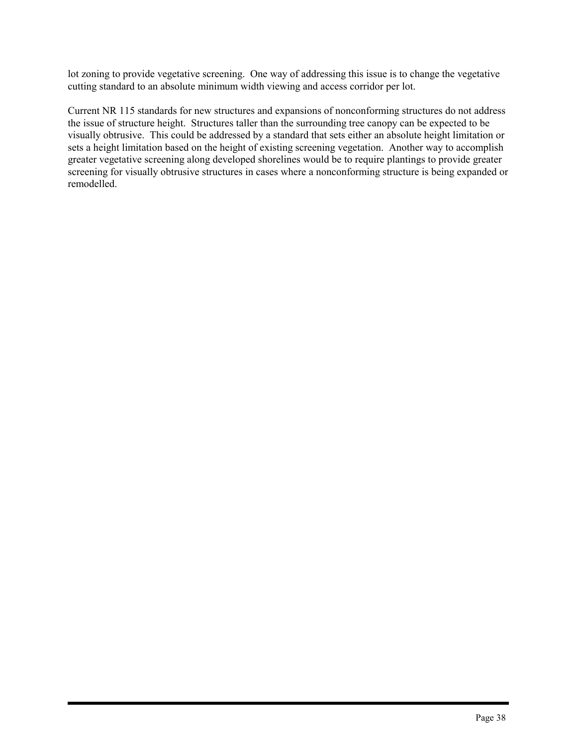lot zoning to provide vegetative screening. One way of addressing this issue is to change the vegetative cutting standard to an absolute minimum width viewing and access corridor per lot.

Current NR 115 standards for new structures and expansions of nonconforming structures do not address the issue of structure height. Structures taller than the surrounding tree canopy can be expected to be visually obtrusive. This could be addressed by a standard that sets either an absolute height limitation or sets a height limitation based on the height of existing screening vegetation. Another way to accomplish greater vegetative screening along developed shorelines would be to require plantings to provide greater screening for visually obtrusive structures in cases where a nonconforming structure is being expanded or remodelled.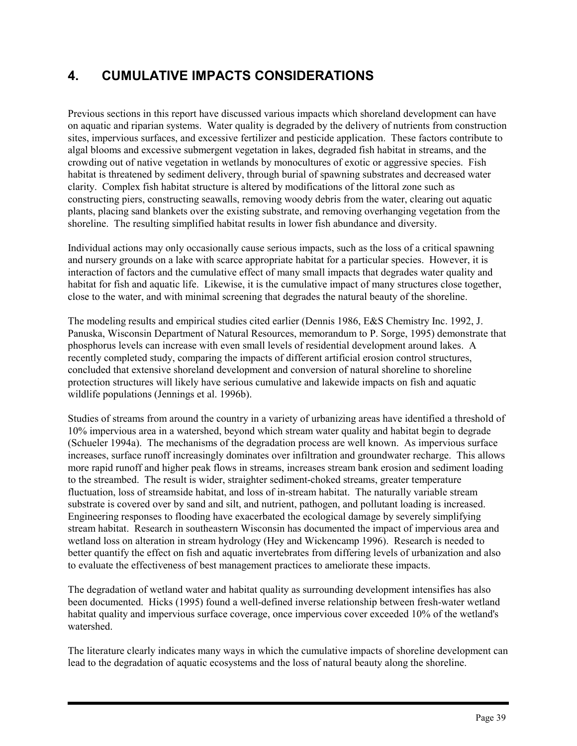# **4. CUMULATIVE IMPACTS CONSIDERATIONS**

Previous sections in this report have discussed various impacts which shoreland development can have on aquatic and riparian systems. Water quality is degraded by the delivery of nutrients from construction sites, impervious surfaces, and excessive fertilizer and pesticide application. These factors contribute to algal blooms and excessive submergent vegetation in lakes, degraded fish habitat in streams, and the crowding out of native vegetation in wetlands by monocultures of exotic or aggressive species. Fish habitat is threatened by sediment delivery, through burial of spawning substrates and decreased water clarity. Complex fish habitat structure is altered by modifications of the littoral zone such as constructing piers, constructing seawalls, removing woody debris from the water, clearing out aquatic plants, placing sand blankets over the existing substrate, and removing overhanging vegetation from the shoreline. The resulting simplified habitat results in lower fish abundance and diversity.

Individual actions may only occasionally cause serious impacts, such as the loss of a critical spawning and nursery grounds on a lake with scarce appropriate habitat for a particular species. However, it is interaction of factors and the cumulative effect of many small impacts that degrades water quality and habitat for fish and aquatic life. Likewise, it is the cumulative impact of many structures close together, close to the water, and with minimal screening that degrades the natural beauty of the shoreline.

The modeling results and empirical studies cited earlier (Dennis 1986, E&S Chemistry Inc. 1992, J. Panuska, Wisconsin Department of Natural Resources, memorandum to P. Sorge, 1995) demonstrate that phosphorus levels can increase with even small levels of residential development around lakes. A recently completed study, comparing the impacts of different artificial erosion control structures, concluded that extensive shoreland development and conversion of natural shoreline to shoreline protection structures will likely have serious cumulative and lakewide impacts on fish and aquatic wildlife populations (Jennings et al. 1996b).

Studies of streams from around the country in a variety of urbanizing areas have identified a threshold of 10% impervious area in a watershed, beyond which stream water quality and habitat begin to degrade (Schueler 1994a). The mechanisms of the degradation process are well known. As impervious surface increases, surface runoff increasingly dominates over infiltration and groundwater recharge. This allows more rapid runoff and higher peak flows in streams, increases stream bank erosion and sediment loading to the streambed. The result is wider, straighter sediment-choked streams, greater temperature fluctuation, loss of streamside habitat, and loss of in-stream habitat. The naturally variable stream substrate is covered over by sand and silt, and nutrient, pathogen, and pollutant loading is increased. Engineering responses to flooding have exacerbated the ecological damage by severely simplifying stream habitat. Research in southeastern Wisconsin has documented the impact of impervious area and wetland loss on alteration in stream hydrology (Hey and Wickencamp 1996). Research is needed to better quantify the effect on fish and aquatic invertebrates from differing levels of urbanization and also to evaluate the effectiveness of best management practices to ameliorate these impacts.

The degradation of wetland water and habitat quality as surrounding development intensifies has also been documented. Hicks (1995) found a well-defined inverse relationship between fresh-water wetland habitat quality and impervious surface coverage, once impervious cover exceeded 10% of the wetland's watershed.

The literature clearly indicates many ways in which the cumulative impacts of shoreline development can lead to the degradation of aquatic ecosystems and the loss of natural beauty along the shoreline.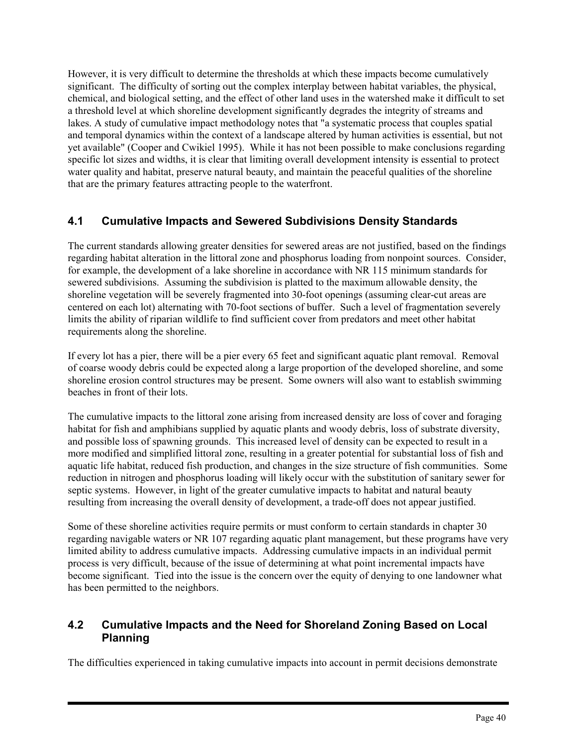However, it is very difficult to determine the thresholds at which these impacts become cumulatively significant. The difficulty of sorting out the complex interplay between habitat variables, the physical, chemical, and biological setting, and the effect of other land uses in the watershed make it difficult to set a threshold level at which shoreline development significantly degrades the integrity of streams and lakes. A study of cumulative impact methodology notes that "a systematic process that couples spatial and temporal dynamics within the context of a landscape altered by human activities is essential, but not yet available" (Cooper and Cwikiel 1995). While it has not been possible to make conclusions regarding specific lot sizes and widths, it is clear that limiting overall development intensity is essential to protect water quality and habitat, preserve natural beauty, and maintain the peaceful qualities of the shoreline that are the primary features attracting people to the waterfront.

# **4.1 Cumulative Impacts and Sewered Subdivisions Density Standards**

The current standards allowing greater densities for sewered areas are not justified, based on the findings regarding habitat alteration in the littoral zone and phosphorus loading from nonpoint sources. Consider, for example, the development of a lake shoreline in accordance with NR 115 minimum standards for sewered subdivisions. Assuming the subdivision is platted to the maximum allowable density, the shoreline vegetation will be severely fragmented into 30-foot openings (assuming clear-cut areas are centered on each lot) alternating with 70-foot sections of buffer. Such a level of fragmentation severely limits the ability of riparian wildlife to find sufficient cover from predators and meet other habitat requirements along the shoreline.

If every lot has a pier, there will be a pier every 65 feet and significant aquatic plant removal. Removal of coarse woody debris could be expected along a large proportion of the developed shoreline, and some shoreline erosion control structures may be present. Some owners will also want to establish swimming beaches in front of their lots.

The cumulative impacts to the littoral zone arising from increased density are loss of cover and foraging habitat for fish and amphibians supplied by aquatic plants and woody debris, loss of substrate diversity, and possible loss of spawning grounds. This increased level of density can be expected to result in a more modified and simplified littoral zone, resulting in a greater potential for substantial loss of fish and aquatic life habitat, reduced fish production, and changes in the size structure of fish communities. Some reduction in nitrogen and phosphorus loading will likely occur with the substitution of sanitary sewer for septic systems. However, in light of the greater cumulative impacts to habitat and natural beauty resulting from increasing the overall density of development, a trade-off does not appear justified.

Some of these shoreline activities require permits or must conform to certain standards in chapter 30 regarding navigable waters or NR 107 regarding aquatic plant management, but these programs have very limited ability to address cumulative impacts. Addressing cumulative impacts in an individual permit process is very difficult, because of the issue of determining at what point incremental impacts have become significant. Tied into the issue is the concern over the equity of denying to one landowner what has been permitted to the neighbors.

# **4.2 Cumulative Impacts and the Need for Shoreland Zoning Based on Local Planning**

The difficulties experienced in taking cumulative impacts into account in permit decisions demonstrate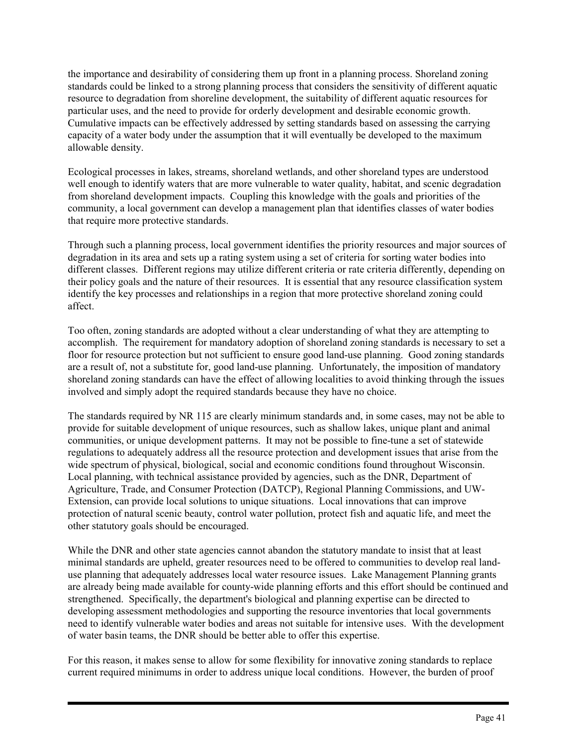the importance and desirability of considering them up front in a planning process. Shoreland zoning standards could be linked to a strong planning process that considers the sensitivity of different aquatic resource to degradation from shoreline development, the suitability of different aquatic resources for particular uses, and the need to provide for orderly development and desirable economic growth. Cumulative impacts can be effectively addressed by setting standards based on assessing the carrying capacity of a water body under the assumption that it will eventually be developed to the maximum allowable density.

Ecological processes in lakes, streams, shoreland wetlands, and other shoreland types are understood well enough to identify waters that are more vulnerable to water quality, habitat, and scenic degradation from shoreland development impacts. Coupling this knowledge with the goals and priorities of the community, a local government can develop a management plan that identifies classes of water bodies that require more protective standards.

Through such a planning process, local government identifies the priority resources and major sources of degradation in its area and sets up a rating system using a set of criteria for sorting water bodies into different classes. Different regions may utilize different criteria or rate criteria differently, depending on their policy goals and the nature of their resources. It is essential that any resource classification system identify the key processes and relationships in a region that more protective shoreland zoning could affect.

Too often, zoning standards are adopted without a clear understanding of what they are attempting to accomplish. The requirement for mandatory adoption of shoreland zoning standards is necessary to set a floor for resource protection but not sufficient to ensure good land-use planning. Good zoning standards are a result of, not a substitute for, good land-use planning. Unfortunately, the imposition of mandatory shoreland zoning standards can have the effect of allowing localities to avoid thinking through the issues involved and simply adopt the required standards because they have no choice.

The standards required by NR 115 are clearly minimum standards and, in some cases, may not be able to provide for suitable development of unique resources, such as shallow lakes, unique plant and animal communities, or unique development patterns. It may not be possible to fine-tune a set of statewide regulations to adequately address all the resource protection and development issues that arise from the wide spectrum of physical, biological, social and economic conditions found throughout Wisconsin. Local planning, with technical assistance provided by agencies, such as the DNR, Department of Agriculture, Trade, and Consumer Protection (DATCP), Regional Planning Commissions, and UW-Extension, can provide local solutions to unique situations. Local innovations that can improve protection of natural scenic beauty, control water pollution, protect fish and aquatic life, and meet the other statutory goals should be encouraged.

While the DNR and other state agencies cannot abandon the statutory mandate to insist that at least minimal standards are upheld, greater resources need to be offered to communities to develop real landuse planning that adequately addresses local water resource issues. Lake Management Planning grants are already being made available for county-wide planning efforts and this effort should be continued and strengthened. Specifically, the department's biological and planning expertise can be directed to developing assessment methodologies and supporting the resource inventories that local governments need to identify vulnerable water bodies and areas not suitable for intensive uses. With the development of water basin teams, the DNR should be better able to offer this expertise.

For this reason, it makes sense to allow for some flexibility for innovative zoning standards to replace current required minimums in order to address unique local conditions. However, the burden of proof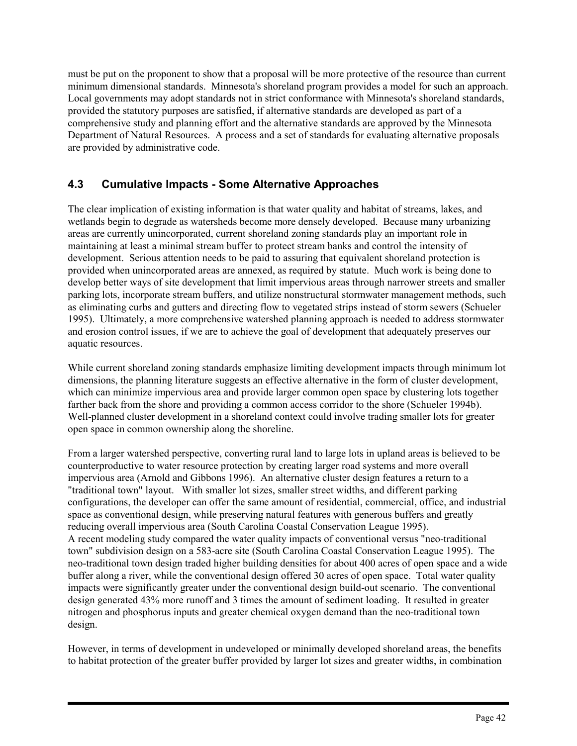must be put on the proponent to show that a proposal will be more protective of the resource than current minimum dimensional standards. Minnesota's shoreland program provides a model for such an approach. Local governments may adopt standards not in strict conformance with Minnesota's shoreland standards, provided the statutory purposes are satisfied, if alternative standards are developed as part of a comprehensive study and planning effort and the alternative standards are approved by the Minnesota Department of Natural Resources. A process and a set of standards for evaluating alternative proposals are provided by administrative code.

# **4.3 Cumulative Impacts - Some Alternative Approaches**

The clear implication of existing information is that water quality and habitat of streams, lakes, and wetlands begin to degrade as watersheds become more densely developed. Because many urbanizing areas are currently unincorporated, current shoreland zoning standards play an important role in maintaining at least a minimal stream buffer to protect stream banks and control the intensity of development. Serious attention needs to be paid to assuring that equivalent shoreland protection is provided when unincorporated areas are annexed, as required by statute. Much work is being done to develop better ways of site development that limit impervious areas through narrower streets and smaller parking lots, incorporate stream buffers, and utilize nonstructural stormwater management methods, such as eliminating curbs and gutters and directing flow to vegetated strips instead of storm sewers (Schueler 1995). Ultimately, a more comprehensive watershed planning approach is needed to address stormwater and erosion control issues, if we are to achieve the goal of development that adequately preserves our aquatic resources.

While current shoreland zoning standards emphasize limiting development impacts through minimum lot dimensions, the planning literature suggests an effective alternative in the form of cluster development, which can minimize impervious area and provide larger common open space by clustering lots together farther back from the shore and providing a common access corridor to the shore (Schueler 1994b). Well-planned cluster development in a shoreland context could involve trading smaller lots for greater open space in common ownership along the shoreline.

From a larger watershed perspective, converting rural land to large lots in upland areas is believed to be counterproductive to water resource protection by creating larger road systems and more overall impervious area (Arnold and Gibbons 1996). An alternative cluster design features a return to a "traditional town" layout. With smaller lot sizes, smaller street widths, and different parking configurations, the developer can offer the same amount of residential, commercial, office, and industrial space as conventional design, while preserving natural features with generous buffers and greatly reducing overall impervious area (South Carolina Coastal Conservation League 1995). A recent modeling study compared the water quality impacts of conventional versus "neo-traditional town" subdivision design on a 583-acre site (South Carolina Coastal Conservation League 1995). The neo-traditional town design traded higher building densities for about 400 acres of open space and a wide buffer along a river, while the conventional design offered 30 acres of open space. Total water quality impacts were significantly greater under the conventional design build-out scenario. The conventional design generated 43% more runoff and 3 times the amount of sediment loading. It resulted in greater nitrogen and phosphorus inputs and greater chemical oxygen demand than the neo-traditional town design.

However, in terms of development in undeveloped or minimally developed shoreland areas, the benefits to habitat protection of the greater buffer provided by larger lot sizes and greater widths, in combination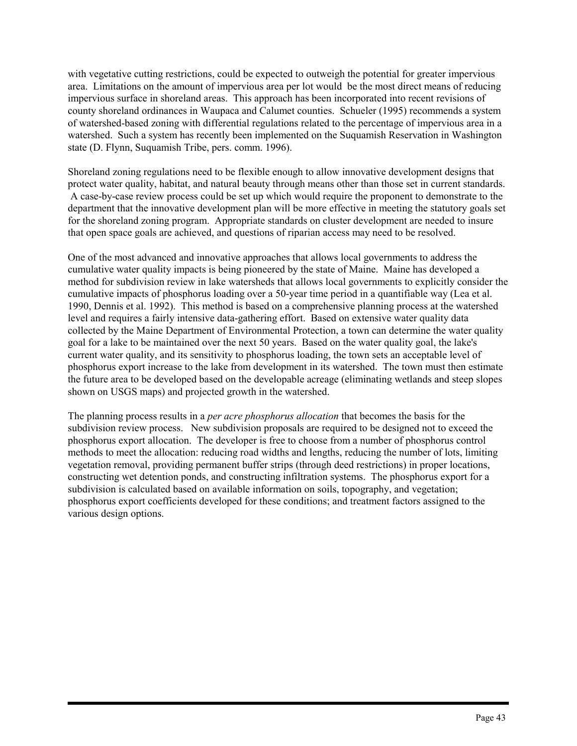with vegetative cutting restrictions, could be expected to outweigh the potential for greater impervious area. Limitations on the amount of impervious area per lot would be the most direct means of reducing impervious surface in shoreland areas. This approach has been incorporated into recent revisions of county shoreland ordinances in Waupaca and Calumet counties. Schueler (1995) recommends a system of watershed-based zoning with differential regulations related to the percentage of impervious area in a watershed. Such a system has recently been implemented on the Suquamish Reservation in Washington state (D. Flynn, Suquamish Tribe, pers. comm. 1996).

Shoreland zoning regulations need to be flexible enough to allow innovative development designs that protect water quality, habitat, and natural beauty through means other than those set in current standards. A case-by-case review process could be set up which would require the proponent to demonstrate to the department that the innovative development plan will be more effective in meeting the statutory goals set for the shoreland zoning program. Appropriate standards on cluster development are needed to insure that open space goals are achieved, and questions of riparian access may need to be resolved.

One of the most advanced and innovative approaches that allows local governments to address the cumulative water quality impacts is being pioneered by the state of Maine. Maine has developed a method for subdivision review in lake watersheds that allows local governments to explicitly consider the cumulative impacts of phosphorus loading over a 50-year time period in a quantifiable way (Lea et al. 1990, Dennis et al. 1992). This method is based on a comprehensive planning process at the watershed level and requires a fairly intensive data-gathering effort. Based on extensive water quality data collected by the Maine Department of Environmental Protection, a town can determine the water quality goal for a lake to be maintained over the next 50 years. Based on the water quality goal, the lake's current water quality, and its sensitivity to phosphorus loading, the town sets an acceptable level of phosphorus export increase to the lake from development in its watershed. The town must then estimate the future area to be developed based on the developable acreage (eliminating wetlands and steep slopes shown on USGS maps) and projected growth in the watershed.

The planning process results in a *per acre phosphorus allocation* that becomes the basis for the subdivision review process. New subdivision proposals are required to be designed not to exceed the phosphorus export allocation. The developer is free to choose from a number of phosphorus control methods to meet the allocation: reducing road widths and lengths, reducing the number of lots, limiting vegetation removal, providing permanent buffer strips (through deed restrictions) in proper locations, constructing wet detention ponds, and constructing infiltration systems. The phosphorus export for a subdivision is calculated based on available information on soils, topography, and vegetation; phosphorus export coefficients developed for these conditions; and treatment factors assigned to the various design options.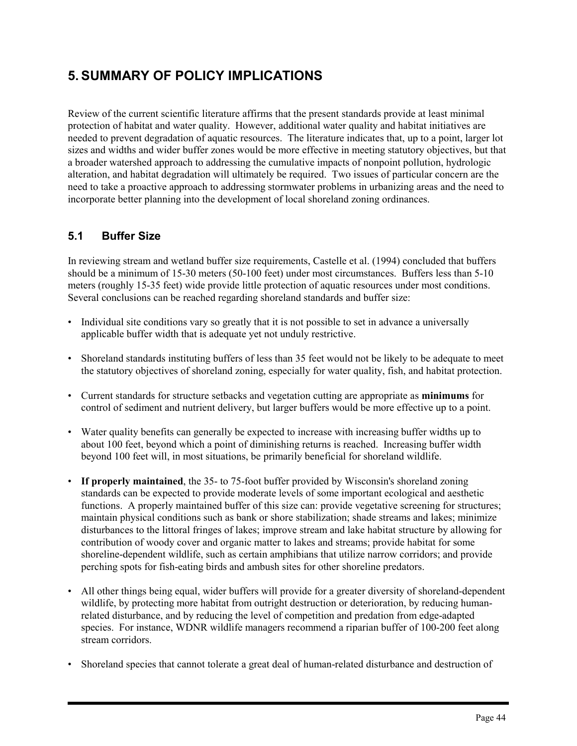# **5. SUMMARY OF POLICY IMPLICATIONS**

Review of the current scientific literature affirms that the present standards provide at least minimal protection of habitat and water quality. However, additional water quality and habitat initiatives are needed to prevent degradation of aquatic resources. The literature indicates that, up to a point, larger lot sizes and widths and wider buffer zones would be more effective in meeting statutory objectives, but that a broader watershed approach to addressing the cumulative impacts of nonpoint pollution, hydrologic alteration, and habitat degradation will ultimately be required. Two issues of particular concern are the need to take a proactive approach to addressing stormwater problems in urbanizing areas and the need to incorporate better planning into the development of local shoreland zoning ordinances.

# **5.1 Buffer Size**

In reviewing stream and wetland buffer size requirements, Castelle et al. (1994) concluded that buffers should be a minimum of 15-30 meters (50-100 feet) under most circumstances. Buffers less than 5-10 meters (roughly 15-35 feet) wide provide little protection of aquatic resources under most conditions. Several conclusions can be reached regarding shoreland standards and buffer size:

- Individual site conditions vary so greatly that it is not possible to set in advance a universally applicable buffer width that is adequate yet not unduly restrictive.
- Shoreland standards instituting buffers of less than 35 feet would not be likely to be adequate to meet the statutory objectives of shoreland zoning, especially for water quality, fish, and habitat protection.
- Current standards for structure setbacks and vegetation cutting are appropriate as **minimums** for control of sediment and nutrient delivery, but larger buffers would be more effective up to a point.
- Water quality benefits can generally be expected to increase with increasing buffer widths up to about 100 feet, beyond which a point of diminishing returns is reached. Increasing buffer width beyond 100 feet will, in most situations, be primarily beneficial for shoreland wildlife.
- **If properly maintained**, the 35- to 75-foot buffer provided by Wisconsin's shoreland zoning standards can be expected to provide moderate levels of some important ecological and aesthetic functions. A properly maintained buffer of this size can: provide vegetative screening for structures; maintain physical conditions such as bank or shore stabilization; shade streams and lakes; minimize disturbances to the littoral fringes of lakes; improve stream and lake habitat structure by allowing for contribution of woody cover and organic matter to lakes and streams; provide habitat for some shoreline-dependent wildlife, such as certain amphibians that utilize narrow corridors; and provide perching spots for fish-eating birds and ambush sites for other shoreline predators.
- All other things being equal, wider buffers will provide for a greater diversity of shoreland-dependent wildlife, by protecting more habitat from outright destruction or deterioration, by reducing humanrelated disturbance, and by reducing the level of competition and predation from edge-adapted species. For instance, WDNR wildlife managers recommend a riparian buffer of 100-200 feet along stream corridors.
- Shoreland species that cannot tolerate a great deal of human-related disturbance and destruction of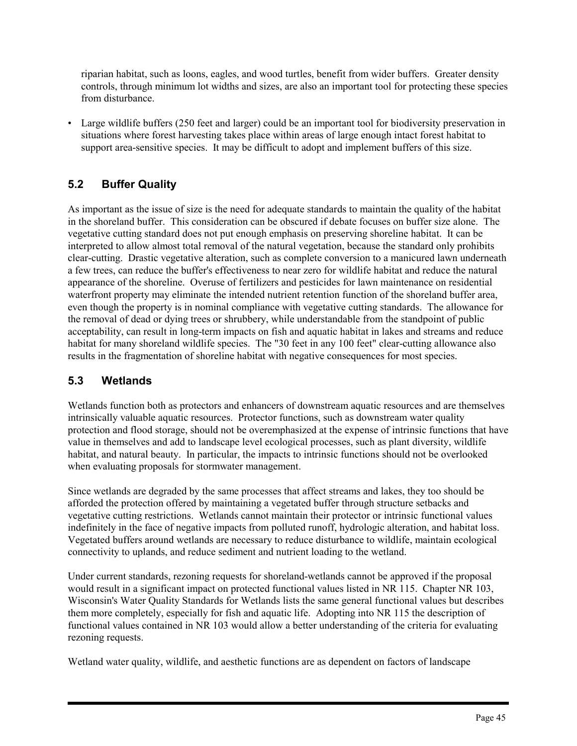riparian habitat, such as loons, eagles, and wood turtles, benefit from wider buffers. Greater density controls, through minimum lot widths and sizes, are also an important tool for protecting these species from disturbance.

• Large wildlife buffers (250 feet and larger) could be an important tool for biodiversity preservation in situations where forest harvesting takes place within areas of large enough intact forest habitat to support area-sensitive species. It may be difficult to adopt and implement buffers of this size.

# **5.2 Buffer Quality**

As important as the issue of size is the need for adequate standards to maintain the quality of the habitat in the shoreland buffer. This consideration can be obscured if debate focuses on buffer size alone. The vegetative cutting standard does not put enough emphasis on preserving shoreline habitat. It can be interpreted to allow almost total removal of the natural vegetation, because the standard only prohibits clear-cutting. Drastic vegetative alteration, such as complete conversion to a manicured lawn underneath a few trees, can reduce the buffer's effectiveness to near zero for wildlife habitat and reduce the natural appearance of the shoreline. Overuse of fertilizers and pesticides for lawn maintenance on residential waterfront property may eliminate the intended nutrient retention function of the shoreland buffer area, even though the property is in nominal compliance with vegetative cutting standards. The allowance for the removal of dead or dying trees or shrubbery, while understandable from the standpoint of public acceptability, can result in long-term impacts on fish and aquatic habitat in lakes and streams and reduce habitat for many shoreland wildlife species. The "30 feet in any 100 feet" clear-cutting allowance also results in the fragmentation of shoreline habitat with negative consequences for most species.

# **5.3 Wetlands**

Wetlands function both as protectors and enhancers of downstream aquatic resources and are themselves intrinsically valuable aquatic resources. Protector functions, such as downstream water quality protection and flood storage, should not be overemphasized at the expense of intrinsic functions that have value in themselves and add to landscape level ecological processes, such as plant diversity, wildlife habitat, and natural beauty. In particular, the impacts to intrinsic functions should not be overlooked when evaluating proposals for stormwater management.

Since wetlands are degraded by the same processes that affect streams and lakes, they too should be afforded the protection offered by maintaining a vegetated buffer through structure setbacks and vegetative cutting restrictions. Wetlands cannot maintain their protector or intrinsic functional values indefinitely in the face of negative impacts from polluted runoff, hydrologic alteration, and habitat loss. Vegetated buffers around wetlands are necessary to reduce disturbance to wildlife, maintain ecological connectivity to uplands, and reduce sediment and nutrient loading to the wetland.

Under current standards, rezoning requests for shoreland-wetlands cannot be approved if the proposal would result in a significant impact on protected functional values listed in NR 115. Chapter NR 103, Wisconsin's Water Quality Standards for Wetlands lists the same general functional values but describes them more completely, especially for fish and aquatic life. Adopting into NR 115 the description of functional values contained in NR 103 would allow a better understanding of the criteria for evaluating rezoning requests.

Wetland water quality, wildlife, and aesthetic functions are as dependent on factors of landscape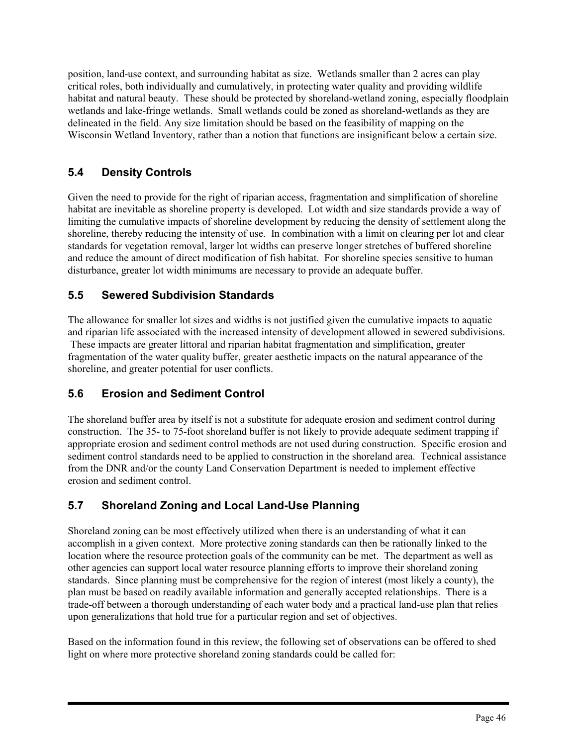position, land-use context, and surrounding habitat as size. Wetlands smaller than 2 acres can play critical roles, both individually and cumulatively, in protecting water quality and providing wildlife habitat and natural beauty. These should be protected by shoreland-wetland zoning, especially floodplain wetlands and lake-fringe wetlands. Small wetlands could be zoned as shoreland-wetlands as they are delineated in the field. Any size limitation should be based on the feasibility of mapping on the Wisconsin Wetland Inventory, rather than a notion that functions are insignificant below a certain size.

# **5.4 Density Controls**

Given the need to provide for the right of riparian access, fragmentation and simplification of shoreline habitat are inevitable as shoreline property is developed. Lot width and size standards provide a way of limiting the cumulative impacts of shoreline development by reducing the density of settlement along the shoreline, thereby reducing the intensity of use. In combination with a limit on clearing per lot and clear standards for vegetation removal, larger lot widths can preserve longer stretches of buffered shoreline and reduce the amount of direct modification of fish habitat. For shoreline species sensitive to human disturbance, greater lot width minimums are necessary to provide an adequate buffer.

# **5.5 Sewered Subdivision Standards**

The allowance for smaller lot sizes and widths is not justified given the cumulative impacts to aquatic and riparian life associated with the increased intensity of development allowed in sewered subdivisions. These impacts are greater littoral and riparian habitat fragmentation and simplification, greater fragmentation of the water quality buffer, greater aesthetic impacts on the natural appearance of the shoreline, and greater potential for user conflicts.

# **5.6 Erosion and Sediment Control**

The shoreland buffer area by itself is not a substitute for adequate erosion and sediment control during construction. The 35- to 75-foot shoreland buffer is not likely to provide adequate sediment trapping if appropriate erosion and sediment control methods are not used during construction. Specific erosion and sediment control standards need to be applied to construction in the shoreland area. Technical assistance from the DNR and/or the county Land Conservation Department is needed to implement effective erosion and sediment control.

# **5.7 Shoreland Zoning and Local Land-Use Planning**

Shoreland zoning can be most effectively utilized when there is an understanding of what it can accomplish in a given context. More protective zoning standards can then be rationally linked to the location where the resource protection goals of the community can be met. The department as well as other agencies can support local water resource planning efforts to improve their shoreland zoning standards. Since planning must be comprehensive for the region of interest (most likely a county), the plan must be based on readily available information and generally accepted relationships. There is a trade-off between a thorough understanding of each water body and a practical land-use plan that relies upon generalizations that hold true for a particular region and set of objectives.

Based on the information found in this review, the following set of observations can be offered to shed light on where more protective shoreland zoning standards could be called for: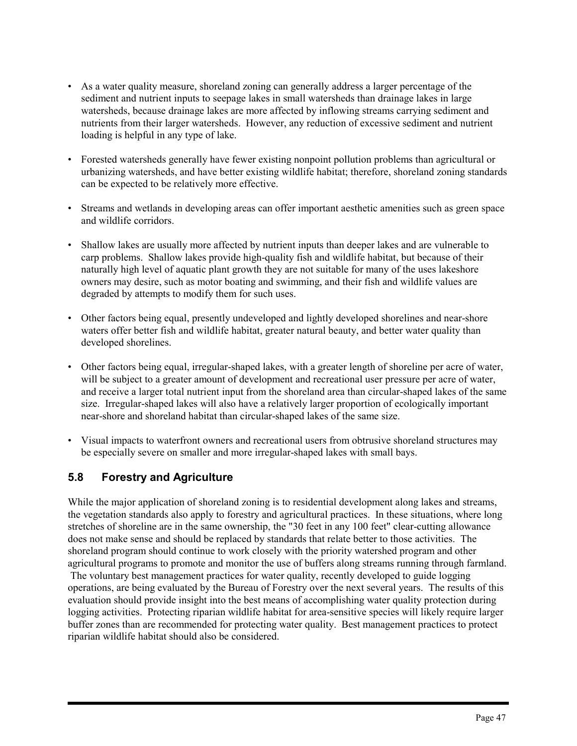- As a water quality measure, shoreland zoning can generally address a larger percentage of the sediment and nutrient inputs to seepage lakes in small watersheds than drainage lakes in large watersheds, because drainage lakes are more affected by inflowing streams carrying sediment and nutrients from their larger watersheds. However, any reduction of excessive sediment and nutrient loading is helpful in any type of lake.
- Forested watersheds generally have fewer existing nonpoint pollution problems than agricultural or urbanizing watersheds, and have better existing wildlife habitat; therefore, shoreland zoning standards can be expected to be relatively more effective.
- Streams and wetlands in developing areas can offer important aesthetic amenities such as green space and wildlife corridors.
- Shallow lakes are usually more affected by nutrient inputs than deeper lakes and are vulnerable to carp problems. Shallow lakes provide high-quality fish and wildlife habitat, but because of their naturally high level of aquatic plant growth they are not suitable for many of the uses lakeshore owners may desire, such as motor boating and swimming, and their fish and wildlife values are degraded by attempts to modify them for such uses.
- Other factors being equal, presently undeveloped and lightly developed shorelines and near-shore waters offer better fish and wildlife habitat, greater natural beauty, and better water quality than developed shorelines.
- Other factors being equal, irregular-shaped lakes, with a greater length of shoreline per acre of water, will be subject to a greater amount of development and recreational user pressure per acre of water, and receive a larger total nutrient input from the shoreland area than circular-shaped lakes of the same size. Irregular-shaped lakes will also have a relatively larger proportion of ecologically important near-shore and shoreland habitat than circular-shaped lakes of the same size.
- Visual impacts to waterfront owners and recreational users from obtrusive shoreland structures may be especially severe on smaller and more irregular-shaped lakes with small bays.

# **5.8 Forestry and Agriculture**

While the major application of shoreland zoning is to residential development along lakes and streams, the vegetation standards also apply to forestry and agricultural practices. In these situations, where long stretches of shoreline are in the same ownership, the "30 feet in any 100 feet" clear-cutting allowance does not make sense and should be replaced by standards that relate better to those activities. The shoreland program should continue to work closely with the priority watershed program and other agricultural programs to promote and monitor the use of buffers along streams running through farmland. The voluntary best management practices for water quality, recently developed to guide logging operations, are being evaluated by the Bureau of Forestry over the next several years. The results of this evaluation should provide insight into the best means of accomplishing water quality protection during logging activities. Protecting riparian wildlife habitat for area-sensitive species will likely require larger buffer zones than are recommended for protecting water quality. Best management practices to protect riparian wildlife habitat should also be considered.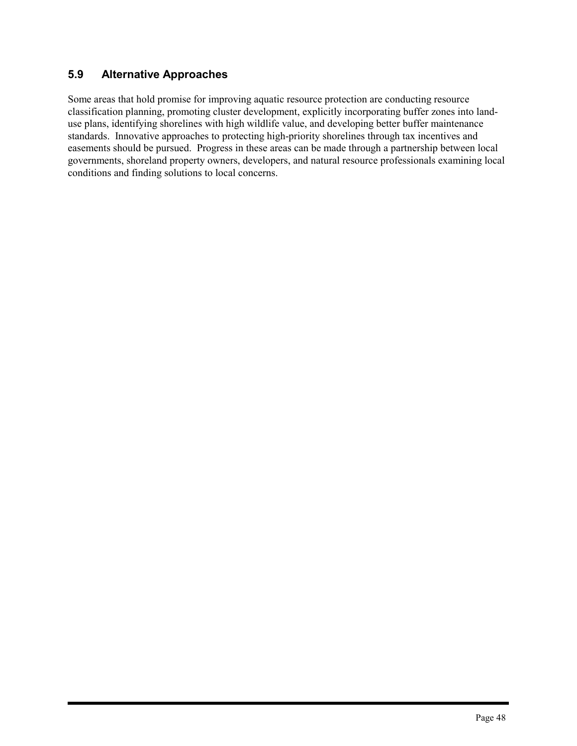# **5.9 Alternative Approaches**

Some areas that hold promise for improving aquatic resource protection are conducting resource classification planning, promoting cluster development, explicitly incorporating buffer zones into landuse plans, identifying shorelines with high wildlife value, and developing better buffer maintenance standards. Innovative approaches to protecting high-priority shorelines through tax incentives and easements should be pursued. Progress in these areas can be made through a partnership between local governments, shoreland property owners, developers, and natural resource professionals examining local conditions and finding solutions to local concerns.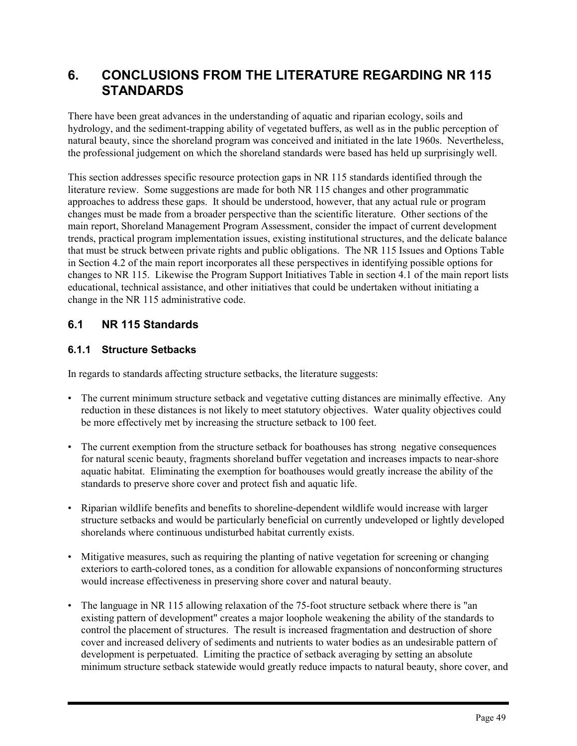# **6. CONCLUSIONS FROM THE LITERATURE REGARDING NR 115 STANDARDS**

There have been great advances in the understanding of aquatic and riparian ecology, soils and hydrology, and the sediment-trapping ability of vegetated buffers, as well as in the public perception of natural beauty, since the shoreland program was conceived and initiated in the late 1960s. Nevertheless, the professional judgement on which the shoreland standards were based has held up surprisingly well.

This section addresses specific resource protection gaps in NR 115 standards identified through the literature review. Some suggestions are made for both NR 115 changes and other programmatic approaches to address these gaps. It should be understood, however, that any actual rule or program changes must be made from a broader perspective than the scientific literature. Other sections of the main report, Shoreland Management Program Assessment, consider the impact of current development trends, practical program implementation issues, existing institutional structures, and the delicate balance that must be struck between private rights and public obligations. The NR 115 Issues and Options Table in Section 4.2 of the main report incorporates all these perspectives in identifying possible options for changes to NR 115. Likewise the Program Support Initiatives Table in section 4.1 of the main report lists educational, technical assistance, and other initiatives that could be undertaken without initiating a change in the NR 115 administrative code.

# **6.1 NR 115 Standards**

#### **6.1.1 Structure Setbacks**

In regards to standards affecting structure setbacks, the literature suggests:

- The current minimum structure setback and vegetative cutting distances are minimally effective. Any reduction in these distances is not likely to meet statutory objectives. Water quality objectives could be more effectively met by increasing the structure setback to 100 feet.
- The current exemption from the structure setback for boathouses has strong negative consequences for natural scenic beauty, fragments shoreland buffer vegetation and increases impacts to near-shore aquatic habitat. Eliminating the exemption for boathouses would greatly increase the ability of the standards to preserve shore cover and protect fish and aquatic life.
- Riparian wildlife benefits and benefits to shoreline-dependent wildlife would increase with larger structure setbacks and would be particularly beneficial on currently undeveloped or lightly developed shorelands where continuous undisturbed habitat currently exists.
- Mitigative measures, such as requiring the planting of native vegetation for screening or changing exteriors to earth-colored tones, as a condition for allowable expansions of nonconforming structures would increase effectiveness in preserving shore cover and natural beauty.
- The language in NR 115 allowing relaxation of the 75-foot structure setback where there is "an existing pattern of development" creates a major loophole weakening the ability of the standards to control the placement of structures. The result is increased fragmentation and destruction of shore cover and increased delivery of sediments and nutrients to water bodies as an undesirable pattern of development is perpetuated. Limiting the practice of setback averaging by setting an absolute minimum structure setback statewide would greatly reduce impacts to natural beauty, shore cover, and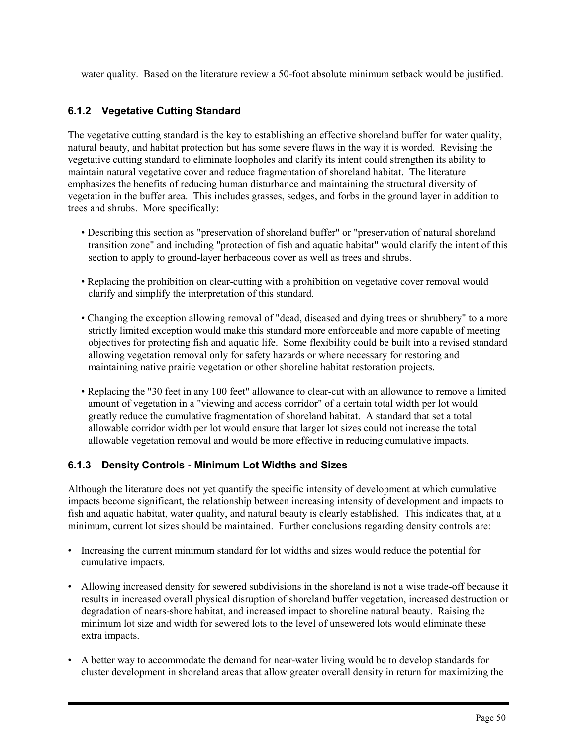water quality. Based on the literature review a 50-foot absolute minimum setback would be justified.

# **6.1.2 Vegetative Cutting Standard**

The vegetative cutting standard is the key to establishing an effective shoreland buffer for water quality, natural beauty, and habitat protection but has some severe flaws in the way it is worded. Revising the vegetative cutting standard to eliminate loopholes and clarify its intent could strengthen its ability to maintain natural vegetative cover and reduce fragmentation of shoreland habitat. The literature emphasizes the benefits of reducing human disturbance and maintaining the structural diversity of vegetation in the buffer area. This includes grasses, sedges, and forbs in the ground layer in addition to trees and shrubs. More specifically:

- Describing this section as "preservation of shoreland buffer" or "preservation of natural shoreland transition zone" and including "protection of fish and aquatic habitat" would clarify the intent of this section to apply to ground-layer herbaceous cover as well as trees and shrubs.
- Replacing the prohibition on clear-cutting with a prohibition on vegetative cover removal would clarify and simplify the interpretation of this standard.
- Changing the exception allowing removal of "dead, diseased and dying trees or shrubbery" to a more strictly limited exception would make this standard more enforceable and more capable of meeting objectives for protecting fish and aquatic life. Some flexibility could be built into a revised standard allowing vegetation removal only for safety hazards or where necessary for restoring and maintaining native prairie vegetation or other shoreline habitat restoration projects.
- Replacing the "30 feet in any 100 feet" allowance to clear-cut with an allowance to remove a limited amount of vegetation in a "viewing and access corridor" of a certain total width per lot would greatly reduce the cumulative fragmentation of shoreland habitat. A standard that set a total allowable corridor width per lot would ensure that larger lot sizes could not increase the total allowable vegetation removal and would be more effective in reducing cumulative impacts.

# **6.1.3 Density Controls - Minimum Lot Widths and Sizes**

Although the literature does not yet quantify the specific intensity of development at which cumulative impacts become significant, the relationship between increasing intensity of development and impacts to fish and aquatic habitat, water quality, and natural beauty is clearly established. This indicates that, at a minimum, current lot sizes should be maintained. Further conclusions regarding density controls are:

- Increasing the current minimum standard for lot widths and sizes would reduce the potential for cumulative impacts.
- Allowing increased density for sewered subdivisions in the shoreland is not a wise trade-off because it results in increased overall physical disruption of shoreland buffer vegetation, increased destruction or degradation of nears-shore habitat, and increased impact to shoreline natural beauty. Raising the minimum lot size and width for sewered lots to the level of unsewered lots would eliminate these extra impacts.
- A better way to accommodate the demand for near-water living would be to develop standards for cluster development in shoreland areas that allow greater overall density in return for maximizing the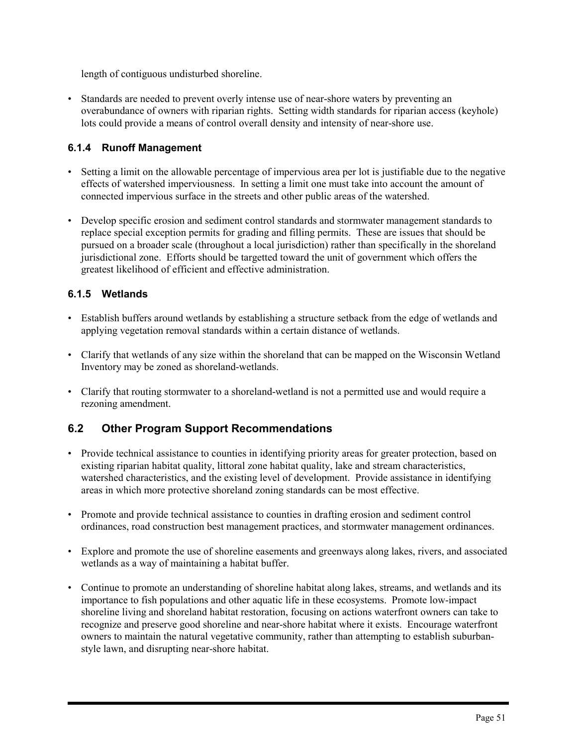length of contiguous undisturbed shoreline.

• Standards are needed to prevent overly intense use of near-shore waters by preventing an overabundance of owners with riparian rights. Setting width standards for riparian access (keyhole) lots could provide a means of control overall density and intensity of near-shore use.

# **6.1.4 Runoff Management**

- Setting a limit on the allowable percentage of impervious area per lot is justifiable due to the negative effects of watershed imperviousness. In setting a limit one must take into account the amount of connected impervious surface in the streets and other public areas of the watershed.
- Develop specific erosion and sediment control standards and stormwater management standards to replace special exception permits for grading and filling permits. These are issues that should be pursued on a broader scale (throughout a local jurisdiction) rather than specifically in the shoreland jurisdictional zone. Efforts should be targetted toward the unit of government which offers the greatest likelihood of efficient and effective administration.

# **6.1.5 Wetlands**

- Establish buffers around wetlands by establishing a structure setback from the edge of wetlands and applying vegetation removal standards within a certain distance of wetlands.
- Clarify that wetlands of any size within the shoreland that can be mapped on the Wisconsin Wetland Inventory may be zoned as shoreland-wetlands.
- Clarify that routing stormwater to a shoreland-wetland is not a permitted use and would require a rezoning amendment.

# **6.2 Other Program Support Recommendations**

- Provide technical assistance to counties in identifying priority areas for greater protection, based on existing riparian habitat quality, littoral zone habitat quality, lake and stream characteristics, watershed characteristics, and the existing level of development. Provide assistance in identifying areas in which more protective shoreland zoning standards can be most effective.
- Promote and provide technical assistance to counties in drafting erosion and sediment control ordinances, road construction best management practices, and stormwater management ordinances.
- Explore and promote the use of shoreline easements and greenways along lakes, rivers, and associated wetlands as a way of maintaining a habitat buffer.
- Continue to promote an understanding of shoreline habitat along lakes, streams, and wetlands and its importance to fish populations and other aquatic life in these ecosystems. Promote low-impact shoreline living and shoreland habitat restoration, focusing on actions waterfront owners can take to recognize and preserve good shoreline and near-shore habitat where it exists. Encourage waterfront owners to maintain the natural vegetative community, rather than attempting to establish suburbanstyle lawn, and disrupting near-shore habitat.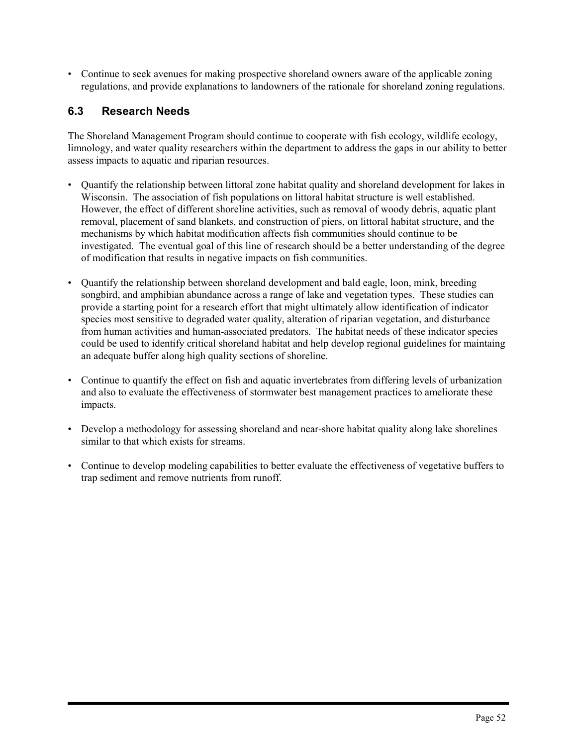• Continue to seek avenues for making prospective shoreland owners aware of the applicable zoning regulations, and provide explanations to landowners of the rationale for shoreland zoning regulations.

# **6.3 Research Needs**

The Shoreland Management Program should continue to cooperate with fish ecology, wildlife ecology, limnology, and water quality researchers within the department to address the gaps in our ability to better assess impacts to aquatic and riparian resources.

- Quantify the relationship between littoral zone habitat quality and shoreland development for lakes in Wisconsin. The association of fish populations on littoral habitat structure is well established. However, the effect of different shoreline activities, such as removal of woody debris, aquatic plant removal, placement of sand blankets, and construction of piers, on littoral habitat structure, and the mechanisms by which habitat modification affects fish communities should continue to be investigated. The eventual goal of this line of research should be a better understanding of the degree of modification that results in negative impacts on fish communities.
- Quantify the relationship between shoreland development and bald eagle, loon, mink, breeding songbird, and amphibian abundance across a range of lake and vegetation types. These studies can provide a starting point for a research effort that might ultimately allow identification of indicator species most sensitive to degraded water quality, alteration of riparian vegetation, and disturbance from human activities and human-associated predators. The habitat needs of these indicator species could be used to identify critical shoreland habitat and help develop regional guidelines for maintaing an adequate buffer along high quality sections of shoreline.
- Continue to quantify the effect on fish and aquatic invertebrates from differing levels of urbanization and also to evaluate the effectiveness of stormwater best management practices to ameliorate these impacts.
- Develop a methodology for assessing shoreland and near-shore habitat quality along lake shorelines similar to that which exists for streams.
- Continue to develop modeling capabilities to better evaluate the effectiveness of vegetative buffers to trap sediment and remove nutrients from runoff.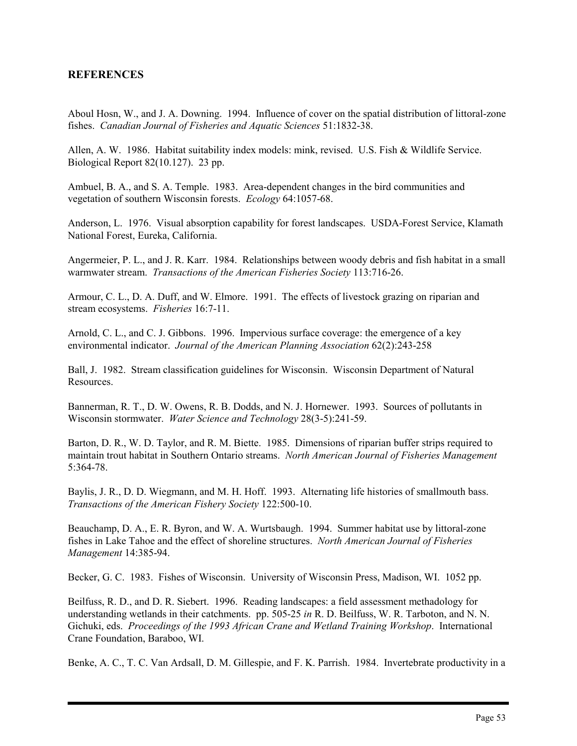#### **REFERENCES**

Aboul Hosn, W., and J. A. Downing. 1994. Influence of cover on the spatial distribution of littoral-zone fishes. *Canadian Journal of Fisheries and Aquatic Sciences* 51:1832-38.

Allen, A. W. 1986. Habitat suitability index models: mink, revised. U.S. Fish & Wildlife Service. Biological Report 82(10.127). 23 pp.

Ambuel, B. A., and S. A. Temple. 1983. Area-dependent changes in the bird communities and vegetation of southern Wisconsin forests. *Ecology* 64:1057-68.

Anderson, L. 1976. Visual absorption capability for forest landscapes. USDA-Forest Service, Klamath National Forest, Eureka, California.

Angermeier, P. L., and J. R. Karr. 1984. Relationships between woody debris and fish habitat in a small warmwater stream. *Transactions of the American Fisheries Society* 113:716-26.

Armour, C. L., D. A. Duff, and W. Elmore. 1991. The effects of livestock grazing on riparian and stream ecosystems. *Fisheries* 16:7-11.

Arnold, C. L., and C. J. Gibbons. 1996. Impervious surface coverage: the emergence of a key environmental indicator. *Journal of the American Planning Association* 62(2):243-258

Ball, J. 1982. Stream classification guidelines for Wisconsin. Wisconsin Department of Natural Resources.

Bannerman, R. T., D. W. Owens, R. B. Dodds, and N. J. Hornewer. 1993. Sources of pollutants in Wisconsin stormwater. *Water Science and Technology* 28(3-5):241-59.

Barton, D. R., W. D. Taylor, and R. M. Biette. 1985. Dimensions of riparian buffer strips required to maintain trout habitat in Southern Ontario streams. *North American Journal of Fisheries Management* 5:364-78.

Baylis, J. R., D. D. Wiegmann, and M. H. Hoff. 1993. Alternating life histories of smallmouth bass. *Transactions of the American Fishery Society* 122:500-10.

Beauchamp, D. A., E. R. Byron, and W. A. Wurtsbaugh. 1994. Summer habitat use by littoral-zone fishes in Lake Tahoe and the effect of shoreline structures. *North American Journal of Fisheries Management* 14:385-94.

Becker, G. C. 1983. Fishes of Wisconsin. University of Wisconsin Press, Madison, WI. 1052 pp.

Beilfuss, R. D., and D. R. Siebert. 1996. Reading landscapes: a field assessment methadology for understanding wetlands in their catchments. pp. 505-25 *in* R. D. Beilfuss, W. R. Tarboton, and N. N. Gichuki, eds. *Proceedings of the 1993 African Crane and Wetland Training Workshop*. International Crane Foundation, Baraboo, WI.

Benke, A. C., T. C. Van Ardsall, D. M. Gillespie, and F. K. Parrish. 1984. Invertebrate productivity in a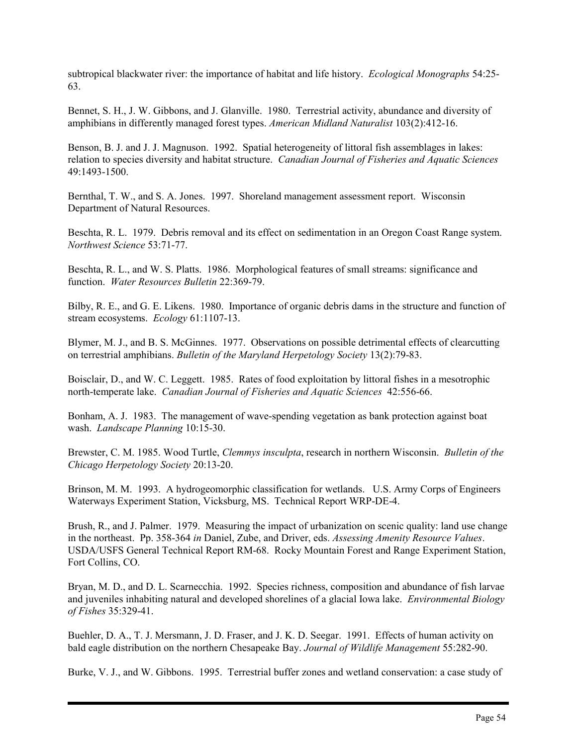subtropical blackwater river: the importance of habitat and life history. *Ecological Monographs* 54:25- 63.

Bennet, S. H., J. W. Gibbons, and J. Glanville. 1980. Terrestrial activity, abundance and diversity of amphibians in differently managed forest types. *American Midland Naturalist* 103(2):412-16.

Benson, B. J. and J. J. Magnuson. 1992. Spatial heterogeneity of littoral fish assemblages in lakes: relation to species diversity and habitat structure. *Canadian Journal of Fisheries and Aquatic Sciences* 49:1493-1500.

Bernthal, T. W., and S. A. Jones. 1997. Shoreland management assessment report. Wisconsin Department of Natural Resources.

Beschta, R. L. 1979. Debris removal and its effect on sedimentation in an Oregon Coast Range system. *Northwest Science* 53:71-77.

Beschta, R. L., and W. S. Platts. 1986. Morphological features of small streams: significance and function. *Water Resources Bulletin* 22:369-79.

Bilby, R. E., and G. E. Likens. 1980. Importance of organic debris dams in the structure and function of stream ecosystems. *Ecology* 61:1107-13.

Blymer, M. J., and B. S. McGinnes. 1977. Observations on possible detrimental effects of clearcutting on terrestrial amphibians. *Bulletin of the Maryland Herpetology Society* 13(2):79-83.

Boisclair, D., and W. C. Leggett. 1985. Rates of food exploitation by littoral fishes in a mesotrophic north-temperate lake. *Canadian Journal of Fisheries and Aquatic Sciences* 42:556-66.

Bonham, A. J. 1983. The management of wave-spending vegetation as bank protection against boat wash. *Landscape Planning* 10:15-30.

Brewster, C. M. 1985. Wood Turtle, *Clemmys insculpta*, research in northern Wisconsin. *Bulletin of the Chicago Herpetology Society* 20:13-20.

Brinson, M. M. 1993. A hydrogeomorphic classification for wetlands. U.S. Army Corps of Engineers Waterways Experiment Station, Vicksburg, MS. Technical Report WRP-DE-4.

Brush, R., and J. Palmer. 1979. Measuring the impact of urbanization on scenic quality: land use change in the northeast. Pp. 358-364 *in* Daniel, Zube, and Driver, eds. *Assessing Amenity Resource Values*. USDA/USFS General Technical Report RM-68. Rocky Mountain Forest and Range Experiment Station, Fort Collins, CO.

Bryan, M. D., and D. L. Scarnecchia. 1992. Species richness, composition and abundance of fish larvae and juveniles inhabiting natural and developed shorelines of a glacial Iowa lake. *Environmental Biology of Fishes* 35:329-41.

Buehler, D. A., T. J. Mersmann, J. D. Fraser, and J. K. D. Seegar. 1991. Effects of human activity on bald eagle distribution on the northern Chesapeake Bay. *Journal of Wildlife Management* 55:282-90.

Burke, V. J., and W. Gibbons. 1995. Terrestrial buffer zones and wetland conservation: a case study of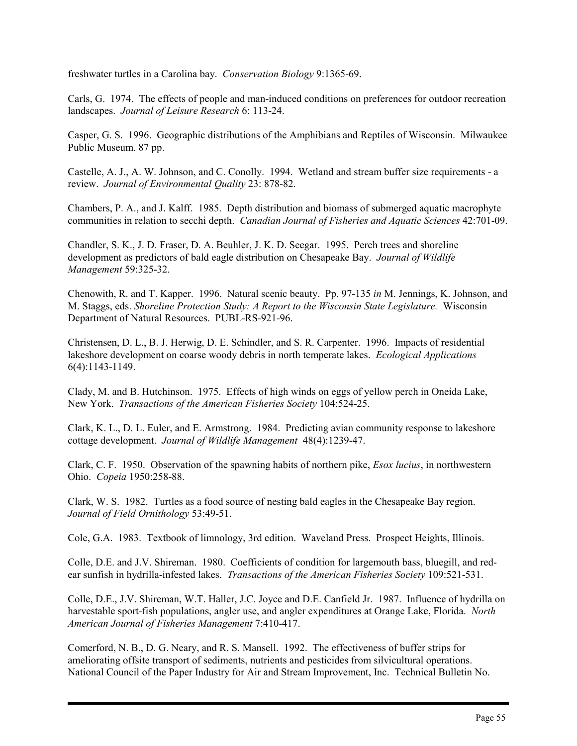freshwater turtles in a Carolina bay. *Conservation Biology* 9:1365-69.

Carls, G. 1974. The effects of people and man-induced conditions on preferences for outdoor recreation landscapes. *Journal of Leisure Research* 6: 113-24.

Casper, G. S. 1996. Geographic distributions of the Amphibians and Reptiles of Wisconsin. Milwaukee Public Museum. 87 pp.

Castelle, A. J., A. W. Johnson, and C. Conolly. 1994. Wetland and stream buffer size requirements - a review. *Journal of Environmental Quality* 23: 878-82.

Chambers, P. A., and J. Kalff. 1985. Depth distribution and biomass of submerged aquatic macrophyte communities in relation to secchi depth. *Canadian Journal of Fisheries and Aquatic Sciences* 42:701-09.

Chandler, S. K., J. D. Fraser, D. A. Beuhler, J. K. D. Seegar. 1995. Perch trees and shoreline development as predictors of bald eagle distribution on Chesapeake Bay. *Journal of Wildlife Management* 59:325-32.

Chenowith, R. and T. Kapper. 1996. Natural scenic beauty. Pp. 97-135 *in* M. Jennings, K. Johnson, and M. Staggs, eds. *Shoreline Protection Study: A Report to the Wisconsin State Legislature.* Wisconsin Department of Natural Resources. PUBL-RS-921-96.

Christensen, D. L., B. J. Herwig, D. E. Schindler, and S. R. Carpenter. 1996. Impacts of residential lakeshore development on coarse woody debris in north temperate lakes. *Ecological Applications* 6(4):1143-1149.

Clady, M. and B. Hutchinson. 1975. Effects of high winds on eggs of yellow perch in Oneida Lake, New York. *Transactions of the American Fisheries Society* 104:524-25.

Clark, K. L., D. L. Euler, and E. Armstrong. 1984. Predicting avian community response to lakeshore cottage development. *Journal of Wildlife Management* 48(4):1239-47.

Clark, C. F. 1950. Observation of the spawning habits of northern pike, *Esox lucius*, in northwestern Ohio. *Copeia* 1950:258-88.

Clark, W. S. 1982. Turtles as a food source of nesting bald eagles in the Chesapeake Bay region. *Journal of Field Ornithology* 53:49-51.

Cole, G.A. 1983. Textbook of limnology, 3rd edition. Waveland Press. Prospect Heights, Illinois.

Colle, D.E. and J.V. Shireman. 1980. Coefficients of condition for largemouth bass, bluegill, and redear sunfish in hydrilla-infested lakes. *Transactions of the American Fisheries Society* 109:521-531.

Colle, D.E., J.V. Shireman, W.T. Haller, J.C. Joyce and D.E. Canfield Jr. 1987. Influence of hydrilla on harvestable sport-fish populations, angler use, and angler expenditures at Orange Lake, Florida. *North American Journal of Fisheries Management* 7:410-417.

Comerford, N. B., D. G. Neary, and R. S. Mansell. 1992. The effectiveness of buffer strips for ameliorating offsite transport of sediments, nutrients and pesticides from silvicultural operations. National Council of the Paper Industry for Air and Stream Improvement, Inc. Technical Bulletin No.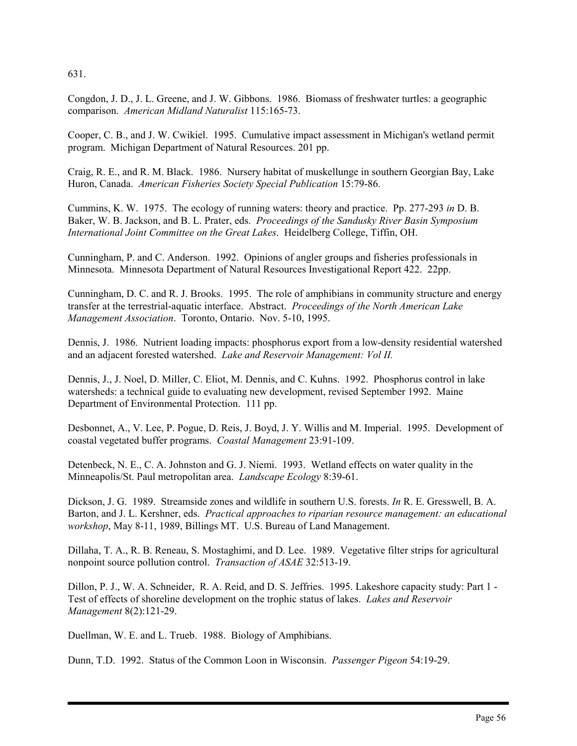631.

Congdon, J. D., J. L. Greene, and J. W. Gibbons. 1986. Biomass of freshwater turtles: a geographic comparison. *American Midland Naturalist* 115:165-73.

Cooper, C. B., and J. W. Cwikiel. 1995. Cumulative impact assessment in Michigan's wetland permit program. Michigan Department of Natural Resources. 201 pp.

Craig, R. E., and R. M. Black. 1986. Nursery habitat of muskellunge in southern Georgian Bay, Lake Huron, Canada. *American Fisheries Society Special Publication* 15:79-86.

Cummins, K. W. 1975. The ecology of running waters: theory and practice. Pp. 277-293 *in* D. B. Baker, W. B. Jackson, and B. L. Prater, eds. *Proceedings of the Sandusky River Basin Symposium International Joint Committee on the Great Lakes*. Heidelberg College, Tiffin, OH.

Cunningham, P. and C. Anderson. 1992. Opinions of angler groups and fisheries professionals in Minnesota. Minnesota Department of Natural Resources Investigational Report 422. 22pp.

Cunningham, D. C. and R. J. Brooks. 1995. The role of amphibians in community structure and energy transfer at the terrestrial-aquatic interface. Abstract. *Proceedings of the North American Lake Management Association*. Toronto, Ontario. Nov. 5-10, 1995.

Dennis, J. 1986. Nutrient loading impacts: phosphorus export from a low-density residential watershed and an adjacent forested watershed. *Lake and Reservoir Management: Vol II.*

Dennis, J., J. Noel, D. Miller, C. Eliot, M. Dennis, and C. Kuhns. 1992. Phosphorus control in lake watersheds: a technical guide to evaluating new development, revised September 1992. Maine Department of Environmental Protection. 111 pp.

Desbonnet, A., V. Lee, P. Pogue, D. Reis, J. Boyd, J. Y. Willis and M. Imperial. 1995. Development of coastal vegetated buffer programs. *Coastal Management* 23:91-109.

Detenbeck, N. E., C. A. Johnston and G. J. Niemi. 1993. Wetland effects on water quality in the Minneapolis/St. Paul metropolitan area. *Landscape Ecology* 8:39-61.

Dickson, J. G. 1989. Streamside zones and wildlife in southern U.S. forests. *In* R. E. Gresswell, B. A. Barton, and J. L. Kershner, eds. *Practical approaches to riparian resource management: an educational workshop*, May 8-11, 1989, Billings MT. U.S. Bureau of Land Management.

Dillaha, T. A., R. B. Reneau, S. Mostaghimi, and D. Lee. 1989. Vegetative filter strips for agricultural nonpoint source pollution control. *Transaction of ASAE* 32:513-19.

Dillon, P. J., W. A. Schneider, R. A. Reid, and D. S. Jeffries. 1995. Lakeshore capacity study: Part 1 - Test of effects of shoreline development on the trophic status of lakes. *Lakes and Reservoir Management* 8(2):121-29.

Duellman, W. E. and L. Trueb. 1988. Biology of Amphibians.

Dunn, T.D. 1992. Status of the Common Loon in Wisconsin. *Passenger Pigeon* 54:19-29.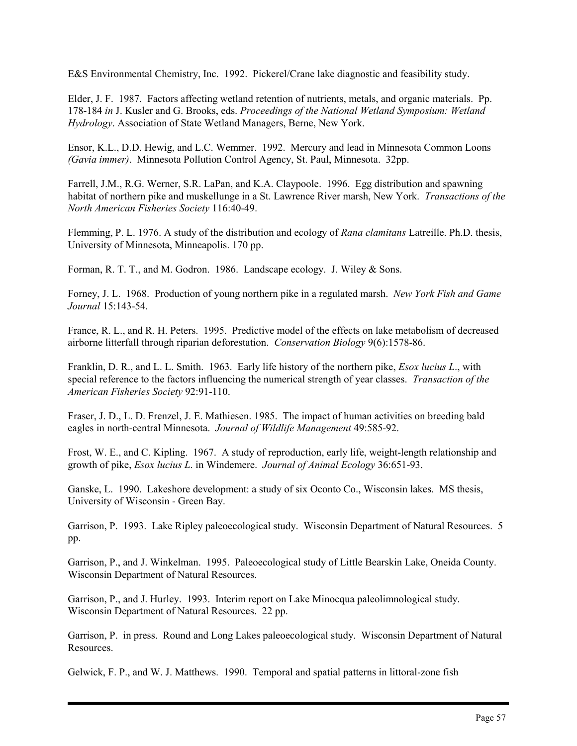E&S Environmental Chemistry, Inc. 1992. Pickerel/Crane lake diagnostic and feasibility study.

Elder, J. F. 1987. Factors affecting wetland retention of nutrients, metals, and organic materials. Pp. 178-184 *in* J. Kusler and G. Brooks, eds. *Proceedings of the National Wetland Symposium: Wetland Hydrology*. Association of State Wetland Managers, Berne, New York.

Ensor, K.L., D.D. Hewig, and L.C. Wemmer. 1992. Mercury and lead in Minnesota Common Loons *(Gavia immer)*. Minnesota Pollution Control Agency, St. Paul, Minnesota. 32pp.

Farrell, J.M., R.G. Werner, S.R. LaPan, and K.A. Claypoole. 1996. Egg distribution and spawning habitat of northern pike and muskellunge in a St. Lawrence River marsh, New York. *Transactions of the North American Fisheries Society* 116:40-49.

Flemming, P. L. 1976. A study of the distribution and ecology of *Rana clamitans* Latreille. Ph.D. thesis, University of Minnesota, Minneapolis. 170 pp.

Forman, R. T. T., and M. Godron. 1986. Landscape ecology. J. Wiley & Sons.

Forney, J. L. 1968. Production of young northern pike in a regulated marsh. *New York Fish and Game Journal* 15:143-54.

France, R. L., and R. H. Peters. 1995. Predictive model of the effects on lake metabolism of decreased airborne litterfall through riparian deforestation. *Conservation Biology* 9(6):1578-86.

Franklin, D. R., and L. L. Smith. 1963. Early life history of the northern pike, *Esox lucius L*., with special reference to the factors influencing the numerical strength of year classes. *Transaction of the American Fisheries Society* 92:91-110.

Fraser, J. D., L. D. Frenzel, J. E. Mathiesen. 1985. The impact of human activities on breeding bald eagles in north-central Minnesota. *Journal of Wildlife Management* 49:585-92.

Frost, W. E., and C. Kipling. 1967. A study of reproduction, early life, weight-length relationship and growth of pike, *Esox lucius L*. in Windemere. *Journal of Animal Ecology* 36:651-93.

Ganske, L. 1990. Lakeshore development: a study of six Oconto Co., Wisconsin lakes. MS thesis, University of Wisconsin - Green Bay.

Garrison, P. 1993. Lake Ripley paleoecological study. Wisconsin Department of Natural Resources. 5 pp.

Garrison, P., and J. Winkelman. 1995. Paleoecological study of Little Bearskin Lake, Oneida County. Wisconsin Department of Natural Resources.

Garrison, P., and J. Hurley. 1993. Interim report on Lake Minocqua paleolimnological study. Wisconsin Department of Natural Resources. 22 pp.

Garrison, P. in press. Round and Long Lakes paleoecological study. Wisconsin Department of Natural Resources.

Gelwick, F. P., and W. J. Matthews. 1990. Temporal and spatial patterns in littoral-zone fish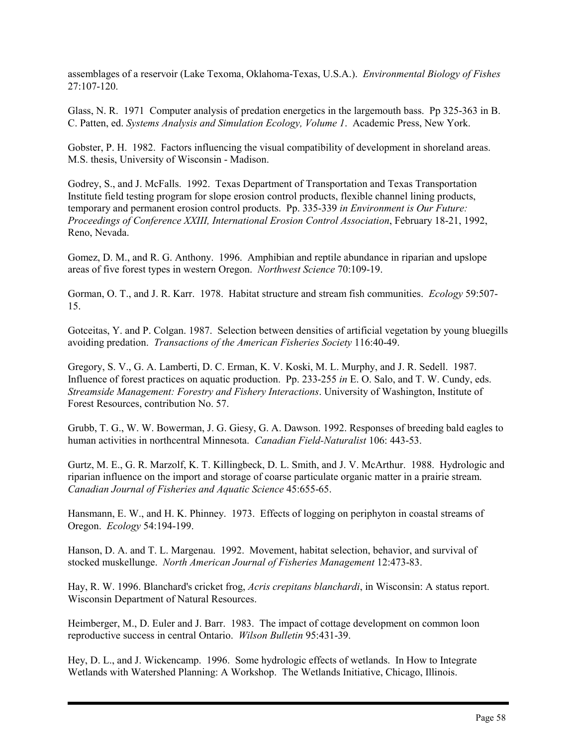assemblages of a reservoir (Lake Texoma, Oklahoma-Texas, U.S.A.). *Environmental Biology of Fishes* 27:107-120.

Glass, N. R. 1971 Computer analysis of predation energetics in the largemouth bass. Pp 325-363 in B. C. Patten, ed. *Systems Analysis and Simulation Ecology, Volume 1*. Academic Press, New York.

Gobster, P. H. 1982. Factors influencing the visual compatibility of development in shoreland areas. M.S. thesis, University of Wisconsin - Madison.

Godrey, S., and J. McFalls. 1992. Texas Department of Transportation and Texas Transportation Institute field testing program for slope erosion control products, flexible channel lining products, temporary and permanent erosion control products. Pp. 335-339 *in Environment is Our Future: Proceedings of Conference XXIII, International Erosion Control Association*, February 18-21, 1992, Reno, Nevada.

Gomez, D. M., and R. G. Anthony. 1996. Amphibian and reptile abundance in riparian and upslope areas of five forest types in western Oregon. *Northwest Science* 70:109-19.

Gorman, O. T., and J. R. Karr. 1978. Habitat structure and stream fish communities. *Ecology* 59:507- 15.

Gotceitas, Y. and P. Colgan. 1987. Selection between densities of artificial vegetation by young bluegills avoiding predation. *Transactions of the American Fisheries Society* 116:40-49.

Gregory, S. V., G. A. Lamberti, D. C. Erman, K. V. Koski, M. L. Murphy, and J. R. Sedell. 1987. Influence of forest practices on aquatic production. Pp. 233-255 *in* E. O. Salo, and T. W. Cundy, eds. *Streamside Management: Forestry and Fishery Interactions*. University of Washington, Institute of Forest Resources, contribution No. 57.

Grubb, T. G., W. W. Bowerman, J. G. Giesy, G. A. Dawson. 1992. Responses of breeding bald eagles to human activities in northcentral Minnesota. *Canadian Field-Naturalist* 106: 443-53.

Gurtz, M. E., G. R. Marzolf, K. T. Killingbeck, D. L. Smith, and J. V. McArthur. 1988. Hydrologic and riparian influence on the import and storage of coarse particulate organic matter in a prairie stream. *Canadian Journal of Fisheries and Aquatic Science* 45:655-65.

Hansmann, E. W., and H. K. Phinney. 1973. Effects of logging on periphyton in coastal streams of Oregon. *Ecology* 54:194-199.

Hanson, D. A. and T. L. Margenau. 1992. Movement, habitat selection, behavior, and survival of stocked muskellunge. *North American Journal of Fisheries Management* 12:473-83.

Hay, R. W. 1996. Blanchard's cricket frog, *Acris crepitans blanchardi*, in Wisconsin: A status report. Wisconsin Department of Natural Resources.

Heimberger, M., D. Euler and J. Barr. 1983. The impact of cottage development on common loon reproductive success in central Ontario. *Wilson Bulletin* 95:431-39.

Hey, D. L., and J. Wickencamp. 1996. Some hydrologic effects of wetlands. In How to Integrate Wetlands with Watershed Planning: A Workshop. The Wetlands Initiative, Chicago, Illinois.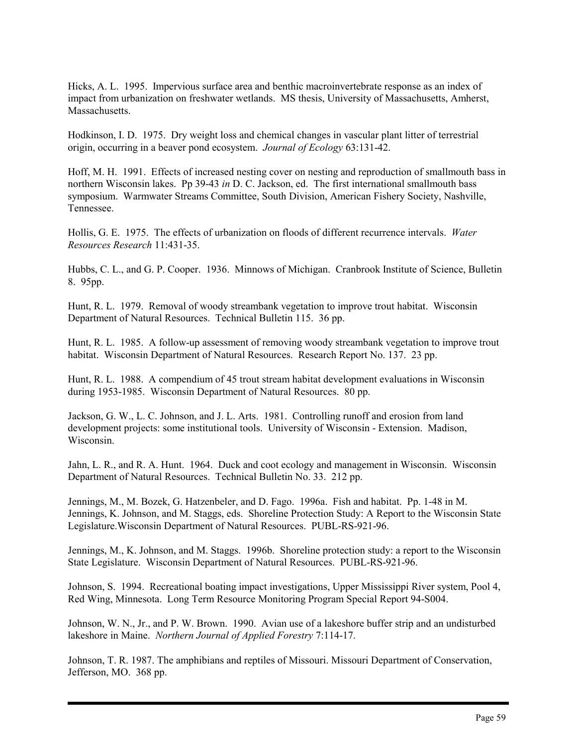Hicks, A. L. 1995. Impervious surface area and benthic macroinvertebrate response as an index of impact from urbanization on freshwater wetlands. MS thesis, University of Massachusetts, Amherst, Massachusetts.

Hodkinson, I. D. 1975. Dry weight loss and chemical changes in vascular plant litter of terrestrial origin, occurring in a beaver pond ecosystem. *Journal of Ecology* 63:131-42.

Hoff, M. H. 1991. Effects of increased nesting cover on nesting and reproduction of smallmouth bass in northern Wisconsin lakes. Pp 39-43 *in* D. C. Jackson, ed. The first international smallmouth bass symposium. Warmwater Streams Committee, South Division, American Fishery Society, Nashville, Tennessee.

Hollis, G. E. 1975. The effects of urbanization on floods of different recurrence intervals. *Water Resources Research* 11:431-35.

Hubbs, C. L., and G. P. Cooper. 1936. Minnows of Michigan. Cranbrook Institute of Science, Bulletin 8. 95pp.

Hunt, R. L. 1979. Removal of woody streambank vegetation to improve trout habitat. Wisconsin Department of Natural Resources. Technical Bulletin 115. 36 pp.

Hunt, R. L. 1985. A follow-up assessment of removing woody streambank vegetation to improve trout habitat. Wisconsin Department of Natural Resources. Research Report No. 137. 23 pp.

Hunt, R. L. 1988. A compendium of 45 trout stream habitat development evaluations in Wisconsin during 1953-1985. Wisconsin Department of Natural Resources. 80 pp.

Jackson, G. W., L. C. Johnson, and J. L. Arts. 1981. Controlling runoff and erosion from land development projects: some institutional tools. University of Wisconsin - Extension. Madison, Wisconsin.

Jahn, L. R., and R. A. Hunt. 1964. Duck and coot ecology and management in Wisconsin. Wisconsin Department of Natural Resources. Technical Bulletin No. 33. 212 pp.

Jennings, M., M. Bozek, G. Hatzenbeler, and D. Fago. 1996a. Fish and habitat. Pp. 1-48 in M. Jennings, K. Johnson, and M. Staggs, eds. Shoreline Protection Study: A Report to the Wisconsin State Legislature.Wisconsin Department of Natural Resources. PUBL-RS-921-96.

Jennings, M., K. Johnson, and M. Staggs. 1996b. Shoreline protection study: a report to the Wisconsin State Legislature. Wisconsin Department of Natural Resources. PUBL-RS-921-96.

Johnson, S. 1994. Recreational boating impact investigations, Upper Mississippi River system, Pool 4, Red Wing, Minnesota. Long Term Resource Monitoring Program Special Report 94-S004.

Johnson, W. N., Jr., and P. W. Brown. 1990. Avian use of a lakeshore buffer strip and an undisturbed lakeshore in Maine. *Northern Journal of Applied Forestry* 7:114-17.

Johnson, T. R. 1987. The amphibians and reptiles of Missouri. Missouri Department of Conservation, Jefferson, MO. 368 pp.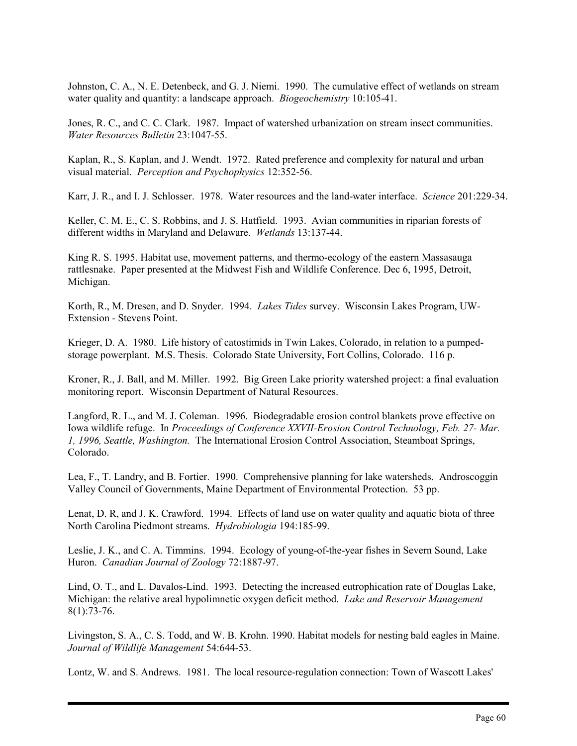Johnston, C. A., N. E. Detenbeck, and G. J. Niemi. 1990. The cumulative effect of wetlands on stream water quality and quantity: a landscape approach. *Biogeochemistry* 10:105-41.

Jones, R. C., and C. C. Clark. 1987. Impact of watershed urbanization on stream insect communities. *Water Resources Bulletin* 23:1047-55.

Kaplan, R., S. Kaplan, and J. Wendt. 1972. Rated preference and complexity for natural and urban visual material. *Perception and Psychophysics* 12:352-56.

Karr, J. R., and I. J. Schlosser. 1978. Water resources and the land-water interface. *Science* 201:229-34.

Keller, C. M. E., C. S. Robbins, and J. S. Hatfield. 1993. Avian communities in riparian forests of different widths in Maryland and Delaware. *Wetlands* 13:137-44.

King R. S. 1995. Habitat use, movement patterns, and thermo-ecology of the eastern Massasauga rattlesnake. Paper presented at the Midwest Fish and Wildlife Conference. Dec 6, 1995, Detroit, Michigan.

Korth, R., M. Dresen, and D. Snyder. 1994. *Lakes Tides* survey. Wisconsin Lakes Program, UW-Extension - Stevens Point.

Krieger, D. A. 1980. Life history of catostimids in Twin Lakes, Colorado, in relation to a pumpedstorage powerplant. M.S. Thesis. Colorado State University, Fort Collins, Colorado. 116 p.

Kroner, R., J. Ball, and M. Miller. 1992. Big Green Lake priority watershed project: a final evaluation monitoring report. Wisconsin Department of Natural Resources.

Langford, R. L., and M. J. Coleman. 1996. Biodegradable erosion control blankets prove effective on Iowa wildlife refuge. In *Proceedings of Conference XXVII-Erosion Control Technology, Feb. 27- Mar. 1, 1996, Seattle, Washington.* The International Erosion Control Association, Steamboat Springs, Colorado.

Lea, F., T. Landry, and B. Fortier. 1990. Comprehensive planning for lake watersheds. Androscoggin Valley Council of Governments, Maine Department of Environmental Protection. 53 pp.

Lenat, D. R, and J. K. Crawford. 1994. Effects of land use on water quality and aquatic biota of three North Carolina Piedmont streams. *Hydrobiologia* 194:185-99.

Leslie, J. K., and C. A. Timmins. 1994. Ecology of young-of-the-year fishes in Severn Sound, Lake Huron. *Canadian Journal of Zoology* 72:1887-97.

Lind, O. T., and L. Davalos-Lind. 1993. Detecting the increased eutrophication rate of Douglas Lake, Michigan: the relative areal hypolimnetic oxygen deficit method. *Lake and Reservoir Management* 8(1):73-76.

Livingston, S. A., C. S. Todd, and W. B. Krohn. 1990. Habitat models for nesting bald eagles in Maine. *Journal of Wildlife Management* 54:644-53.

Lontz, W. and S. Andrews. 1981. The local resource-regulation connection: Town of Wascott Lakes'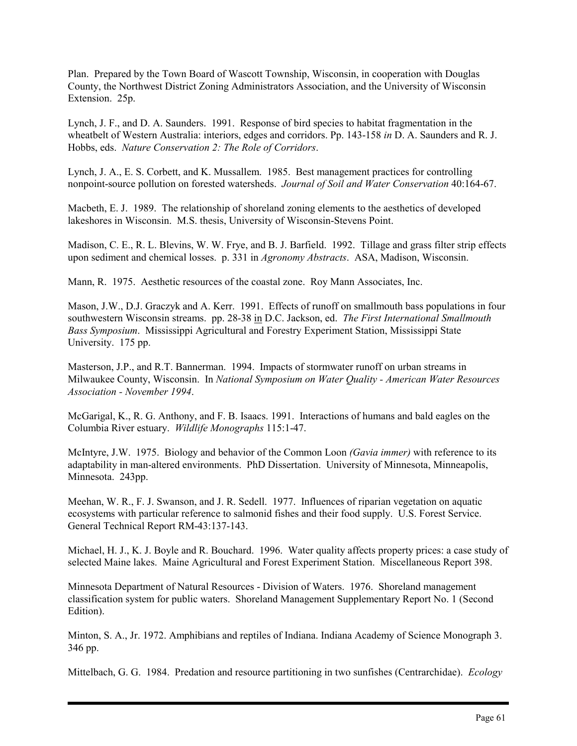Plan. Prepared by the Town Board of Wascott Township, Wisconsin, in cooperation with Douglas County, the Northwest District Zoning Administrators Association, and the University of Wisconsin Extension. 25p.

Lynch, J. F., and D. A. Saunders. 1991. Response of bird species to habitat fragmentation in the wheatbelt of Western Australia: interiors, edges and corridors. Pp. 143-158 *in* D. A. Saunders and R. J. Hobbs, eds. *Nature Conservation 2: The Role of Corridors*.

Lynch, J. A., E. S. Corbett, and K. Mussallem. 1985. Best management practices for controlling nonpoint-source pollution on forested watersheds. *Journal of Soil and Water Conservation* 40:164-67.

Macbeth, E. J. 1989. The relationship of shoreland zoning elements to the aesthetics of developed lakeshores in Wisconsin. M.S. thesis, University of Wisconsin-Stevens Point.

Madison, C. E., R. L. Blevins, W. W. Frye, and B. J. Barfield. 1992. Tillage and grass filter strip effects upon sediment and chemical losses. p. 331 in *Agronomy Abstracts*. ASA, Madison, Wisconsin.

Mann, R. 1975. Aesthetic resources of the coastal zone. Roy Mann Associates, Inc.

Mason, J.W., D.J. Graczyk and A. Kerr. 1991. Effects of runoff on smallmouth bass populations in four southwestern Wisconsin streams. pp. 28-38 in D.C. Jackson, ed. *The First International Smallmouth Bass Symposium*. Mississippi Agricultural and Forestry Experiment Station, Mississippi State University. 175 pp.

Masterson, J.P., and R.T. Bannerman. 1994. Impacts of stormwater runoff on urban streams in Milwaukee County, Wisconsin. In *National Symposium on Water Quality - American Water Resources Association - November 1994*.

McGarigal, K., R. G. Anthony, and F. B. Isaacs. 1991. Interactions of humans and bald eagles on the Columbia River estuary. *Wildlife Monographs* 115:1-47.

McIntyre, J.W. 1975. Biology and behavior of the Common Loon *(Gavia immer)* with reference to its adaptability in man-altered environments. PhD Dissertation. University of Minnesota, Minneapolis, Minnesota. 243pp.

Meehan, W. R., F. J. Swanson, and J. R. Sedell. 1977. Influences of riparian vegetation on aquatic ecosystems with particular reference to salmonid fishes and their food supply. U.S. Forest Service. General Technical Report RM-43:137-143.

Michael, H. J., K. J. Boyle and R. Bouchard. 1996. Water quality affects property prices: a case study of selected Maine lakes. Maine Agricultural and Forest Experiment Station. Miscellaneous Report 398.

Minnesota Department of Natural Resources - Division of Waters. 1976. Shoreland management classification system for public waters. Shoreland Management Supplementary Report No. 1 (Second Edition).

Minton, S. A., Jr. 1972. Amphibians and reptiles of Indiana. Indiana Academy of Science Monograph 3. 346 pp.

Mittelbach, G. G. 1984. Predation and resource partitioning in two sunfishes (Centrarchidae). *Ecology*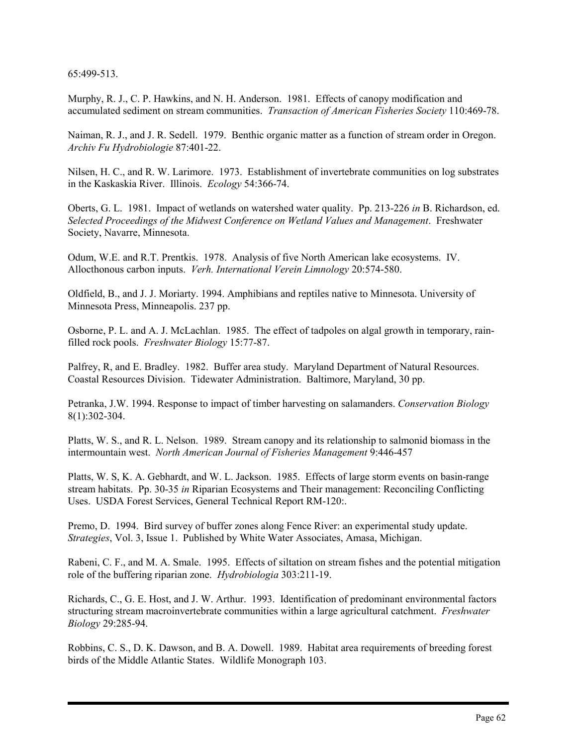65:499-513.

Murphy, R. J., C. P. Hawkins, and N. H. Anderson. 1981. Effects of canopy modification and accumulated sediment on stream communities. *Transaction of American Fisheries Society* 110:469-78.

Naiman, R. J., and J. R. Sedell. 1979. Benthic organic matter as a function of stream order in Oregon. *Archiv Fu Hydrobiologie* 87:401-22.

Nilsen, H. C., and R. W. Larimore. 1973. Establishment of invertebrate communities on log substrates in the Kaskaskia River. Illinois. *Ecology* 54:366-74.

Oberts, G. L. 1981. Impact of wetlands on watershed water quality. Pp. 213-226 *in* B. Richardson, ed. *Selected Proceedings of the Midwest Conference on Wetland Values and Management*. Freshwater Society, Navarre, Minnesota.

Odum, W.E. and R.T. Prentkis. 1978. Analysis of five North American lake ecosystems. IV. Allocthonous carbon inputs. *Verh. International Verein Limnology* 20:574-580.

Oldfield, B., and J. J. Moriarty. 1994. Amphibians and reptiles native to Minnesota. University of Minnesota Press, Minneapolis. 237 pp.

Osborne, P. L. and A. J. McLachlan. 1985. The effect of tadpoles on algal growth in temporary, rainfilled rock pools. *Freshwater Biology* 15:77-87.

Palfrey, R, and E. Bradley. 1982. Buffer area study. Maryland Department of Natural Resources. Coastal Resources Division. Tidewater Administration. Baltimore, Maryland, 30 pp.

Petranka, J.W. 1994. Response to impact of timber harvesting on salamanders. *Conservation Biology* 8(1):302-304.

Platts, W. S., and R. L. Nelson. 1989. Stream canopy and its relationship to salmonid biomass in the intermountain west. *North American Journal of Fisheries Management* 9:446-457

Platts, W. S, K. A. Gebhardt, and W. L. Jackson. 1985. Effects of large storm events on basin-range stream habitats. Pp. 30-35 *in* Riparian Ecosystems and Their management: Reconciling Conflicting Uses. USDA Forest Services, General Technical Report RM-120:.

Premo, D. 1994. Bird survey of buffer zones along Fence River: an experimental study update. *Strategies*, Vol. 3, Issue 1. Published by White Water Associates, Amasa, Michigan.

Rabeni, C. F., and M. A. Smale. 1995. Effects of siltation on stream fishes and the potential mitigation role of the buffering riparian zone. *Hydrobiologia* 303:211-19.

Richards, C., G. E. Host, and J. W. Arthur. 1993. Identification of predominant environmental factors structuring stream macroinvertebrate communities within a large agricultural catchment. *Freshwater Biology* 29:285-94.

Robbins, C. S., D. K. Dawson, and B. A. Dowell. 1989. Habitat area requirements of breeding forest birds of the Middle Atlantic States. Wildlife Monograph 103.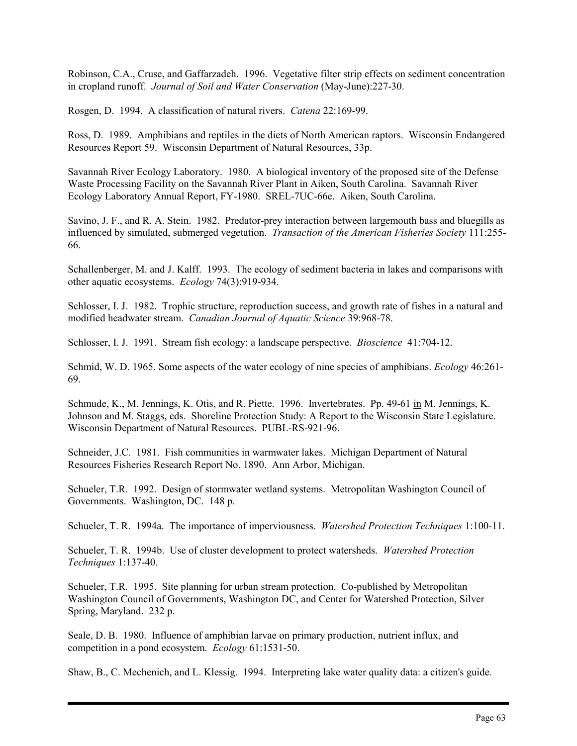Robinson, C.A., Cruse, and Gaffarzadeh. 1996. Vegetative filter strip effects on sediment concentration in cropland runoff. *Journal of Soil and Water Conservation* (May-June):227-30.

Rosgen, D. 1994. A classification of natural rivers. *Catena* 22:169-99.

Ross, D. 1989. Amphibians and reptiles in the diets of North American raptors. Wisconsin Endangered Resources Report 59. Wisconsin Department of Natural Resources, 33p.

Savannah River Ecology Laboratory. 1980. A biological inventory of the proposed site of the Defense Waste Processing Facility on the Savannah River Plant in Aiken, South Carolina. Savannah River Ecology Laboratory Annual Report, FY-1980. SREL-7UC-66e. Aiken, South Carolina.

Savino, J. F., and R. A. Stein. 1982. Predator-prey interaction between largemouth bass and bluegills as influenced by simulated, submerged vegetation. *Transaction of the American Fisheries Society* 111:255- 66.

Schallenberger, M. and J. Kalff. 1993. The ecology of sediment bacteria in lakes and comparisons with other aquatic ecosystems. *Ecology* 74(3):919-934.

Schlosser, I. J. 1982. Trophic structure, reproduction success, and growth rate of fishes in a natural and modified headwater stream. *Canadian Journal of Aquatic Science* 39:968-78.

Schlosser, I. J. 1991. Stream fish ecology: a landscape perspective. *Bioscience* 41:704-12.

Schmid, W. D. 1965. Some aspects of the water ecology of nine species of amphibians. *Ecology* 46:261- 69.

Schmude, K., M. Jennings, K. Otis, and R. Piette. 1996. Invertebrates. Pp. 49-61 in M. Jennings, K. Johnson and M. Staggs, eds. Shoreline Protection Study: A Report to the Wisconsin State Legislature. Wisconsin Department of Natural Resources. PUBL-RS-921-96.

Schneider, J.C. 1981. Fish communities in warmwater lakes. Michigan Department of Natural Resources Fisheries Research Report No. 1890. Ann Arbor, Michigan.

Schueler, T.R. 1992. Design of stormwater wetland systems. Metropolitan Washington Council of Governments. Washington, DC. 148 p.

Schueler, T. R. 1994a. The importance of imperviousness. *Watershed Protection Techniques* 1:100-11.

Schueler, T. R. 1994b. Use of cluster development to protect watersheds. *Watershed Protection Techniques* 1:137-40.

Schueler, T.R. 1995. Site planning for urban stream protection. Co-published by Metropolitan Washington Council of Governments, Washington DC, and Center for Watershed Protection, Silver Spring, Maryland. 232 p.

Seale, D. B. 1980. Influence of amphibian larvae on primary production, nutrient influx, and competition in a pond ecosystem. *Ecology* 61:1531-50.

Shaw, B., C. Mechenich, and L. Klessig. 1994. Interpreting lake water quality data: a citizen's guide.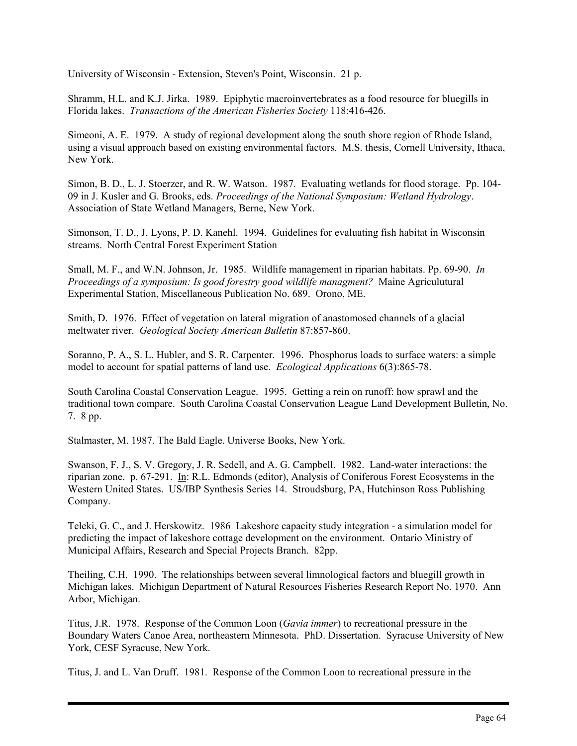University of Wisconsin - Extension, Steven's Point, Wisconsin. 21 p.

Shramm, H.L. and K.J. Jirka. 1989. Epiphytic macroinvertebrates as a food resource for bluegills in Florida lakes. *Transactions of the American Fisheries Society* 118:416-426.

Simeoni, A. E. 1979. A study of regional development along the south shore region of Rhode Island, using a visual approach based on existing environmental factors. M.S. thesis, Cornell University, Ithaca, New York.

Simon, B. D., L. J. Stoerzer, and R. W. Watson. 1987. Evaluating wetlands for flood storage. Pp. 104- 09 in J. Kusler and G. Brooks, eds. *Proceedings of the National Symposium: Wetland Hydrology*. Association of State Wetland Managers, Berne, New York.

Simonson, T. D., J. Lyons, P. D. Kanehl. 1994. Guidelines for evaluating fish habitat in Wisconsin streams. North Central Forest Experiment Station

Small, M. F., and W.N. Johnson, Jr. 1985. Wildlife management in riparian habitats. Pp. 69-90. *In Proceedings of a symposium: Is good forestry good wildlife managment?* Maine Agriculutural Experimental Station, Miscellaneous Publication No. 689. Orono, ME.

Smith, D. 1976. Effect of vegetation on lateral migration of anastomosed channels of a glacial meltwater river. *Geological Society American Bulletin* 87:857-860.

Soranno, P. A., S. L. Hubler, and S. R. Carpenter. 1996. Phosphorus loads to surface waters: a simple model to account for spatial patterns of land use. *Ecological Applications* 6(3):865-78.

South Carolina Coastal Conservation League. 1995. Getting a rein on runoff: how sprawl and the traditional town compare. South Carolina Coastal Conservation League Land Development Bulletin, No. 7. 8 pp.

Stalmaster, M. 1987. The Bald Eagle. Universe Books, New York.

Swanson, F. J., S. V. Gregory, J. R. Sedell, and A. G. Campbell. 1982. Land-water interactions: the riparian zone. p. 67-291. In: R.L. Edmonds (editor), Analysis of Coniferous Forest Ecosystems in the Western United States. US/IBP Synthesis Series 14. Stroudsburg, PA, Hutchinson Ross Publishing Company.

Teleki, G. C., and J. Herskowitz. 1986 Lakeshore capacity study integration - a simulation model for predicting the impact of lakeshore cottage development on the environment. Ontario Ministry of Municipal Affairs, Research and Special Projects Branch. 82pp.

Theiling, C.H. 1990. The relationships between several limnological factors and bluegill growth in Michigan lakes. Michigan Department of Natural Resources Fisheries Research Report No. 1970. Ann Arbor, Michigan.

Titus, J.R. 1978. Response of the Common Loon (*Gavia immer*) to recreational pressure in the Boundary Waters Canoe Area, northeastern Minnesota. PhD. Dissertation. Syracuse University of New York, CESF Syracuse, New York.

Titus, J. and L. Van Druff. 1981. Response of the Common Loon to recreational pressure in the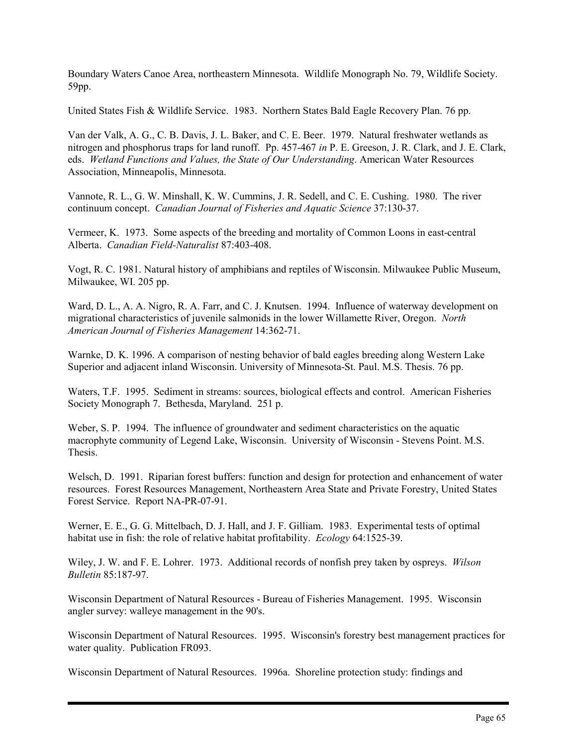Boundary Waters Canoe Area, northeastern Minnesota. Wildlife Monograph No. 79, Wildlife Society. 59pp.

United States Fish & Wildlife Service. 1983. Northern States Bald Eagle Recovery Plan. 76 pp.

Van der Valk, A. G., C. B. Davis, J. L. Baker, and C. E. Beer. 1979. Natural freshwater wetlands as nitrogen and phosphorus traps for land runoff. Pp. 457-467 *in* P. E. Greeson, J. R. Clark, and J. E. Clark, eds. *Wetland Functions and Values, the State of Our Understanding*. American Water Resources Association, Minneapolis, Minnesota.

Vannote, R. L., G. W. Minshall, K. W. Cummins, J. R. Sedell, and C. E. Cushing. 1980. The river continuum concept. *Canadian Journal of Fisheries and Aquatic Science* 37:130-37.

Vermeer, K. 1973. Some aspects of the breeding and mortality of Common Loons in east-central Alberta. *Canadian Field-Naturalist* 87:403-408.

Vogt, R. C. 1981. Natural history of amphibians and reptiles of Wisconsin. Milwaukee Public Museum, Milwaukee, WI. 205 pp.

Ward, D. L., A. A. Nigro, R. A. Farr, and C. J. Knutsen. 1994. Influence of waterway development on migrational characteristics of juvenile salmonids in the lower Willamette River, Oregon. *North American Journal of Fisheries Management* 14:362-71.

Warnke, D. K. 1996. A comparison of nesting behavior of bald eagles breeding along Western Lake Superior and adjacent inland Wisconsin. University of Minnesota-St. Paul. M.S. Thesis. 76 pp.

Waters, T.F. 1995. Sediment in streams: sources, biological effects and control. American Fisheries Society Monograph 7. Bethesda, Maryland. 251 p.

Weber, S. P. 1994. The influence of groundwater and sediment characteristics on the aquatic macrophyte community of Legend Lake, Wisconsin. University of Wisconsin - Stevens Point. M.S. Thesis.

Welsch, D. 1991. Riparian forest buffers: function and design for protection and enhancement of water resources. Forest Resources Management, Northeastern Area State and Private Forestry, United States Forest Service. Report NA-PR-07-91.

Werner, E. E., G. G. Mittelbach, D. J. Hall, and J. F. Gilliam. 1983. Experimental tests of optimal habitat use in fish: the role of relative habitat profitability. *Ecology* 64:1525-39.

Wiley, J. W. and F. E. Lohrer. 1973. Additional records of nonfish prey taken by ospreys. *Wilson Bulletin* 85:187-97.

Wisconsin Department of Natural Resources - Bureau of Fisheries Management. 1995. Wisconsin angler survey: walleye management in the 90's.

Wisconsin Department of Natural Resources. 1995. Wisconsin's forestry best management practices for water quality. Publication FR093.

Wisconsin Department of Natural Resources. 1996a. Shoreline protection study: findings and